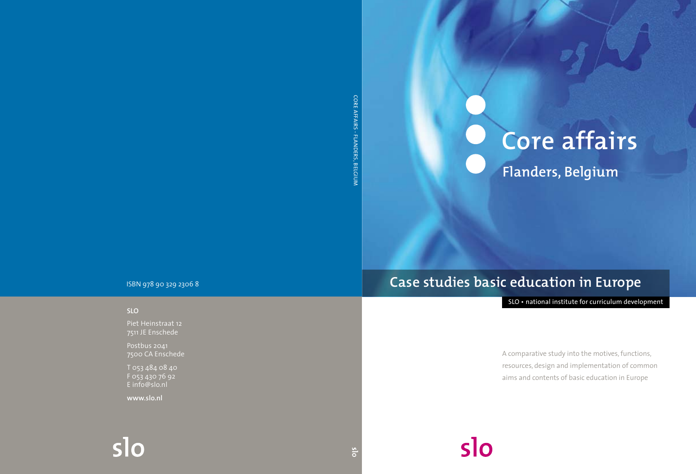CORE AFFAIRS - FLANDERS, BELGIUN Core Affairs - FLanders, Belgium

# **Core affairs Flanders, Belgium**

ISBN 978 90 329 2306 8

### **SLO**

Piet Heinstraat 12 7511 JE Enschede

Postbus 2041 7500 CA Enschede

T 053 484 08 40 F 053 430 76 92 E info@slo.nl

**www.slo.nl**

# **Case studies basic education in Europe**

slo

SLO • national institute for curriculum development

A comparative study into the motives, functions, resources, design and implementation of common aims and contents of basic education in Europe

 $s$ lo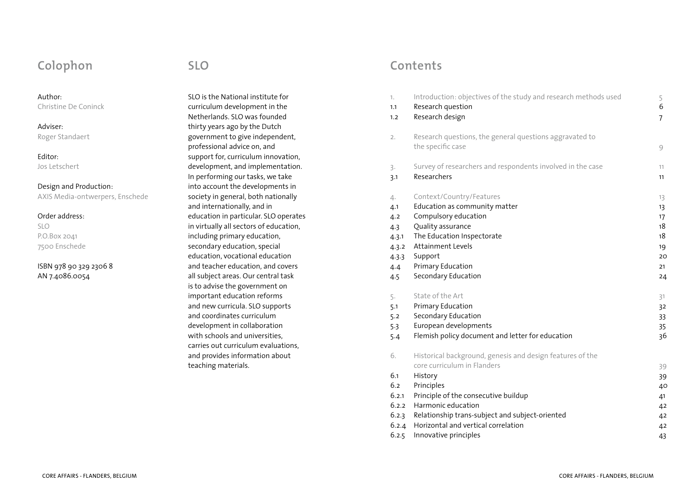# **Colophon**

### Author:

Christine De Coninck

### Adviser: Roger Standaert

Editor: Jos Letschert

Design and Production: AXIS Media-ontwerpers, Enschede

### Order address:

SLO P.O.Box 2041 7500 Enschede

### ISBN 978 90 329 2306 8 AN 7.4086.0054

**SLO**

SLO is the National institute for curriculum development in the Netherlands. SLO was founded thirty years ago by the Dutch government to give independent, professional advice on, and support for, curriculum innovation, development, and implementation. In performing our tasks, we take into account the developments in society in general, both nationally and internationally, and in education in particular. SLO operates in virtually all sectors of education, including primary education, secondary education, special education, vocational education and teacher education, and covers all subject areas. Our central task is to advise the government on important education reforms and new curricula. SLO supports and coordinates curriculum development in collaboration with schools and universities, carries out curriculum evaluations, and provides information about teaching materials.

# **Contents**

| 1.                                          | Introduction: objectives of the study and research methods used                                                                                                                                                                    | 5                                |
|---------------------------------------------|------------------------------------------------------------------------------------------------------------------------------------------------------------------------------------------------------------------------------------|----------------------------------|
| 1.1                                         | Research question                                                                                                                                                                                                                  | 6                                |
| 1.2                                         | Research design                                                                                                                                                                                                                    | $\overline{7}$                   |
| 2.                                          | Research questions, the general questions aggravated to<br>the specific case                                                                                                                                                       | 9                                |
| 3.                                          | Survey of researchers and respondents involved in the case                                                                                                                                                                         | 11                               |
| 3.1                                         | Researchers                                                                                                                                                                                                                        | 11                               |
| 4.                                          | Context/Country/Features                                                                                                                                                                                                           | 13                               |
| 4.1                                         | Education as community matter                                                                                                                                                                                                      | 13                               |
| 4.2                                         | Compulsory education                                                                                                                                                                                                               | 17                               |
| 4.3                                         | Quality assurance                                                                                                                                                                                                                  | 18                               |
| 4.3.1                                       | The Education Inspectorate                                                                                                                                                                                                         | 18                               |
| 4.3.2                                       | <b>Attainment Levels</b>                                                                                                                                                                                                           | 19                               |
| 4.3.3                                       | Support                                                                                                                                                                                                                            | 20                               |
| 4.4                                         | Primary Education                                                                                                                                                                                                                  | 21                               |
| 4.5                                         | Secondary Education                                                                                                                                                                                                                | 24                               |
| 5.                                          | State of the Art                                                                                                                                                                                                                   | 31                               |
| 5.1                                         | Primary Education                                                                                                                                                                                                                  | 32                               |
| 5.2                                         | Secondary Education                                                                                                                                                                                                                | 33                               |
| 5.3                                         | European developments                                                                                                                                                                                                              | 35                               |
| 5.4                                         | Flemish policy document and letter for education                                                                                                                                                                                   | 36                               |
| 6.<br>6.1<br>6.2<br>6.2.1<br>6.2.2<br>6.2.3 | Historical background, genesis and design features of the<br>core curriculum in Flanders<br>History<br>Principles<br>Principle of the consecutive buildup<br>Harmonic education<br>Relationship trans-subject and subject-oriented | 39<br>39<br>40<br>41<br>42<br>42 |
| 6.2.4                                       | Horizontal and vertical correlation                                                                                                                                                                                                | 42                               |
| 6.2.5                                       | Innovative principles                                                                                                                                                                                                              | 43                               |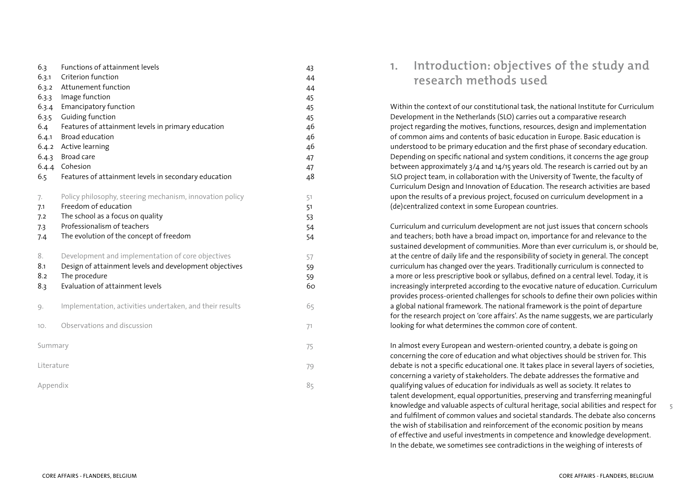| 6.3<br>6.3.1<br>6.3.2<br>6.3.3<br>6.3.4<br>6.3.5 | Functions of attainment levels<br>Criterion function<br>Attunement function<br>Image function<br><b>Emancipatory function</b><br>Guiding function                                              | 43<br>44<br>44<br>45<br>45<br>45 |
|--------------------------------------------------|------------------------------------------------------------------------------------------------------------------------------------------------------------------------------------------------|----------------------------------|
| 6.4<br>6.4.1<br>6.5                              | Features of attainment levels in primary education<br>Broad education<br>6.4.2 Active learning<br>6.4.3 Broad care<br>6.4.4 Cohesion<br>Features of attainment levels in secondary education   | 46<br>46<br>46<br>47<br>47<br>48 |
| 7.<br>7.1<br>7.2<br>7.3<br>7.4                   | Policy philosophy, steering mechanism, innovation policy<br>Freedom of education<br>The school as a focus on quality<br>Professionalism of teachers<br>The evolution of the concept of freedom | 51<br>51<br>53<br>54<br>54       |
| 8.<br>8.1<br>8.2<br>8.3                          | Development and implementation of core objectives<br>Design of attainment levels and development objectives<br>The procedure<br>Evaluation of attainment levels                                | 57<br>59<br>59<br>60             |
| 9.                                               | Implementation, activities undertaken, and their results                                                                                                                                       | 65                               |
| 10.                                              | Observations and discussion                                                                                                                                                                    | 71                               |
| Summary                                          |                                                                                                                                                                                                | 75                               |
| Literature                                       |                                                                                                                                                                                                | 79                               |
| Appendix                                         |                                                                                                                                                                                                |                                  |

# **1. Introduction: objectives of the study and research methods used**

Within the context of our constitutional task, the national Institute for Curriculum Development in the Netherlands (SLO) carries out a comparative research project regarding the motives, functions, resources, design and implementation of common aims and contents of basic education in Europe. Basic education is understood to be primary education and the first phase of secondary education. Depending on specific national and system conditions, it concerns the age group between approximately 3/4 and 14/15 years old. The research is carried out by an SLO project team, in collaboration with the University of Twente, the faculty of Curriculum Design and Innovation of Education. The research activities are based upon the results of a previous project, focused on curriculum development in a (de)centralized context in some European countries.

Curriculum and curriculum development are not just issues that concern schools and teachers; both have a broad impact on, importance for and relevance to the sustained development of communities. More than ever curriculum is, or should be, at the centre of daily life and the responsibility of society in general. The concept curriculum has changed over the years. Traditionally curriculum is connected to a more or less prescriptive book or syllabus, defined on a central level. Today, it is increasingly interpreted according to the evocative nature of education. Curriculum provides process-oriented challenges for schools to define their own policies within a global national framework. The national framework is the point of departure for the research project on 'core affairs'. As the name suggests, we are particularly looking for what determines the common core of content.

In almost every European and western-oriented country, a debate is going on concerning the core of education and what objectives should be striven for. This debate is not a specific educational one. It takes place in several layers of societies, concerning a variety of stakeholders. The debate addresses the formative and qualifying values of education for individuals as well as society. It relates to talent development, equal opportunities, preserving and transferring meaningful knowledge and valuable aspects of cultural heritage, social abilities and respect for and fulfilment of common values and societal standards. The debate also concerns the wish of stabilisation and reinforcement of the economic position by means of effective and useful investments in competence and knowledge development. In the debate, we sometimes see contradictions in the weighing of interests of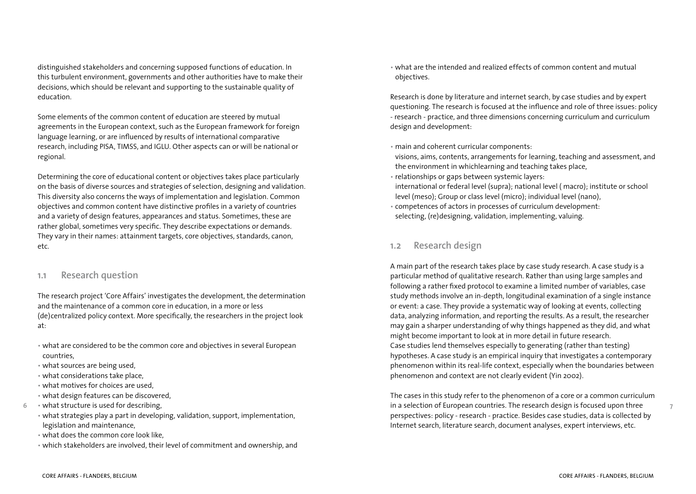distinguished stakeholders and concerning supposed functions of education. In this turbulent environment, governments and other authorities have to make their decisions, which should be relevant and supporting to the sustainable quality of education.

Some elements of the common content of education are steered by mutual agreements in the European context, such as the European framework for foreign language learning, or are influenced by results of international comparative research, including PISA, TIMSS, and IGLU. Other aspects can or will be national or regional.

Determining the core of educational content or objectives takes place particularly on the basis of diverse sources and strategies of selection, designing and validation. This diversity also concerns the ways of implementation and legislation. Common objectives and common content have distinctive profiles in a variety of countries and a variety of design features, appearances and status. Sometimes, these are rather global, sometimes very specific. They describe expectations or demands. They vary in their names: attainment targets, core objectives, standards, canon, etc.

### **1.1 Research question**

The research project 'Core Affairs' investigates the development, the determination and the maintenance of a common core in education, in a more or less (de)centralized policy context. More specifically, the researchers in the project look at:

- what are considered to be the common core and objectives in several European countries,
- what sources are being used,
- what considerations take place,
- what motives for choices are used,
- what design features can be discovered,
- what structure is used for describing,
	- what strategies play a part in developing, validation, support, implementation, legislation and maintenance,
	- what does the common core look like,
	- which stakeholders are involved, their level of commitment and ownership, and

• what are the intended and realized effects of common content and mutual objectives.

Research is done by literature and internet search, by case studies and by expert questioning. The research is focused at the influence and role of three issues: policy - research - practice, and three dimensions concerning curriculum and curriculum design and development:

• main and coherent curricular components:

visions, aims, contents, arrangements for learning, teaching and assessment, and the environment in whichlearning and teaching takes place,

- relationships or gaps between systemic layers:
- international or federal level (supra); national level ( macro); institute or school level (meso); Group or class level (micro); individual level (nano),
- competences of actors in processes of curriculum development: selecting, (re)designing, validation, implementing, valuing.

### **1.2 Research design**

A main part of the research takes place by case study research. A case study is a particular method of qualitative research. Rather than using large samples and following a rather fixed protocol to examine a limited number of variables, case study methods involve an in-depth, longitudinal examination of a single instance or event: a case. They provide a systematic way of looking at events, collecting data, analyzing information, and reporting the results. As a result, the researcher may gain a sharper understanding of why things happened as they did, and what might become important to look at in more detail in future research. Case studies lend themselves especially to generating (rather than testing) hypotheses. A case study is an empirical inquiry that investigates a contemporary phenomenon within its real-life context, especially when the boundaries between phenomenon and context are not clearly evident (Yin 2002).

The cases in this study refer to the phenomenon of a core or a common curriculum in a selection of European countries. The research design is focused upon three perspectives: policy - research - practice. Besides case studies, data is collected by Internet search, literature search, document analyses, expert interviews, etc.

 $\overline{7}$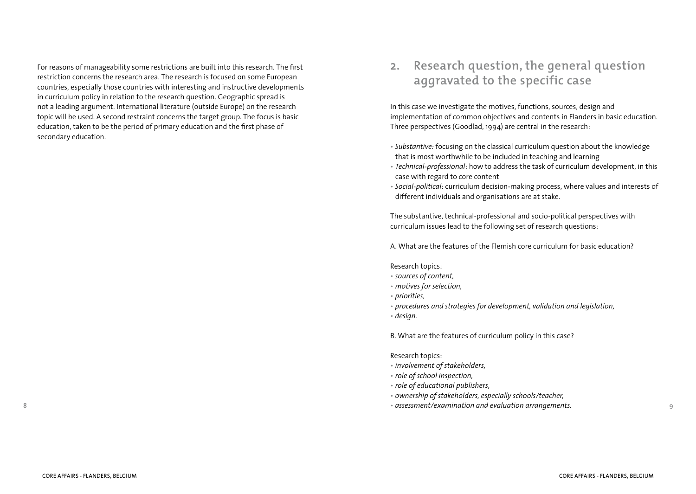For reasons of manageability some restrictions are built into this research. The first restriction concerns the research area. The research is focused on some European countries, especially those countries with interesting and instructive developments in curriculum policy in relation to the research question. Geographic spread is not a leading argument. International literature (outside Europe) on the research topic will be used. A second restraint concerns the target group. The focus is basic education, taken to be the period of primary education and the first phase of secondary education.

# **2. Research question, the general question aggravated to the specific case**

In this case we investigate the motives, functions, sources, design and implementation of common objectives and contents in Flanders in basic education. Three perspectives (Goodlad, 1994) are central in the research:

- *Substantive:* focusing on the classical curriculum question about the knowledge that is most worthwhile to be included in teaching and learning
- *Technical-professional*: how to address the task of curriculum development, in this case with regard to core content
- *Social-political*: curriculum decision-making process, where values and interests of different individuals and organisations are at stake.

The substantive, technical-professional and socio-political perspectives with curriculum issues lead to the following set of research questions:

A. What are the features of the Flemish core curriculum for basic education?

### Research topics:

- *sources of content,*
- *motives for selection,*
- *priorities,*
- *procedures and strategies for development, validation and legislation,*
- *design.*

B. What are the features of curriculum policy in this case?

### Research topics:

- *involvement of stakeholders,*
- • *role of school inspection,*
- • *role of educational publishers,*
- • *ownership of stakeholders, especially schools/teacher,*
- • *assessment/examination and evaluation arrangements.*

9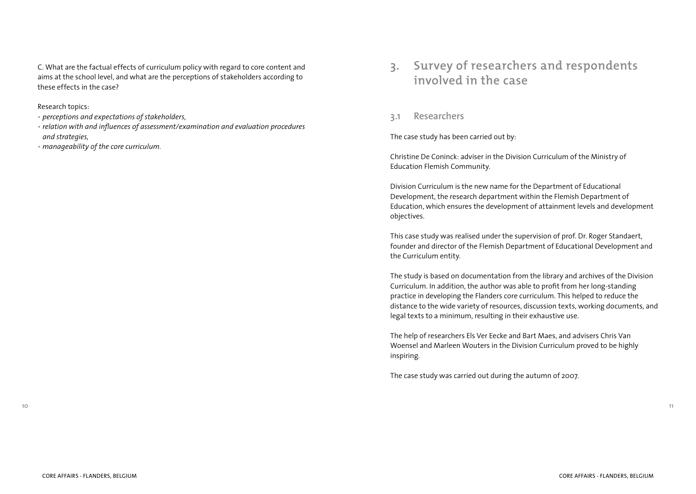C. What are the factual effects of curriculum policy with regard to core content and aims at the school level, and what are the perceptions of stakeholders according to these effects in the case?

### Research topics:

- • *perceptions and expectations of stakeholders,*
- • *relation with and influences of assessment/examination and evaluation procedures and strategies,*
- • *manageability of the core curriculum.*

# **3. Survey of researchers and respondents involved in the case**

### **3.1 Researchers**

The case study has been carried out by:

Christine De Coninck: adviser in the Division Curriculum of the Ministry of Education Flemish Community.

Division Curriculum is the new name for the Department of Educational Development, the research department within the Flemish Department of Education, which ensures the development of attainment levels and development objectives.

This case study was realised under the supervision of prof. Dr. Roger Standaert, founder and director of the Flemish Department of Educational Development and the Curriculum entity.

The study is based on documentation from the library and archives of the Division Curriculum. In addition, the author was able to profit from her long-standing practice in developing the Flanders core curriculum. This helped to reduce the distance to the wide variety of resources, discussion texts, working documents, and legal texts to a minimum, resulting in their exhaustive use.

The help of researchers Els Ver Eecke and Bart Maes, and advisers Chris Van Woensel and Marleen Wouters in the Division Curriculum proved to be highly inspiring.

The case study was carried out during the autumn of 2007.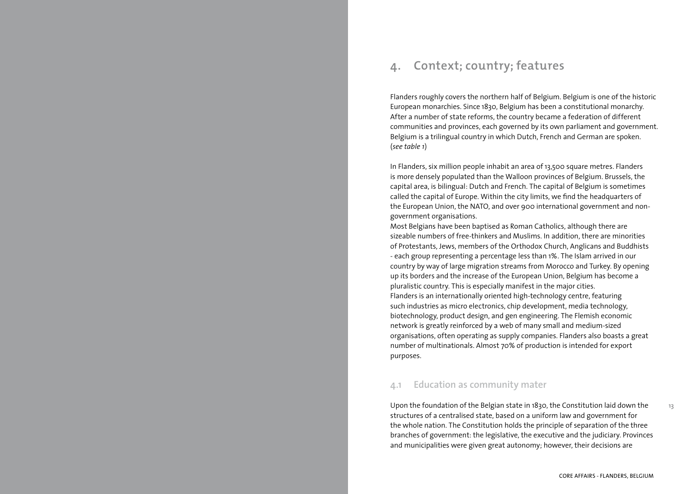# **4. Context; country; features**

Flanders roughly covers the northern half of Belgium. Belgium is one of the historic European monarchies. Since 1830, Belgium has been a constitutional monarchy. After a number of state reforms, the country became a federation of different communities and provinces, each governed by its own parliament and government. Belgium is a trilingual country in which Dutch, French and German are spoken. (*see table 1*)

In Flanders, six million people inhabit an area of 13,500 square metres. Flanders is more densely populated than the Walloon provinces of Belgium. Brussels, the capital area, is bilingual: Dutch and French. The capital of Belgium is sometimes called the capital of Europe. Within the city limits, we find the headquarters of the European Union, the NATO, and over 900 international government and nongovernment organisations.

Most Belgians have been baptised as Roman Catholics, although there are sizeable numbers of free-thinkers and Muslims. In addition, there are minorities of Protestants, Jews, members of the Orthodox Church, Anglicans and Buddhists - each group representing a percentage less than 1%. The Islam arrived in our country by way of large migration streams from Morocco and Turkey. By opening up its borders and the increase of the European Union, Belgium has become a pluralistic country. This is especially manifest in the major cities. Flanders is an internationally oriented high-technology centre, featuring such industries as micro electronics, chip development, media technology, biotechnology, product design, and gen engineering. The Flemish economic network is greatly reinforced by a web of many small and medium-sized organisations, often operating as supply companies. Flanders also boasts a great number of multinationals. Almost 70% of production is intended for export purposes.

### **4.1 Education as community mater**

Upon the foundation of the Belgian state in 1830, the Constitution laid down the structures of a centralised state, based on a uniform law and government for the whole nation. The Constitution holds the principle of separation of the three branches of government: the legislative, the executive and the judiciary. Provinces and municipalities were given great autonomy; however, their decisions are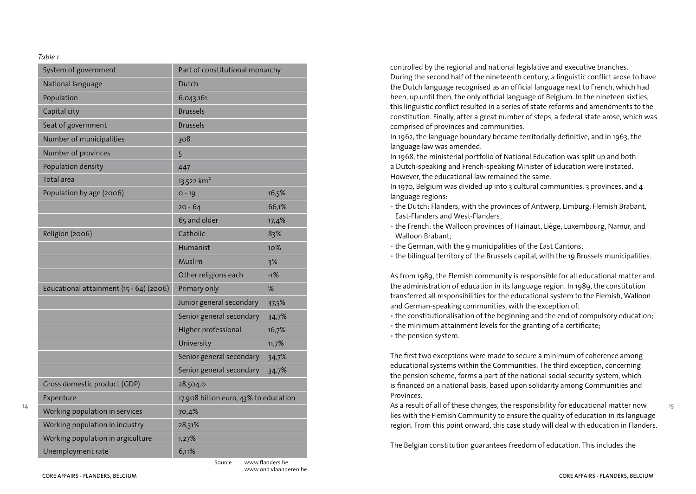#### *Table 1*

| System of government<br>Part of constitutional monarchy |                                       |       |  |
|---------------------------------------------------------|---------------------------------------|-------|--|
| National language                                       | Dutch                                 |       |  |
| Population                                              | 6.043.161                             |       |  |
| Capital city                                            | <b>Brussels</b>                       |       |  |
| Seat of government                                      | <b>Brussels</b>                       |       |  |
| Number of municipalities                                | 308                                   |       |  |
| Number of provinces                                     | 5                                     |       |  |
| Population density                                      | 447                                   |       |  |
| Total area                                              | 13.522 km <sup>2</sup>                |       |  |
| Population by age (2006)                                | $0 - 19$                              | 16,5% |  |
|                                                         | $20 - 64$                             | 66,1% |  |
|                                                         | 65 and older                          | 17,4% |  |
| Religion (2006)                                         | Catholic                              | 83%   |  |
|                                                         | Humanist                              | 10%   |  |
|                                                         | Muslim                                | 3%    |  |
|                                                         | Other religions each                  | $-1%$ |  |
| Educational attainment (15 - 64) (2006)                 | Primary only                          | %     |  |
|                                                         | Junior general secondary              | 37,5% |  |
|                                                         | Senior general secondary              | 34,7% |  |
|                                                         | Higher professional                   | 16,7% |  |
|                                                         | University                            | 11,7% |  |
|                                                         | Senior general secondary              | 34,7% |  |
|                                                         | Senior general secondary              | 34,7% |  |
| Gross domestic product (GDP)                            | 28,504.0                              |       |  |
| Expenture                                               | 17.908 billion euro, 43% to education |       |  |
| Working population in services                          | 70,4%                                 |       |  |
| Working population in industry                          | 28,31%                                |       |  |
| Working population in argiculture                       | 1,27%                                 |       |  |
| Unemployment rate                                       | 6,11%                                 |       |  |

Source www.flanders.be

www.ond.vlaanderen.be

controlled by the regional and national legislative and executive branches. During the second half of the nineteenth century, a linguistic conflict arose to have the Dutch language recognised as an official language next to French, which had been, up until then, the only official language of Belgium. In the nineteen sixties, this linguistic conflict resulted in a series of state reforms and amendments to the constitution. Finally, after a great number of steps, a federal state arose, which was comprised of provinces and communities.

In 1962, the language boundary became territorially definitive, and in 1963, the language law was amended.

In 1968, the ministerial portfolio of National Education was split up and both a Dutch-speaking and French-speaking Minister of Education were instated. However, the educational law remained the same.

In 1970, Belgium was divided up into 3 cultural communities, 3 provinces, and 4 language regions:

- the Dutch: Flanders, with the provinces of Antwerp, Limburg, Flemish Brabant, East-Flanders and West-Flanders;
- the French: the Walloon provinces of Hainaut, Liège, Luxembourg, Namur, and Walloon Brabant;
- the German, with the 9 municipalities of the East Cantons;

• the bilingual territory of the Brussels capital, with the 19 Brussels municipalities.

As from 1989, the Flemish community is responsible for all educational matter and the administration of education in its language region. In 1989, the constitution transferred all responsibilities for the educational system to the Flemish, Walloon and German-speaking communities, with the exception of:

• the constitutionalisation of the beginning and the end of compulsory education;

• the minimum attainment levels for the granting of a certificate;

• the pension system.

The first two exceptions were made to secure a minimum of coherence among educational systems within the Communities. The third exception, concerning the pension scheme, forms a part of the national social security system, which is financed on a national basis, based upon solidarity among Communities and Provinces.

As a result of all of these changes, the responsibility for educational matter now lies with the Flemish Community to ensure the quality of education in its language region. From this point onward, this case study will deal with education in Flanders.

The Belgian constitution guarantees freedom of education. This includes the

**15**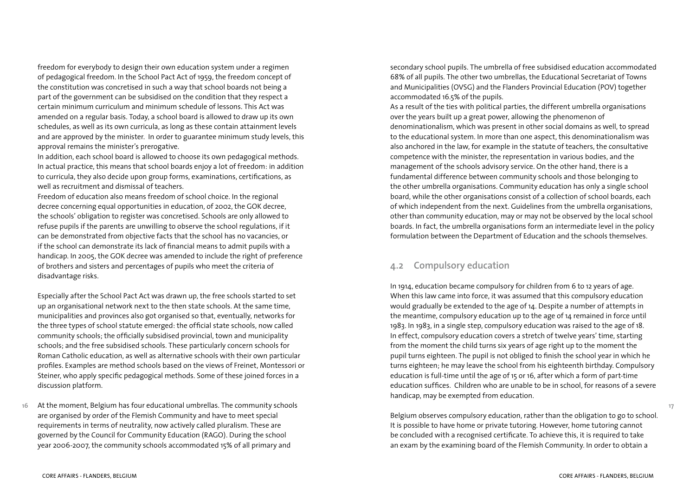freedom for everybody to design their own education system under a regimen of pedagogical freedom. In the School Pact Act of 1959, the freedom concept of the constitution was concretised in such a way that school boards not being a part of the government can be subsidised on the condition that they respect a certain minimum curriculum and minimum schedule of lessons. This Act was amended on a regular basis. Today, a school board is allowed to draw up its own schedules, as well as its own curricula, as long as these contain attainment levels and are approved by the minister. In order to guarantee minimum study levels, this approval remains the minister's prerogative.

In addition, each school board is allowed to choose its own pedagogical methods. In actual practice, this means that school boards enjoy a lot of freedom: in addition to curricula, they also decide upon group forms, examinations, certifications, as well as recruitment and dismissal of teachers.

Freedom of education also means freedom of school choice. In the regional decree concerning equal opportunities in education, of 2002, the GOK decree, the schools' obligation to register was concretised. Schools are only allowed to refuse pupils if the parents are unwilling to observe the school regulations, if it can be demonstrated from objective facts that the school has no vacancies, or if the school can demonstrate its lack of financial means to admit pupils with a handicap. In 2005, the GOK decree was amended to include the right of preference of brothers and sisters and percentages of pupils who meet the criteria of disadvantage risks.

Especially after the School Pact Act was drawn up, the free schools started to set up an organisational network next to the then state schools. At the same time, municipalities and provinces also got organised so that, eventually, networks for the three types of school statute emerged: the official state schools, now called community schools; the officially subsidised provincial, town and municipality schools; and the free subsidised schools. These particularly concern schools for Roman Catholic education, as well as alternative schools with their own particular profiles. Examples are method schools based on the views of Freinet, Montessori or Steiner, who apply specific pedagogical methods. Some of these joined forces in a discussion platform.

**16** At the moment, Belgium has four educational umbrellas. The community schools are organised by order of the Flemish Community and have to meet special requirements in terms of neutrality, now actively called pluralism. These are governed by the Council for Community Education (RAGO). During the school year 2006-2007, the community schools accommodated 15% of all primary and

secondary school pupils. The umbrella of free subsidised education accommodated 68% of all pupils. The other two umbrellas, the Educational Secretariat of Towns and Municipalities (OVSG) and the Flanders Provincial Education (POV) together accommodated 16.5% of the pupils.

As a result of the ties with political parties, the different umbrella organisations over the years built up a great power, allowing the phenomenon of denominationalism, which was present in other social domains as well, to spread to the educational system. In more than one aspect, this denominationalism was also anchored in the law, for example in the statute of teachers, the consultative competence with the minister, the representation in various bodies, and the management of the schools advisory service. On the other hand, there is a fundamental difference between community schools and those belonging to the other umbrella organisations. Community education has only a single school board, while the other organisations consist of a collection of school boards, each of which independent from the next. Guidelines from the umbrella organisations, other than community education, may or may not be observed by the local school boards. In fact, the umbrella organisations form an intermediate level in the policy formulation between the Department of Education and the schools themselves.

### **4.2 Compulsory education**

In 1914, education became compulsory for children from 6 to 12 years of age. When this law came into force, it was assumed that this compulsory education would gradually be extended to the age of 14. Despite a number of attempts in the meantime, compulsory education up to the age of 14 remained in force until 1983. In 1983, in a single step, compulsory education was raised to the age of 18. In effect, compulsory education covers a stretch of twelve years' time, starting from the moment the child turns six years of age right up to the moment the pupil turns eighteen. The pupil is not obliged to finish the school year in which he turns eighteen; he may leave the school from his eighteenth birthday. Compulsory education is full-time until the age of 15 or 16, after which a form of part-time education suffices. Children who are unable to be in school, for reasons of a severe handicap, may be exempted from education.

Belgium observes compulsory education, rather than the obligation to go to school. It is possible to have home or private tutoring. However, home tutoring cannot be concluded with a recognised certificate. To achieve this, it is required to take an exam by the examining board of the Flemish Community. In order to obtain a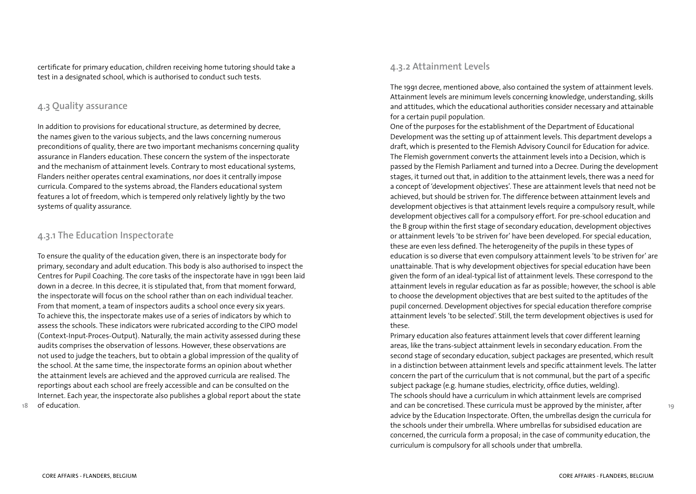certificate for primary education, children receiving home tutoring should take a test in a designated school, which is authorised to conduct such tests.

### **4.3 Quality assurance**

In addition to provisions for educational structure, as determined by decree, the names given to the various subjects, and the laws concerning numerous preconditions of quality, there are two important mechanisms concerning quality assurance in Flanders education. These concern the system of the inspectorate and the mechanism of attainment levels. Contrary to most educational systems, Flanders neither operates central examinations, nor does it centrally impose curricula. Compared to the systems abroad, the Flanders educational system features a lot of freedom, which is tempered only relatively lightly by the two systems of quality assurance.

### **4.3.1 The Education Inspectorate**

To ensure the quality of the education given, there is an inspectorate body for primary, secondary and adult education. This body is also authorised to inspect the Centres for Pupil Coaching. The core tasks of the inspectorate have in 1991 been laid down in a decree. In this decree, it is stipulated that, from that moment forward, the inspectorate will focus on the school rather than on each individual teacher. From that moment, a team of inspectors audits a school once every six years. To achieve this, the inspectorate makes use of a series of indicators by which to assess the schools. These indicators were rubricated according to the CIPO model (Context-Input-Proces-Output). Naturally, the main activity assessed during these audits comprises the observation of lessons. However, these observations are not used to judge the teachers, but to obtain a global impression of the quality of the school. At the same time, the inspectorate forms an opinion about whether the attainment levels are achieved and the approved curricula are realised. The reportings about each school are freely accessible and can be consulted on the Internet. Each year, the inspectorate also publishes a global report about the state of education.

### **4.3.2 Attainment Levels**

The 1991 decree, mentioned above, also contained the system of attainment levels. Attainment levels are minimum levels concerning knowledge, understanding, skills and attitudes, which the educational authorities consider necessary and attainable for a certain pupil population.

One of the purposes for the establishment of the Department of Educational Development was the setting up of attainment levels. This department develops a draft, which is presented to the Flemish Advisory Council for Education for advice. The Flemish government converts the attainment levels into a Decision, which is passed by the Flemish Parliament and turned into a Decree. During the development stages, it turned out that, in addition to the attainment levels, there was a need for a concept of 'development objectives'. These are attainment levels that need not be achieved, but should be striven for. The difference between attainment levels and development objectives is that attainment levels require a compulsory result, while development objectives call for a compulsory effort. For pre-school education and the B group within the first stage of secondary education, development objectives or attainment levels 'to be striven for' have been developed. For special education, these are even less defined. The heterogeneity of the pupils in these types of education is so diverse that even compulsory attainment levels 'to be striven for' are unattainable. That is why development objectives for special education have been given the form of an ideal-typical list of attainment levels. These correspond to the attainment levels in regular education as far as possible; however, the school is able to choose the development objectives that are best suited to the aptitudes of the pupil concerned. Development objectives for special education therefore comprise attainment levels 'to be selected'. Still, the term development objectives is used for these.

Primary education also features attainment levels that cover different learning areas, like the trans-subject attainment levels in secondary education. From the second stage of secondary education, subject packages are presented, which result in a distinction between attainment levels and specific attainment levels. The latter concern the part of the curriculum that is not communal, but the part of a specific subject package (e.g. humane studies, electricity, office duties, welding). The schools should have a curriculum in which attainment levels are comprised and can be concretised. These curricula must be approved by the minister, after advice by the Education Inspectorate. Often, the umbrellas design the curricula for the schools under their umbrella. Where umbrellas for subsidised education are concerned, the curricula form a proposal; in the case of community education, the curriculum is compulsory for all schools under that umbrella.

**18**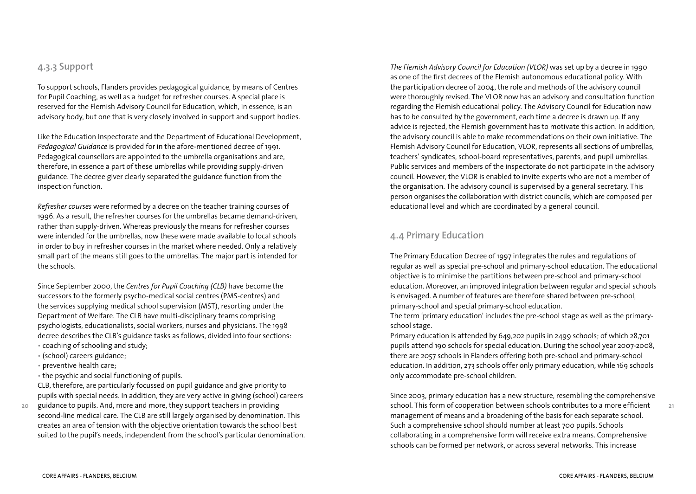### **4.3.3 Support**

To support schools, Flanders provides pedagogical guidance, by means of Centres for Pupil Coaching, as well as a budget for refresher courses. A special place is reserved for the Flemish Advisory Council for Education, which, in essence, is an advisory body, but one that is very closely involved in support and support bodies.

Like the Education Inspectorate and the Department of Educational Development, *Pedagogical Guidance* is provided for in the afore-mentioned decree of 1991. Pedagogical counsellors are appointed to the umbrella organisations and are, therefore, in essence a part of these umbrellas while providing supply-driven guidance. The decree giver clearly separated the guidance function from the inspection function.

*Refresher courses* were reformed by a decree on the teacher training courses of 1996. As a result, the refresher courses for the umbrellas became demand-driven, rather than supply-driven. Whereas previously the means for refresher courses were intended for the umbrellas, now these were made available to local schools in order to buy in refresher courses in the market where needed. Only a relatively small part of the means still goes to the umbrellas. The major part is intended for the schools.

Since September 2000, the *Centres for Pupil Coaching (CLB)* have become the successors to the formerly psycho-medical social centres (PMS-centres) and the services supplying medical school supervision (MST), resorting under the Department of Welfare. The CLB have multi-disciplinary teams comprising psychologists, educationalists, social workers, nurses and physicians. The 1998 decree describes the CLB's guidance tasks as follows, divided into four sections:

- coaching of schooling and study;
- (school) careers guidance;
- preventive health care;

**20**

• the psychic and social functioning of pupils.

CLB, therefore, are particularly focussed on pupil guidance and give priority to pupils with special needs. In addition, they are very active in giving (school) careers

guidance to pupils. And, more and more, they support teachers in providing second-line medical care. The CLB are still largely organised by denomination. This creates an area of tension with the objective orientation towards the school best suited to the pupil's needs, independent from the school's particular denomination. *The Flemish Advisory Council for Education (VLOR)* was set up by a decree in 1990 as one of the first decrees of the Flemish autonomous educational policy. With the participation decree of 2004, the role and methods of the advisory council were thoroughly revised. The VLOR now has an advisory and consultation function regarding the Flemish educational policy. The Advisory Council for Education now has to be consulted by the government, each time a decree is drawn up. If any advice is rejected, the Flemish government has to motivate this action. In addition, the advisory council is able to make recommendations on their own initiative. The Flemish Advisory Council for Education, VLOR, represents all sections of umbrellas, teachers' syndicates, school-board representatives, parents, and pupil umbrellas. Public services and members of the inspectorate do not participate in the advisory council. However, the VLOR is enabled to invite experts who are not a member of the organisation. The advisory council is supervised by a general secretary. This person organises the collaboration with district councils, which are composed per educational level and which are coordinated by a general council.

### **4.4 Primary Education**

The Primary Education Decree of 1997 integrates the rules and regulations of regular as well as special pre-school and primary-school education. The educational objective is to minimise the partitions between pre-school and primary-school education. Moreover, an improved integration between regular and special schools is envisaged. A number of features are therefore shared between pre-school, primary-school and special primary-school education.

The term 'primary education' includes the pre-school stage as well as the primaryschool stage.

Primary education is attended by 649,202 pupils in 2499 schools; of which 28,701 pupils attend 190 schools for special education. During the school year 2007-2008, there are 2057 schools in Flanders offering both pre-school and primary-school education. In addition, 273 schools offer only primary education, while 169 schools only accommodate pre-school children.

Since 2003, primary education has a new structure, resembling the comprehensive school. This form of cooperation between schools contributes to a more efficient management of means and a broadening of the basis for each separate school. Such a comprehensive school should number at least 700 pupils. Schools collaborating in a comprehensive form will receive extra means. Comprehensive schools can be formed per network, or across several networks. This increase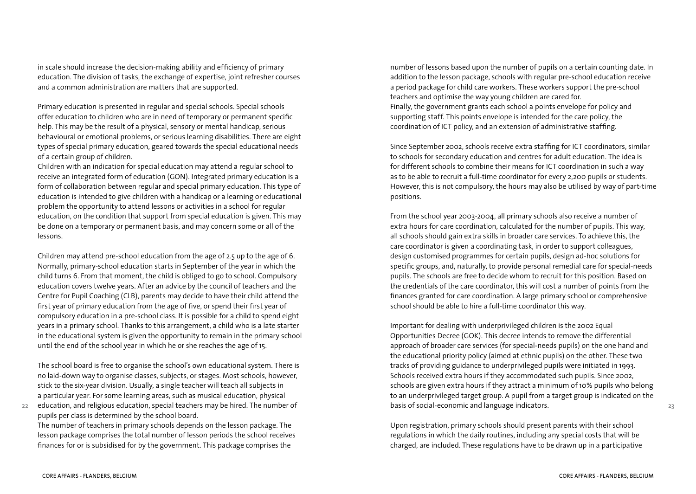in scale should increase the decision-making ability and efficiency of primary education. The division of tasks, the exchange of expertise, joint refresher courses and a common administration are matters that are supported.

Primary education is presented in regular and special schools. Special schools offer education to children who are in need of temporary or permanent specific help. This may be the result of a physical, sensory or mental handicap, serious behavioural or emotional problems, or serious learning disabilities. There are eight types of special primary education, geared towards the special educational needs of a certain group of children.

Children with an indication for special education may attend a regular school to receive an integrated form of education (GON). Integrated primary education is a form of collaboration between regular and special primary education. This type of education is intended to give children with a handicap or a learning or educational problem the opportunity to attend lessons or activities in a school for regular education, on the condition that support from special education is given. This may be done on a temporary or permanent basis, and may concern some or all of the lessons.

Children may attend pre-school education from the age of 2.5 up to the age of 6. Normally, primary-school education starts in September of the year in which the child turns 6. From that moment, the child is obliged to go to school. Compulsory education covers twelve years. After an advice by the council of teachers and the Centre for Pupil Coaching (CLB), parents may decide to have their child attend the first year of primary education from the age of five, or spend their first year of compulsory education in a pre-school class. It is possible for a child to spend eight years in a primary school. Thanks to this arrangement, a child who is a late starter in the educational system is given the opportunity to remain in the primary school until the end of the school year in which he or she reaches the age of 15.

The school board is free to organise the school's own educational system. There is no laid-down way to organise classes, subjects, or stages. Most schools, however, stick to the six-year division. Usually, a single teacher will teach all subjects in a particular year. For some learning areas, such as musical education, physical

**22** education, and religious education, special teachers may be hired. The number of pupils per class is determined by the school board.

The number of teachers in primary schools depends on the lesson package. The lesson package comprises the total number of lesson periods the school receives finances for or is subsidised for by the government. This package comprises the

number of lessons based upon the number of pupils on a certain counting date. In addition to the lesson package, schools with regular pre-school education receive a period package for child care workers. These workers support the pre-school teachers and optimise the way young children are cared for. Finally, the government grants each school a points envelope for policy and supporting staff. This points envelope is intended for the care policy, the coordination of ICT policy, and an extension of administrative staffing.

Since September 2002, schools receive extra staffing for ICT coordinators, similar to schools for secondary education and centres for adult education. The idea is for different schools to combine their means for ICT coordination in such a way as to be able to recruit a full-time coordinator for every 2,200 pupils or students. However, this is not compulsory, the hours may also be utilised by way of part-time positions.

From the school year 2003-2004, all primary schools also receive a number of extra hours for care coordination, calculated for the number of pupils. This way, all schools should gain extra skills in broader care services. To achieve this, the care coordinator is given a coordinating task, in order to support colleagues, design customised programmes for certain pupils, design ad-hoc solutions for specific groups, and, naturally, to provide personal remedial care for special-needs pupils. The schools are free to decide whom to recruit for this position. Based on the credentials of the care coordinator, this will cost a number of points from the finances granted for care coordination. A large primary school or comprehensive school should be able to hire a full-time coordinator this way.

Important for dealing with underprivileged children is the 2002 Equal Opportunities Decree (GOK). This decree intends to remove the differential approach of broader care services (for special-needs pupils) on the one hand and the educational priority policy (aimed at ethnic pupils) on the other. These two tracks of providing guidance to underprivileged pupils were initiated in 1993. Schools received extra hours if they accommodated such pupils. Since 2002, schools are given extra hours if they attract a minimum of 10% pupils who belong to an underprivileged target group. A pupil from a target group is indicated on the basis of social-economic and language indicators.

Upon registration, primary schools should present parents with their school regulations in which the daily routines, including any special costs that will be charged, are included. These regulations have to be drawn up in a participative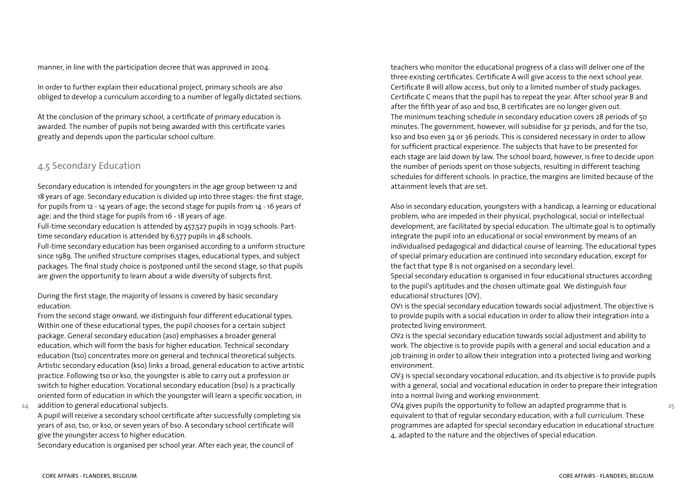manner, in line with the participation decree that was approved in 2004.

In order to further explain their educational project, primary schools are also obliged to develop a curriculum according to a number of legally dictated sections.

At the conclusion of the primary school, a certificate of primary education is awarded. The number of pupils not being awarded with this certificate varies greatly and depends upon the particular school culture.

# **4.5 Secondary Education**

Secondary education is intended for youngsters in the age group between 12 and 18 years of age. Secondary education is divided up into three stages: the first stage, for pupils from 12 - 14 years of age; the second stage for pupils from 14 - 16 years of age; and the third stage for pupils from 16 - 18 years of age.

Full-time secondary education is attended by 457,527 pupils in 1039 schools. Parttime secondary education is attended by 6,577 pupils in 48 schools.

Full-time secondary education has been organised according to a uniform structure since 1989. The unified structure comprises stages, educational types, and subject packages. The final study choice is postponed until the second stage, so that pupils are given the opportunity to learn about a wide diversity of subjects first.

During the first stage, the majority of lessons is covered by basic secondary education.

From the second stage onward, we distinguish four different educational types. Within one of these educational types, the pupil chooses for a certain subject package. General secondary education (aso) emphasises a broader general education, which will form the basis for higher education. Technical secondary education (tso) concentrates more on general and technical theoretical subjects. Artistic secondary education (kso) links a broad, general education to active artistic practice. Following tso or kso, the youngster is able to carry out a profession or switch to higher education. Vocational secondary education (bso) is a practically oriented form of education in which the youngster will learn a specific vocation, in

**24** addition to general educational subjects.

> A pupil will receive a secondary school certificate after successfully completing six years of aso, tso, or kso, or seven years of bso. A secondary school certificate will give the youngster access to higher education.

Secondary education is organised per school year. After each year, the council of

teachers who monitor the educational progress of a class will deliver one of the three existing certificates. Certificate A will give access to the next school year. Certificate B will allow access, but only to a limited number of study packages. Certificate C means that the pupil has to repeat the year. After school year B and after the fifth year of aso and bso, B certificates are no longer given out. The minimum teaching schedule in secondary education covers 28 periods of 50 minutes. The government, however, will subsidise for 32 periods, and for the tso, kso and bso even 34 or 36 periods. This is considered necessary in order to allow for sufficient practical experience. The subjects that have to be presented for each stage are laid down by law. The school board, however, is free to decide upon the number of periods spent on those subjects, resulting in different teaching schedules for different schools. In practice, the margins are limited because of the attainment levels that are set.

Also in secondary education, youngsters with a handicap, a learning or educational problem, who are impeded in their physical, psychological, social or intellectual development, are facilitated by special education. The ultimate goal is to optimally integrate the pupil into an educational or social environment by means of an individualised pedagogical and didactical course of learning. The educational types of special primary education are continued into secondary education, except for the fact that type 8 is not organised on a secondary level.

Special secondary education is organised in four educational structures according to the pupil's aptitudes and the chosen ultimate goal. We distinguish four educational structures (OV).

OV1 is the special secondary education towards social adjustment. The objective is to provide pupils with a social education in order to allow their integration into a protected living environment.

OV2 is the special secondary education towards social adjustment and ability to work. The objective is to provide pupils with a general and social education and a job training in order to allow their integration into a protected living and working environment.

OV3 is special secondary vocational education, and its objective is to provide pupils with a general, social and vocational education in order to prepare their integration into a normal living and working environment.

OV4 gives pupils the opportunity to follow an adapted programme that is equivalent to that of regular secondary education, with a full curriculum. These programmes are adapted for special secondary education in educational structure 4, adapted to the nature and the objectives of special education.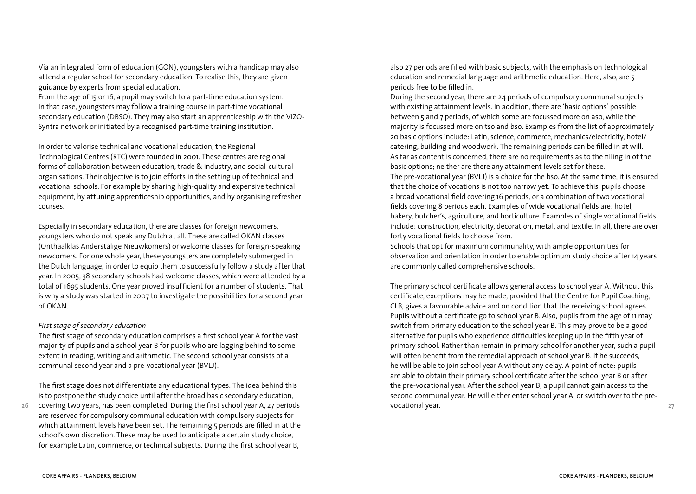Via an integrated form of education (GON), youngsters with a handicap may also attend a regular school for secondary education. To realise this, they are given guidance by experts from special education.

From the age of 15 or 16, a pupil may switch to a part-time education system. In that case, youngsters may follow a training course in part-time vocational secondary education (DBSO). They may also start an apprenticeship with the VIZO-Syntra network or initiated by a recognised part-time training institution.

In order to valorise technical and vocational education, the Regional Technological Centres (RTC) were founded in 2001. These centres are regional forms of collaboration between education, trade & industry, and social-cultural organisations. Their objective is to join efforts in the setting up of technical and vocational schools. For example by sharing high-quality and expensive technical equipment, by attuning apprenticeship opportunities, and by organising refresher courses.

Especially in secondary education, there are classes for foreign newcomers, youngsters who do not speak any Dutch at all. These are called OKAN classes (Onthaalklas Anderstalige Nieuwkomers) or welcome classes for foreign-speaking newcomers. For one whole year, these youngsters are completely submerged in the Dutch language, in order to equip them to successfully follow a study after that year. In 2005, 38 secondary schools had welcome classes, which were attended by a total of 1695 students. One year proved insufficient for a number of students. That is why a study was started in 2007 to investigate the possibilities for a second year of OKAN.

### *First stage of secondary education*

The first stage of secondary education comprises a first school year A for the vast majority of pupils and a school year B for pupils who are lagging behind to some extent in reading, writing and arithmetic. The second school year consists of a communal second year and a pre-vocational year (BVLJ).

The first stage does not differentiate any educational types. The idea behind this is to postpone the study choice until after the broad basic secondary education,

**26** covering two years, has been completed. During the first school year A, 27 periods are reserved for compulsory communal education with compulsory subjects for which attainment levels have been set. The remaining 5 periods are filled in at the school's own discretion. These may be used to anticipate a certain study choice, for example Latin, commerce, or technical subjects. During the first school year B,

also 27 periods are filled with basic subjects, with the emphasis on technological education and remedial language and arithmetic education. Here, also, are 5 periods free to be filled in.

During the second year, there are 24 periods of compulsory communal subjects with existing attainment levels. In addition, there are 'basic options' possible between 5 and 7 periods, of which some are focussed more on aso, while the majority is focussed more on tso and bso. Examples from the list of approximately 20 basic options include: Latin, science, commerce, mechanics/electricity, hotel/ catering, building and woodwork. The remaining periods can be filled in at will. As far as content is concerned, there are no requirements as to the filling in of the basic options; neither are there any attainment levels set for these. The pre-vocational year (BVLJ) is a choice for the bso. At the same time, it is ensured that the choice of vocations is not too narrow yet. To achieve this, pupils choose a broad vocational field covering 16 periods, or a combination of two vocational fields covering 8 periods each. Examples of wide vocational fields are: hotel, bakery, butcher's, agriculture, and horticulture. Examples of single vocational fields include: construction, electricity, decoration, metal, and textile. In all, there are over forty vocational fields to choose from.

Schools that opt for maximum communality, with ample opportunities for observation and orientation in order to enable optimum study choice after 14 years are commonly called comprehensive schools.

The primary school certificate allows general access to school year A. Without this certificate, exceptions may be made, provided that the Centre for Pupil Coaching, CLB, gives a favourable advice and on condition that the receiving school agrees. Pupils without a certificate go to school year B. Also, pupils from the age of 11 may switch from primary education to the school year B. This may prove to be a good alternative for pupils who experience difficulties keeping up in the fifth year of primary school. Rather than remain in primary school for another year, such a pupil will often benefit from the remedial approach of school year B. If he succeeds, he will be able to join school year A without any delay. A point of note: pupils are able to obtain their primary school certificate after the school year B or after the pre-vocational year. After the school year B, a pupil cannot gain access to the second communal year. He will either enter school year A, or switch over to the prevocational year.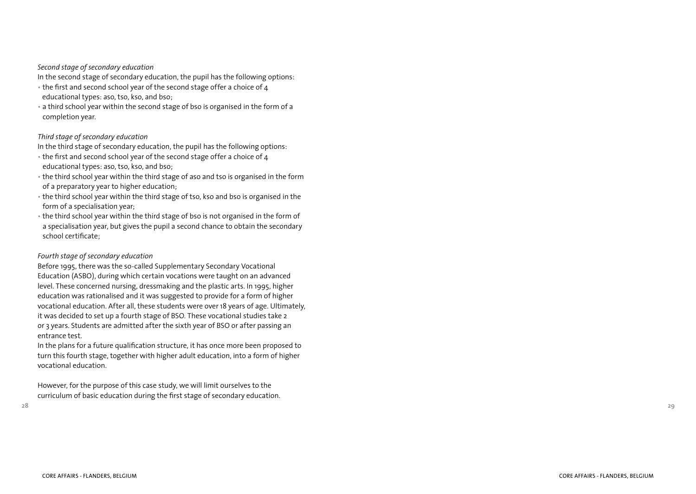### *Second stage of secondary education*

In the second stage of secondary education, the pupil has the following options:

- the first and second school year of the second stage offer a choice of  $4$ educational types: aso, tso, kso, and bso;
- a third school year within the second stage of bso is organised in the form of a completion year.

#### *Third stage of secondary education*

In the third stage of secondary education, the pupil has the following options:

- the first and second school year of the second stage offer a choice of 4 educational types: aso, tso, kso, and bso;
- the third school year within the third stage of aso and tso is organised in the form of a preparatory year to higher education;
- the third school year within the third stage of tso, kso and bso is organised in the form of a specialisation year;
- the third school year within the third stage of bso is not organised in the form of a specialisation year, but gives the pupil a second chance to obtain the secondary school certificate;

#### *Fourth stage of secondary education*

Before 1995, there was the so-called Supplementary Secondary Vocational Education (ASBO), during which certain vocations were taught on an advanced level. These concerned nursing, dressmaking and the plastic arts. In 1995, higher education was rationalised and it was suggested to provide for a form of higher vocational education. After all, these students were over 18 years of age. Ultimately, it was decided to set up a fourth stage of BSO. These vocational studies take 2 or 3 years. Students are admitted after the sixth year of BSO or after passing an entrance test.

In the plans for a future qualification structure, it has once more been proposed to turn this fourth stage, together with higher adult education, into a form of higher vocational education.

However, for the purpose of this case study, we will limit ourselves to the curriculum of basic education during the first stage of secondary education.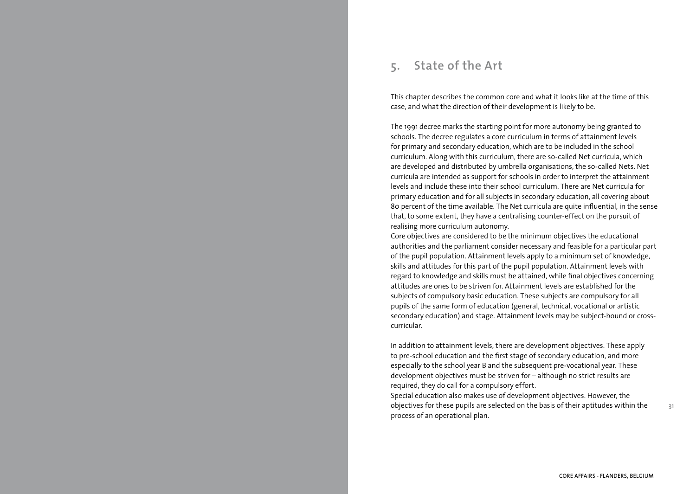# **5. State of the Art**

This chapter describes the common core and what it looks like at the time of this case, and what the direction of their development is likely to be.

The 1991 decree marks the starting point for more autonomy being granted to schools. The decree regulates a core curriculum in terms of attainment levels for primary and secondary education, which are to be included in the school curriculum. Along with this curriculum, there are so-called Net curricula, which are developed and distributed by umbrella organisations, the so-called Nets. Net curricula are intended as support for schools in order to interpret the attainment levels and include these into their school curriculum. There are Net curricula for primary education and for all subjects in secondary education, all covering about 80 percent of the time available. The Net curricula are quite influential, in the sense that, to some extent, they have a centralising counter-effect on the pursuit of realising more curriculum autonomy.

Core objectives are considered to be the minimum objectives the educational authorities and the parliament consider necessary and feasible for a particular part of the pupil population. Attainment levels apply to a minimum set of knowledge, skills and attitudes for this part of the pupil population. Attainment levels with regard to knowledge and skills must be attained, while final objectives concerning attitudes are ones to be striven for. Attainment levels are established for the subjects of compulsory basic education. These subjects are compulsory for all pupils of the same form of education (general, technical, vocational or artistic secondary education) and stage. Attainment levels may be subject-bound or crosscurricular.

In addition to attainment levels, there are development objectives. These apply to pre-school education and the first stage of secondary education, and more especially to the school year B and the subsequent pre-vocational year. These development objectives must be striven for – although no strict results are required, they do call for a compulsory effort.

Special education also makes use of development objectives. However, the objectives for these pupils are selected on the basis of their aptitudes within the process of an operational plan.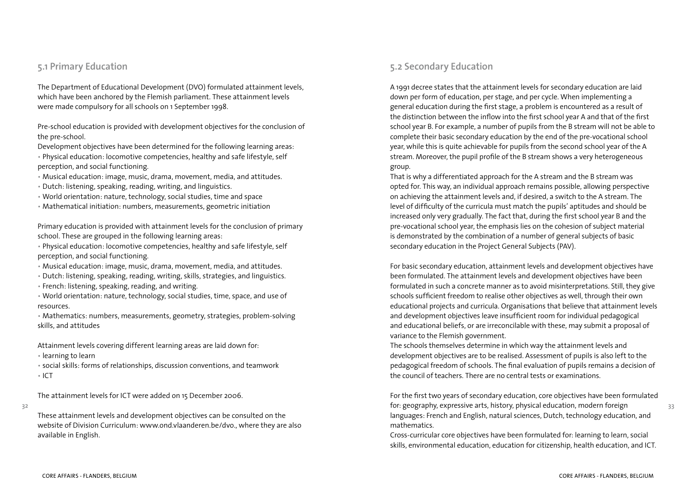### **5.1 Primary Education**

The Department of Educational Development (DVO) formulated attainment levels, which have been anchored by the Flemish parliament. These attainment levels were made compulsory for all schools on 1 September 1998.

Pre-school education is provided with development objectives for the conclusion of the pre-school.

Development objectives have been determined for the following learning areas:

• Physical education: locomotive competencies, healthy and safe lifestyle, self perception, and social functioning.

- Musical education: image, music, drama, movement, media, and attitudes.
- Dutch: listening, speaking, reading, writing, and linguistics.
- World orientation: nature, technology, social studies, time and space
- Mathematical initiation: numbers, measurements, geometric initiation

Primary education is provided with attainment levels for the conclusion of primary school. These are grouped in the following learning areas:

• Physical education: locomotive competencies, healthy and safe lifestyle, self perception, and social functioning.

- Musical education: image, music, drama, movement, media, and attitudes.
- Dutch: listening, speaking, reading, writing, skills, strategies, and linguistics.
- French: listening, speaking, reading, and writing.
- World orientation: nature, technology, social studies, time, space, and use of resources.

• Mathematics: numbers, measurements, geometry, strategies, problem-solving skills, and attitudes

Attainment levels covering different learning areas are laid down for:

- learning to learn
- social skills: forms of relationships, discussion conventions, and teamwork • ICT

The attainment levels for ICT were added on 15 December 2006.

**32**

These attainment levels and development objectives can be consulted on the website of Division Curriculum: www.ond.vlaanderen.be/dvo., where they are also available in English.

# **5.2 Secondary Education**

A 1991 decree states that the attainment levels for secondary education are laid down per form of education, per stage, and per cycle. When implementing a general education during the first stage, a problem is encountered as a result of the distinction between the inflow into the first school year A and that of the first school year B. For example, a number of pupils from the B stream will not be able to complete their basic secondary education by the end of the pre-vocational school year, while this is quite achievable for pupils from the second school year of the A stream. Moreover, the pupil profile of the B stream shows a very heterogeneous group.

That is why a differentiated approach for the A stream and the B stream was opted for. This way, an individual approach remains possible, allowing perspective on achieving the attainment levels and, if desired, a switch to the A stream. The level of difficulty of the curricula must match the pupils' aptitudes and should be increased only very gradually. The fact that, during the first school year B and the pre-vocational school year, the emphasis lies on the cohesion of subject material is demonstrated by the combination of a number of general subjects of basic secondary education in the Project General Subjects (PAV).

For basic secondary education, attainment levels and development objectives have been formulated. The attainment levels and development objectives have been formulated in such a concrete manner as to avoid misinterpretations. Still, they give schools sufficient freedom to realise other objectives as well, through their own educational projects and curricula. Organisations that believe that attainment levels and development objectives leave insufficient room for individual pedagogical and educational beliefs, or are irreconcilable with these, may submit a proposal of variance to the Flemish government.

The schools themselves determine in which way the attainment levels and development objectives are to be realised. Assessment of pupils is also left to the pedagogical freedom of schools. The final evaluation of pupils remains a decision of the council of teachers. There are no central tests or examinations.

For the first two years of secondary education, core objectives have been formulated for: geography, expressive arts, history, physical education, modern foreign languages: French and English, natural sciences, Dutch, technology education, and mathematics.

Cross-curricular core objectives have been formulated for: learning to learn, social skills, environmental education, education for citizenship, health education, and ICT.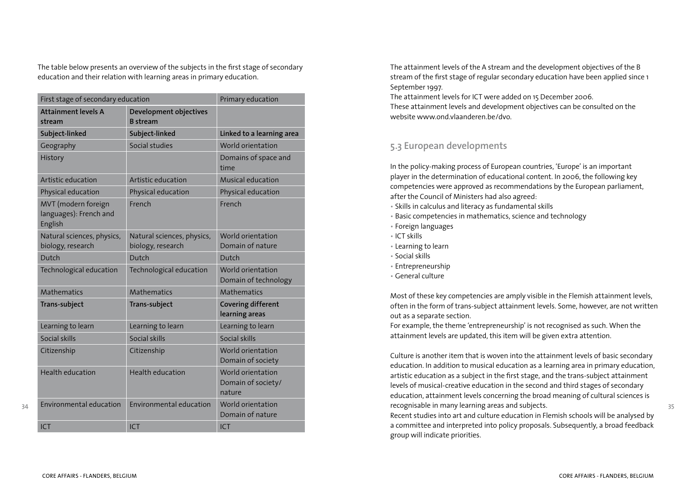The table below presents an overview of the subjects in the first stage of secondary education and their relation with learning areas in primary education.

|                                                          | First stage of secondary education              |                                                   |  |
|----------------------------------------------------------|-------------------------------------------------|---------------------------------------------------|--|
| <b>Attainment levels A</b><br>stream                     | Development objectives<br><b>B</b> stream       |                                                   |  |
| Subject-linked                                           | Subject-linked                                  | Linked to a learning area                         |  |
| Geography                                                | Social studies                                  | World orientation                                 |  |
| History                                                  |                                                 | Domains of space and<br>time                      |  |
| Artistic education                                       | Artistic education                              | Musical education                                 |  |
| Physical education                                       | Physical education                              | Physical education                                |  |
| MVT (modern foreign<br>languages): French and<br>English | French                                          | French                                            |  |
| Natural sciences, physics,<br>biology, research          | Natural sciences, physics,<br>biology, research | World orientation<br>Domain of nature             |  |
| Dutch                                                    | Dutch                                           | Dutch                                             |  |
| Technological education                                  | Technological education                         | World orientation<br>Domain of technology         |  |
| Mathematics                                              | Mathematics                                     | Mathematics                                       |  |
| Trans-subject                                            | Trans-subject                                   | <b>Covering different</b><br>learning areas       |  |
| Learning to learn                                        | Learning to learn                               | Learning to learn                                 |  |
| Social skills                                            | Social skills                                   | Social skills                                     |  |
| Citizenship                                              | Citizenship                                     | World orientation<br>Domain of society            |  |
| <b>Health education</b>                                  | <b>Health education</b>                         | World orientation<br>Domain of society/<br>nature |  |
| Environmental education                                  | Environmental education                         | World orientation<br>Domain of nature             |  |
| <b>ICT</b>                                               | <b>ICT</b>                                      | <b>ICT</b>                                        |  |

The attainment levels of the A stream and the development objectives of the B stream of the first stage of regular secondary education have been applied since 1 September 1997.

The attainment levels for ICT were added on 15 December 2006. These attainment levels and development objectives can be consulted on the website www.ond.vlaanderen.be/dvo.

# **5.3 European developments**

In the policy-making process of European countries, 'Europe' is an important player in the determination of educational content. In 2006, the following key competencies were approved as recommendations by the European parliament, after the Council of Ministers had also agreed:

- Skills in calculus and literacy as fundamental skills
- Basic competencies in mathematics, science and technology
- Foreign languages
- ICT skills
- Learning to learn
- Social skills
- Entrepreneurship
- General culture

Most of these key competencies are amply visible in the Flemish attainment levels, often in the form of trans-subject attainment levels. Some, however, are not written out as a separate section.

For example, the theme 'entrepreneurship' is not recognised as such. When the attainment levels are updated, this item will be given extra attention.

Culture is another item that is woven into the attainment levels of basic secondary education. In addition to musical education as a learning area in primary education, artistic education as a subject in the first stage, and the trans-subject attainment levels of musical-creative education in the second and third stages of secondary education, attainment levels concerning the broad meaning of cultural sciences is recognisable in many learning areas and subjects.

Recent studies into art and culture education in Flemish schools will be analysed by a committee and interpreted into policy proposals. Subsequently, a broad feedback group will indicate priorities.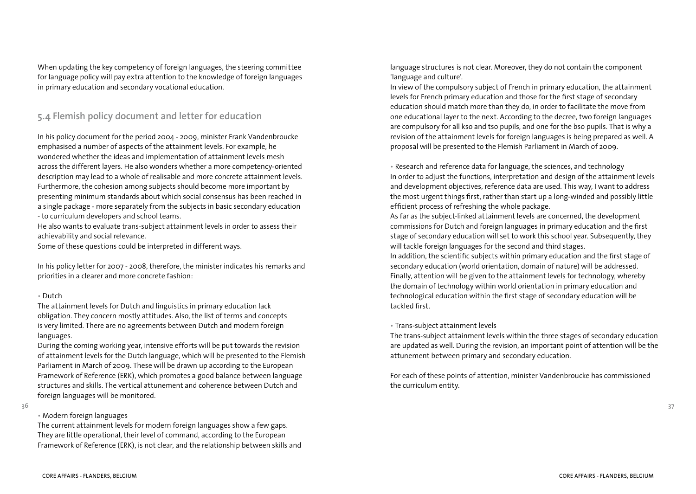When updating the key competency of foreign languages, the steering committee for language policy will pay extra attention to the knowledge of foreign languages in primary education and secondary vocational education.

### **5.4 Flemish policy document and letter for education**

In his policy document for the period 2004 - 2009, minister Frank Vandenbroucke emphasised a number of aspects of the attainment levels. For example, he wondered whether the ideas and implementation of attainment levels mesh across the different layers. He also wonders whether a more competency-oriented description may lead to a whole of realisable and more concrete attainment levels. Furthermore, the cohesion among subjects should become more important by presenting minimum standards about which social consensus has been reached in a single package - more separately from the subjects in basic secondary education - to curriculum developers and school teams.

He also wants to evaluate trans-subject attainment levels in order to assess their achievability and social relevance.

Some of these questions could be interpreted in different ways.

In his policy letter for 2007 - 2008, therefore, the minister indicates his remarks and priorities in a clearer and more concrete fashion:

#### • Dutch

The attainment levels for Dutch and linguistics in primary education lack obligation. They concern mostly attitudes. Also, the list of terms and concepts is very limited. There are no agreements between Dutch and modern foreign languages.

During the coming working year, intensive efforts will be put towards the revision of attainment levels for the Dutch language, which will be presented to the Flemish Parliament in March of 2009. These will be drawn up according to the European Framework of Reference (ERK), which promotes a good balance between language structures and skills. The vertical attunement and coherence between Dutch and foreign languages will be monitored.

### • Modern foreign languages

The current attainment levels for modern foreign languages show a few gaps. They are little operational, their level of command, according to the European Framework of Reference (ERK), is not clear, and the relationship between skills and language structures is not clear. Moreover, they do not contain the component 'language and culture'.

In view of the compulsory subject of French in primary education, the attainment levels for French primary education and those for the first stage of secondary education should match more than they do, in order to facilitate the move from one educational layer to the next. According to the decree, two foreign languages are compulsory for all kso and tso pupils, and one for the bso pupils. That is why a revision of the attainment levels for foreign languages is being prepared as well. A proposal will be presented to the Flemish Parliament in March of 2009.

• Research and reference data for language, the sciences, and technology In order to adjust the functions, interpretation and design of the attainment levels and development objectives, reference data are used. This way, I want to address the most urgent things first, rather than start up a long-winded and possibly little efficient process of refreshing the whole package.

As far as the subject-linked attainment levels are concerned, the development commissions for Dutch and foreign languages in primary education and the first stage of secondary education will set to work this school year. Subsequently, they will tackle foreign languages for the second and third stages.

In addition, the scientific subjects within primary education and the first stage of secondary education (world orientation, domain of nature) will be addressed. Finally, attention will be given to the attainment levels for technology, whereby the domain of technology within world orientation in primary education and technological education within the first stage of secondary education will be tackled first.

### • Trans-subject attainment levels

The trans-subject attainment levels within the three stages of secondary education are updated as well. During the revision, an important point of attention will be the attunement between primary and secondary education.

For each of these points of attention, minister Vandenbroucke has commissioned the curriculum entity.

**<sup>36</sup>**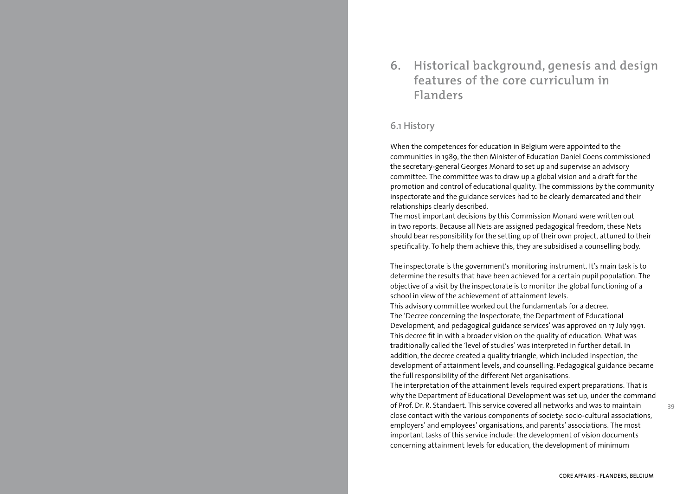# **6. Historical background, genesis and design features of the core curriculum in Flanders**

### **6.1 History**

When the competences for education in Belgium were appointed to the communities in 1989, the then Minister of Education Daniel Coens commissioned the secretary-general Georges Monard to set up and supervise an advisory committee. The committee was to draw up a global vision and a draft for the promotion and control of educational quality. The commissions by the community inspectorate and the guidance services had to be clearly demarcated and their relationships clearly described.

The most important decisions by this Commission Monard were written out in two reports. Because all Nets are assigned pedagogical freedom, these Nets should bear responsibility for the setting up of their own project, attuned to their specificality. To help them achieve this, they are subsidised a counselling body.

The inspectorate is the government's monitoring instrument. It's main task is to determine the results that have been achieved for a certain pupil population. The objective of a visit by the inspectorate is to monitor the global functioning of a school in view of the achievement of attainment levels.

This advisory committee worked out the fundamentals for a decree. The 'Decree concerning the Inspectorate, the Department of Educational Development, and pedagogical guidance services' was approved on 17 July 1991. This decree fit in with a broader vision on the quality of education. What was traditionally called the 'level of studies' was interpreted in further detail. In addition, the decree created a quality triangle, which included inspection, the development of attainment levels, and counselling. Pedagogical guidance became the full responsibility of the different Net organisations.

The interpretation of the attainment levels required expert preparations. That is why the Department of Educational Development was set up, under the command of Prof. Dr. R. Standaert. This service covered all networks and was to maintain close contact with the various components of society: socio-cultural associations, employers' and employees' organisations, and parents' associations. The most important tasks of this service include: the development of vision documents concerning attainment levels for education, the development of minimum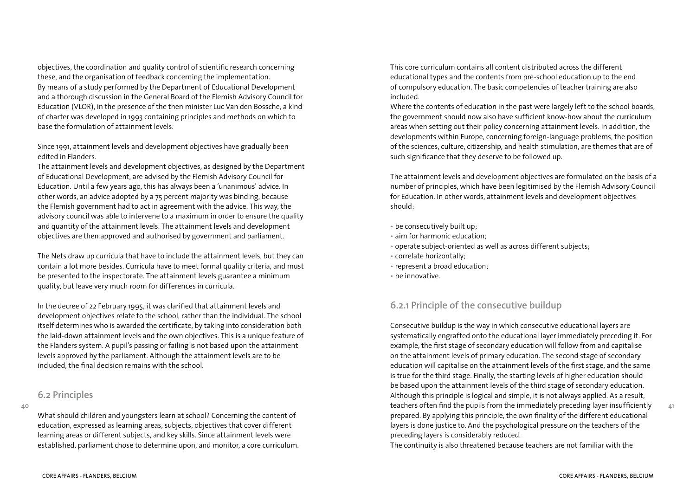objectives, the coordination and quality control of scientific research concerning these, and the organisation of feedback concerning the implementation. By means of a study performed by the Department of Educational Development and a thorough discussion in the General Board of the Flemish Advisory Council for Education (VLOR), in the presence of the then minister Luc Van den Bossche, a kind of charter was developed in 1993 containing principles and methods on which to base the formulation of attainment levels.

Since 1991, attainment levels and development objectives have gradually been edited in Flanders.

The attainment levels and development objectives, as designed by the Department of Educational Development, are advised by the Flemish Advisory Council for Education. Until a few years ago, this has always been a 'unanimous' advice. In other words, an advice adopted by a 75 percent majority was binding, because the Flemish government had to act in agreement with the advice. This way, the advisory council was able to intervene to a maximum in order to ensure the quality and quantity of the attainment levels. The attainment levels and development objectives are then approved and authorised by government and parliament.

The Nets draw up curricula that have to include the attainment levels, but they can contain a lot more besides. Curricula have to meet formal quality criteria, and must be presented to the inspectorate. The attainment levels guarantee a minimum quality, but leave very much room for differences in curricula.

In the decree of 22 February 1995, it was clarified that attainment levels and development objectives relate to the school, rather than the individual. The school itself determines who is awarded the certificate, by taking into consideration both the laid-down attainment levels and the own objectives. This is a unique feature of the Flanders system. A pupil's passing or failing is not based upon the attainment levels approved by the parliament. Although the attainment levels are to be included, the final decision remains with the school.

### **6.2 Principles**

#### **40**

What should children and youngsters learn at school? Concerning the content of education, expressed as learning areas, subjects, objectives that cover different learning areas or different subjects, and key skills. Since attainment levels were established, parliament chose to determine upon, and monitor, a core curriculum. This core curriculum contains all content distributed across the different educational types and the contents from pre-school education up to the end of compulsory education. The basic competencies of teacher training are also included.

Where the contents of education in the past were largely left to the school boards, the government should now also have sufficient know-how about the curriculum areas when setting out their policy concerning attainment levels. In addition, the developments within Europe, concerning foreign-language problems, the position of the sciences, culture, citizenship, and health stimulation, are themes that are of such significance that they deserve to be followed up.

The attainment levels and development objectives are formulated on the basis of a number of principles, which have been legitimised by the Flemish Advisory Council for Education. In other words, attainment levels and development objectives should:

- be consecutively built up;
- aim for harmonic education;
- operate subject-oriented as well as across different subjects;
- correlate horizontally;
- represent a broad education;
- be innovative.

# **6.2.1 Principle of the consecutive buildup**

Consecutive buildup is the way in which consecutive educational layers are systematically engrafted onto the educational layer immediately preceding it. For example, the first stage of secondary education will follow from and capitalise on the attainment levels of primary education. The second stage of secondary education will capitalise on the attainment levels of the first stage, and the same is true for the third stage. Finally, the starting levels of higher education should be based upon the attainment levels of the third stage of secondary education. Although this principle is logical and simple, it is not always applied. As a result, teachers often find the pupils from the immediately preceding layer insufficiently prepared. By applying this principle, the own finality of the different educational layers is done justice to. And the psychological pressure on the teachers of the preceding layers is considerably reduced.

The continuity is also threatened because teachers are not familiar with the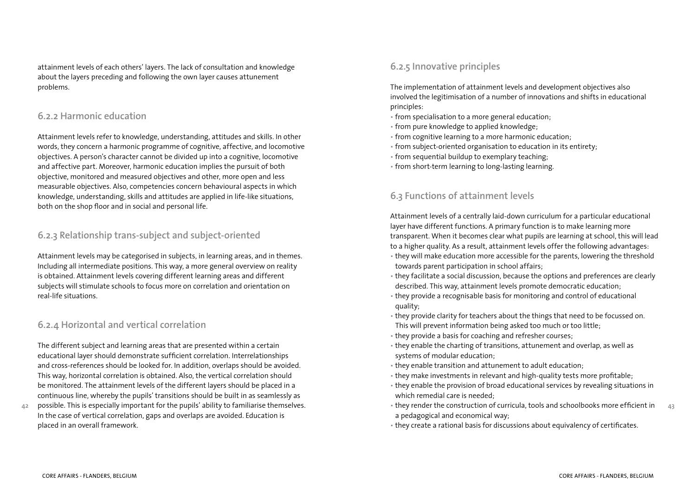attainment levels of each others' layers. The lack of consultation and knowledge about the layers preceding and following the own layer causes attunement problems.

### **6.2.2 Harmonic education**

Attainment levels refer to knowledge, understanding, attitudes and skills. In other words, they concern a harmonic programme of cognitive, affective, and locomotive objectives. A person's character cannot be divided up into a cognitive, locomotive and affective part. Moreover, harmonic education implies the pursuit of both objective, monitored and measured objectives and other, more open and less measurable objectives. Also, competencies concern behavioural aspects in which knowledge, understanding, skills and attitudes are applied in life-like situations, both on the shop floor and in social and personal life.

# **6.2.3 Relationship trans-subject and subject-oriented**

Attainment levels may be categorised in subjects, in learning areas, and in themes. Including all intermediate positions. This way, a more general overview on reality is obtained. Attainment levels covering different learning areas and different subjects will stimulate schools to focus more on correlation and orientation on real-life situations.

### **6.2.4 Horizontal and vertical correlation**

The different subject and learning areas that are presented within a certain educational layer should demonstrate sufficient correlation. Interrelationships and cross-references should be looked for. In addition, overlaps should be avoided. This way, horizontal correlation is obtained. Also, the vertical correlation should be monitored. The attainment levels of the different layers should be placed in a continuous line, whereby the pupils' transitions should be built in as seamlessly as

**42** possible. This is especially important for the pupils' ability to familiarise themselves. In the case of vertical correlation, gaps and overlaps are avoided. Education is placed in an overall framework.

### **6.2.5 Innovative principles**

The implementation of attainment levels and development objectives also involved the legitimisation of a number of innovations and shifts in educational principles:

- from specialisation to a more general education;
- from pure knowledge to applied knowledge;
- from cognitive learning to a more harmonic education;
- from subject-oriented organisation to education in its entirety;
- from sequential buildup to exemplary teaching;
- from short-term learning to long-lasting learning.

### **6.3 Functions of attainment levels**

Attainment levels of a centrally laid-down curriculum for a particular educational layer have different functions. A primary function is to make learning more transparent. When it becomes clear what pupils are learning at school, this will lead to a higher quality. As a result, attainment levels offer the following advantages:

- they will make education more accessible for the parents, lowering the threshold towards parent participation in school affairs;
- they facilitate a social discussion, because the options and preferences are clearly described. This way, attainment levels promote democratic education;
- they provide a recognisable basis for monitoring and control of educational quality;
- they provide clarity for teachers about the things that need to be focussed on. This will prevent information being asked too much or too little;
- they provide a basis for coaching and refresher courses;
- they enable the charting of transitions, attunement and overlap, as well as systems of modular education;
- they enable transition and attunement to adult education;
- they make investments in relevant and high-quality tests more profitable;
- they enable the provision of broad educational services by revealing situations in which remedial care is needed;
- **43** • they render the construction of curricula, tools and schoolbooks more efficient in a pedagogical and economical way;
- they create a rational basis for discussions about equivalency of certificates.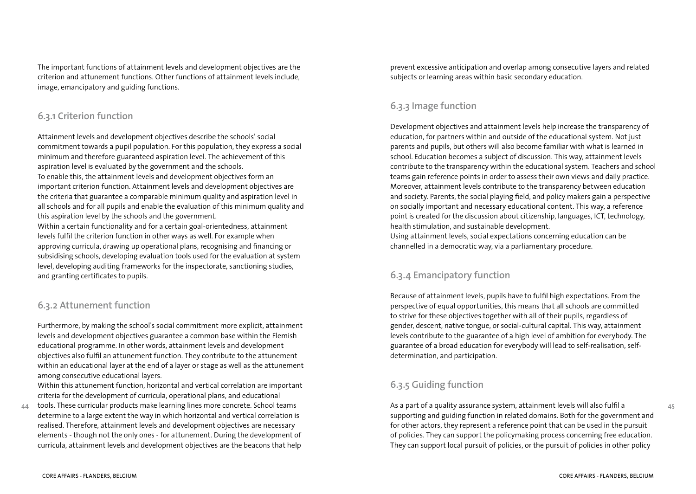The important functions of attainment levels and development objectives are the criterion and attunement functions. Other functions of attainment levels include, image, emancipatory and guiding functions.

### **6.3.1 Criterion function**

Attainment levels and development objectives describe the schools' social commitment towards a pupil population. For this population, they express a social minimum and therefore guaranteed aspiration level. The achievement of this aspiration level is evaluated by the government and the schools. To enable this, the attainment levels and development objectives form an important criterion function. Attainment levels and development objectives are the criteria that guarantee a comparable minimum quality and aspiration level in all schools and for all pupils and enable the evaluation of this minimum quality and this aspiration level by the schools and the government.

Within a certain functionality and for a certain goal-orientedness, attainment levels fulfil the criterion function in other ways as well. For example when approving curricula, drawing up operational plans, recognising and financing or subsidising schools, developing evaluation tools used for the evaluation at system level, developing auditing frameworks for the inspectorate, sanctioning studies, and granting certificates to pupils.

# **6.3.2 Attunement function**

Furthermore, by making the school's social commitment more explicit, attainment levels and development objectives guarantee a common base within the Flemish educational programme. In other words, attainment levels and development objectives also fulfil an attunement function. They contribute to the attunement within an educational layer at the end of a layer or stage as well as the attunement among consecutive educational layers.

Within this attunement function, horizontal and vertical correlation are important criteria for the development of curricula, operational plans, and educational

**44** tools. These curricular products make learning lines more concrete. School teams determine to a large extent the way in which horizontal and vertical correlation is realised. Therefore, attainment levels and development objectives are necessary elements - though not the only ones - for attunement. During the development of curricula, attainment levels and development objectives are the beacons that help prevent excessive anticipation and overlap among consecutive layers and related subjects or learning areas within basic secondary education.

# **6.3.3 Image function**

Development objectives and attainment levels help increase the transparency of education, for partners within and outside of the educational system. Not just parents and pupils, but others will also become familiar with what is learned in school. Education becomes a subject of discussion. This way, attainment levels contribute to the transparency within the educational system. Teachers and school teams gain reference points in order to assess their own views and daily practice. Moreover, attainment levels contribute to the transparency between education and society. Parents, the social playing field, and policy makers gain a perspective on socially important and necessary educational content. This way, a reference point is created for the discussion about citizenship, languages, ICT, technology, health stimulation, and sustainable development.

Using attainment levels, social expectations concerning education can be channelled in a democratic way, via a parliamentary procedure.

# **6.3.4 Emancipatory function**

Because of attainment levels, pupils have to fulfil high expectations. From the perspective of equal opportunities, this means that all schools are committed to strive for these objectives together with all of their pupils, regardless of gender, descent, native tongue, or social-cultural capital. This way, attainment levels contribute to the guarantee of a high level of ambition for everybody. The guarantee of a broad education for everybody will lead to self-realisation, selfdetermination, and participation.

# **6.3.5 Guiding function**

As a part of a quality assurance system, attainment levels will also fulfil a supporting and guiding function in related domains. Both for the government and for other actors, they represent a reference point that can be used in the pursuit of policies. They can support the policymaking process concerning free education. They can support local pursuit of policies, or the pursuit of policies in other policy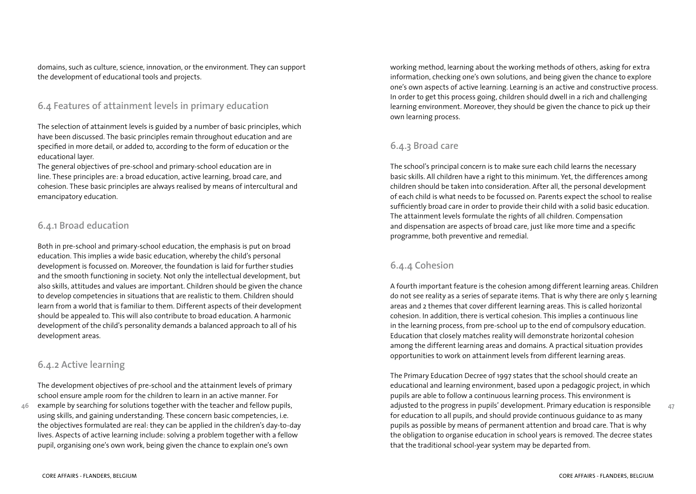domains, such as culture, science, innovation, or the environment. They can support the development of educational tools and projects.

### **6.4 Features of attainment levels in primary education**

The selection of attainment levels is guided by a number of basic principles, which have been discussed. The basic principles remain throughout education and are specified in more detail, or added to, according to the form of education or the educational layer.

The general objectives of pre-school and primary-school education are in line. These principles are: a broad education, active learning, broad care, and cohesion. These basic principles are always realised by means of intercultural and emancipatory education.

### **6.4.1 Broad education**

Both in pre-school and primary-school education, the emphasis is put on broad education. This implies a wide basic education, whereby the child's personal development is focussed on. Moreover, the foundation is laid for further studies and the smooth functioning in society. Not only the intellectual development, but also skills, attitudes and values are important. Children should be given the chance to develop competencies in situations that are realistic to them. Children should learn from a world that is familiar to them. Different aspects of their development should be appealed to. This will also contribute to broad education. A harmonic development of the child's personality demands a balanced approach to all of his development areas.

# **6.4.2 Active learning**

The development objectives of pre-school and the attainment levels of primary school ensure ample room for the children to learn in an active manner. For

**46** example by searching for solutions together with the teacher and fellow pupils, using skills, and gaining understanding. These concern basic competencies, i.e. the objectives formulated are real: they can be applied in the children's day-to-day lives. Aspects of active learning include: solving a problem together with a fellow pupil, organising one's own work, being given the chance to explain one's own

working method, learning about the working methods of others, asking for extra information, checking one's own solutions, and being given the chance to explore one's own aspects of active learning. Learning is an active and constructive process. In order to get this process going, children should dwell in a rich and challenging learning environment. Moreover, they should be given the chance to pick up their own learning process.

# **6.4.3 Broad care**

The school's principal concern is to make sure each child learns the necessary basic skills. All children have a right to this minimum. Yet, the differences among children should be taken into consideration. After all, the personal development of each child is what needs to be focussed on. Parents expect the school to realise sufficiently broad care in order to provide their child with a solid basic education. The attainment levels formulate the rights of all children. Compensation and dispensation are aspects of broad care, just like more time and a specific programme, both preventive and remedial.

# **6.4.4 Cohesion**

A fourth important feature is the cohesion among different learning areas. Children do not see reality as a series of separate items. That is why there are only 5 learning areas and 2 themes that cover different learning areas. This is called horizontal cohesion. In addition, there is vertical cohesion. This implies a continuous line in the learning process, from pre-school up to the end of compulsory education. Education that closely matches reality will demonstrate horizontal cohesion among the different learning areas and domains. A practical situation provides opportunities to work on attainment levels from different learning areas.

The Primary Education Decree of 1997 states that the school should create an educational and learning environment, based upon a pedagogic project, in which pupils are able to follow a continuous learning process. This environment is adjusted to the progress in pupils' development. Primary education is responsible for education to all pupils, and should provide continuous guidance to as many pupils as possible by means of permanent attention and broad care. That is why the obligation to organise education in school years is removed. The decree states that the traditional school-year system may be departed from.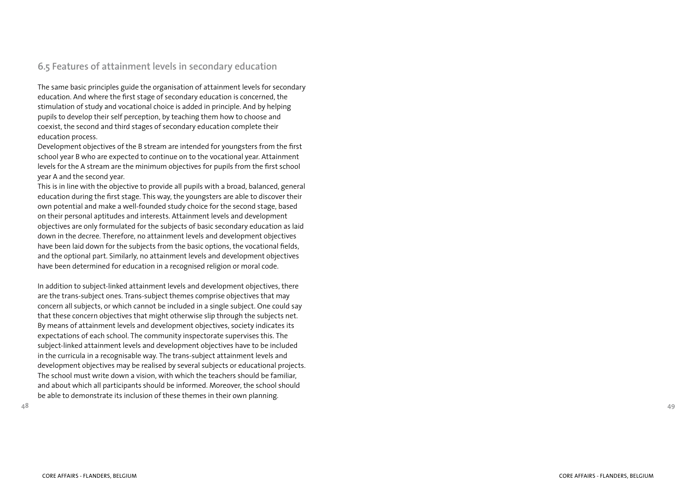# **6 .5 Features of attainment levels in secondary education**

The same basic principles guide the organisation of attainment levels for secondary education. And where the first stage of secondary education is concerned, the stimulation of study and vocational choice is added in principle. And by helping pupils to develop their self perception, by teaching them how to choose and coexist, the second and third stages of secondary education complete their education process.

Development objectives of the B stream are intended for youngsters from the first school year B who are expected to continue on to the vocational year. Attainment levels for the A stream are the minimum objectives for pupils from the first school year A and the second year.

This is in line with the objective to provide all pupils with a broad, balanced, general education during the first stage. This way, the youngsters are able to discover their own potential and make a well-founded study choice for the second stage, based on their personal aptitudes and interests. Attainment levels and development objectives are only formulated for the subjects of basic secondary education as laid down in the decree. Therefore, no attainment levels and development objectives have been laid down for the subjects from the basic options, the vocational fields, and the optional part. Similarly, no attainment levels and development objectives have been determined for education in a recognised religion or moral code.

In addition to subject-linked attainment levels and development objectives, there are the trans-subject ones. Trans-subject themes comprise objectives that may concern all subjects, or which cannot be included in a single subject. One could say that these concern objectives that might otherwise slip through the subjects net. By means of attainment levels and development objectives, society indicates its expectations of each school. The community inspectorate supervises this. The subject-linked attainment levels and development objectives have to be included in the curricula in a recognisable way. The trans-subject attainment levels and development objectives may be realised by several subjects or educational projects. The school must write down a vision, with which the teachers should be familiar, and about which all participants should be informed. Moreover, the school should be able to demonstrate its inclusion of these themes in their own planning.

**4 8**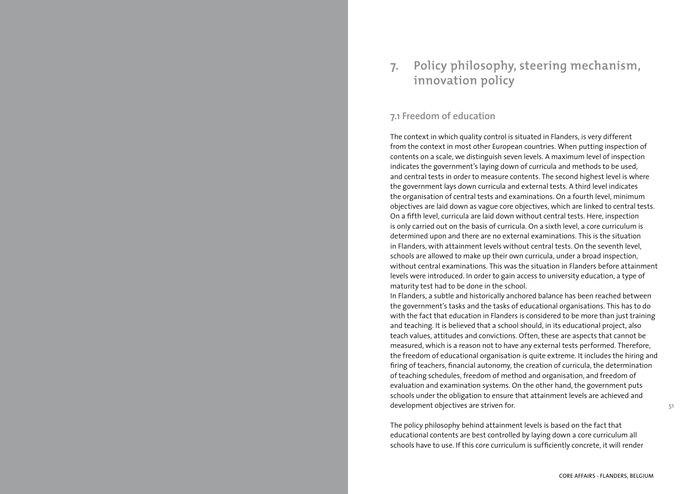# **7. Policy philosophy, steering mechanism, innovation policy**

### **7.1 Freedom of education**

The context in which quality control is situated in Flanders, is very different from the context in most other European countries. When putting inspection of contents on a scale, we distinguish seven levels. A maximum level of inspection indicates the government's laying down of curricula and methods to be used, and central tests in order to measure contents. The second highest level is where the government lays down curricula and external tests. A third level indicates the organisation of central tests and examinations. On a fourth level, minimum objectives are laid down as vague core objectives, which are linked to central tests. On a fifth level, curricula are laid down without central tests. Here, inspection is only carried out on the basis of curricula. On a sixth level, a core curriculum is determined upon and there are no external examinations. This is the situation in Flanders, with attainment levels without central tests. On the seventh level, schools are allowed to make up their own curricula, under a broad inspection, without central examinations. This was the situation in Flanders before attainment levels were introduced. In order to gain access to university education, a type of maturity test had to be done in the school.

In Flanders, a subtle and historically anchored balance has been reached between the government's tasks and the tasks of educational organisations. This has to do with the fact that education in Flanders is considered to be more than just training and teaching. It is believed that a school should, in its educational project, also teach values, attitudes and convictions. Often, these are aspects that cannot be measured, which is a reason not to have any external tests performed. Therefore, the freedom of educational organisation is quite extreme. It includes the hiring and firing of teachers, financial autonomy, the creation of curricula, the determination of teaching schedules, freedom of method and organisation, and freedom of evaluation and examination systems. On the other hand, the government puts schools under the obligation to ensure that attainment levels are achieved and development objectives are striven for.

The policy philosophy behind attainment levels is based on the fact that educational contents are best controlled by laying down a core curriculum all schools have to use. If this core curriculum is sufficiently concrete, it will render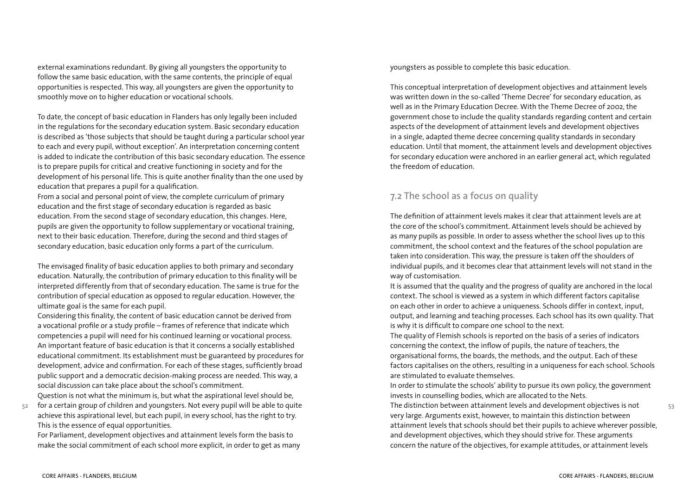external examinations redundant. By giving all youngsters the opportunity to follow the same basic education, with the same contents, the principle of equal opportunities is respected. This way, all youngsters are given the opportunity to smoothly move on to higher education or vocational schools.

To date, the concept of basic education in Flanders has only legally been included in the regulations for the secondary education system. Basic secondary education is described as 'those subjects that should be taught during a particular school year to each and every pupil, without exception'. An interpretation concerning content is added to indicate the contribution of this basic secondary education. The essence is to prepare pupils for critical and creative functioning in society and for the development of his personal life. This is quite another finality than the one used by education that prepares a pupil for a qualification.

From a social and personal point of view, the complete curriculum of primary education and the first stage of secondary education is regarded as basic education. From the second stage of secondary education, this changes. Here, pupils are given the opportunity to follow supplementary or vocational training, next to their basic education. Therefore, during the second and third stages of secondary education, basic education only forms a part of the curriculum.

The envisaged finality of basic education applies to both primary and secondary education. Naturally, the contribution of primary education to this finality will be interpreted differently from that of secondary education. The same is true for the contribution of special education as opposed to regular education. However, the ultimate goal is the same for each pupil.

Considering this finality, the content of basic education cannot be derived from a vocational profile or a study profile – frames of reference that indicate which competencies a pupil will need for his continued learning or vocational process. An important feature of basic education is that it concerns a socially established educational commitment. Its establishment must be guaranteed by procedures for development, advice and confirmation. For each of these stages, sufficiently broad public support and a democratic decision-making process are needed. This way, a social discussion can take place about the school's commitment.

Question is not what the minimum is, but what the aspirational level should be,

**52** for a certain group of children and youngsters. Not every pupil will be able to quite achieve this aspirational level, but each pupil, in every school, has the right to try. This is the essence of equal opportunities.

For Parliament, development objectives and attainment levels form the basis to make the social commitment of each school more explicit, in order to get as many youngsters as possible to complete this basic education.

This conceptual interpretation of development objectives and attainment levels was written down in the so-called 'Theme Decree' for secondary education, as well as in the Primary Education Decree. With the Theme Decree of 2002, the government chose to include the quality standards regarding content and certain aspects of the development of attainment levels and development objectives in a single, adapted theme decree concerning quality standards in secondary education. Until that moment, the attainment levels and development objectives for secondary education were anchored in an earlier general act, which regulated the freedom of education.

# **7.2 The school as a focus on quality**

The definition of attainment levels makes it clear that attainment levels are at the core of the school's commitment. Attainment levels should be achieved by as many pupils as possible. In order to assess whether the school lives up to this commitment, the school context and the features of the school population are taken into consideration. This way, the pressure is taken off the shoulders of individual pupils, and it becomes clear that attainment levels will not stand in the way of customisation.

It is assumed that the quality and the progress of quality are anchored in the local context. The school is viewed as a system in which different factors capitalise on each other in order to achieve a uniqueness. Schools differ in context, input, output, and learning and teaching processes. Each school has its own quality. That is why it is difficult to compare one school to the next.

The quality of Flemish schools is reported on the basis of a series of indicators concerning the context, the inflow of pupils, the nature of teachers, the organisational forms, the boards, the methods, and the output. Each of these factors capitalises on the others, resulting in a uniqueness for each school. Schools are stimulated to evaluate themselves.

In order to stimulate the schools' ability to pursue its own policy, the government invests in counselling bodies, which are allocated to the Nets.

The distinction between attainment levels and development objectives is not very large. Arguments exist, however, to maintain this distinction between attainment levels that schools should bet their pupils to achieve wherever possible, and development objectives, which they should strive for. These arguments concern the nature of the objectives, for example attitudes, or attainment levels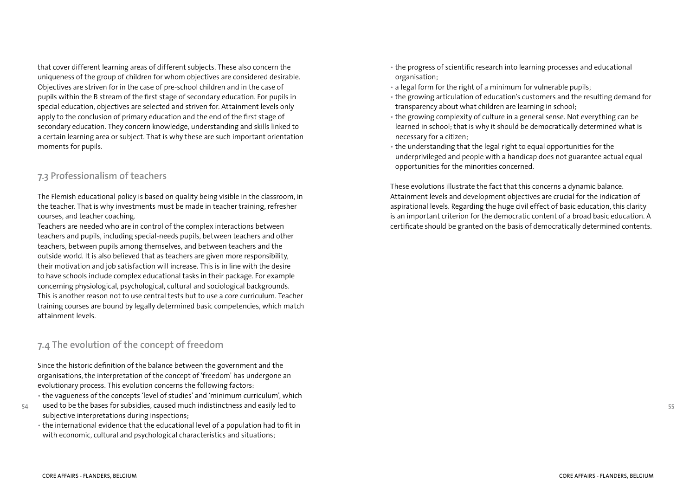that cover different learning areas of different subjects. These also concern the uniqueness of the group of children for whom objectives are considered desirable. Objectives are striven for in the case of pre-school children and in the case of pupils within the B stream of the first stage of secondary education. For pupils in special education, objectives are selected and striven for. Attainment levels only apply to the conclusion of primary education and the end of the first stage of secondary education. They concern knowledge, understanding and skills linked to a certain learning area or subject. That is why these are such important orientation moments for pupils.

### **7.3 Professionalism of teachers**

The Flemish educational policy is based on quality being visible in the classroom, in the teacher. That is why investments must be made in teacher training, refresher courses, and teacher coaching.

Teachers are needed who are in control of the complex interactions between teachers and pupils, including special-needs pupils, between teachers and other teachers, between pupils among themselves, and between teachers and the outside world. It is also believed that as teachers are given more responsibility, their motivation and job satisfaction will increase. This is in line with the desire to have schools include complex educational tasks in their package. For example concerning physiological, psychological, cultural and sociological backgrounds. This is another reason not to use central tests but to use a core curriculum. Teacher training courses are bound by legally determined basic competencies, which match attainment levels.

### **7.4 The evolution of the concept of freedom**

Since the historic definition of the balance between the government and the organisations, the interpretation of the concept of 'freedom' has undergone an evolutionary process. This evolution concerns the following factors:

- the vagueness of the concepts 'level of studies' and 'minimum curriculum', which
- used to be the bases for subsidies, caused much indistinctness and easily led to subjective interpretations during inspections;
- the international evidence that the educational level of a population had to fit in with economic, cultural and psychological characteristics and situations;
- the progress of scientific research into learning processes and educational organisation;
- a legal form for the right of a minimum for vulnerable pupils;
- the growing articulation of education's customers and the resulting demand for transparency about what children are learning in school;
- the growing complexity of culture in a general sense. Not everything can be learned in school; that is why it should be democratically determined what is necessary for a citizen;
- the understanding that the legal right to equal opportunities for the underprivileged and people with a handicap does not guarantee actual equal opportunities for the minorities concerned.

These evolutions illustrate the fact that this concerns a dynamic balance. Attainment levels and development objectives are crucial for the indication of aspirational levels. Regarding the huge civil effect of basic education, this clarity is an important criterion for the democratic content of a broad basic education. A certificate should be granted on the basis of democratically determined contents.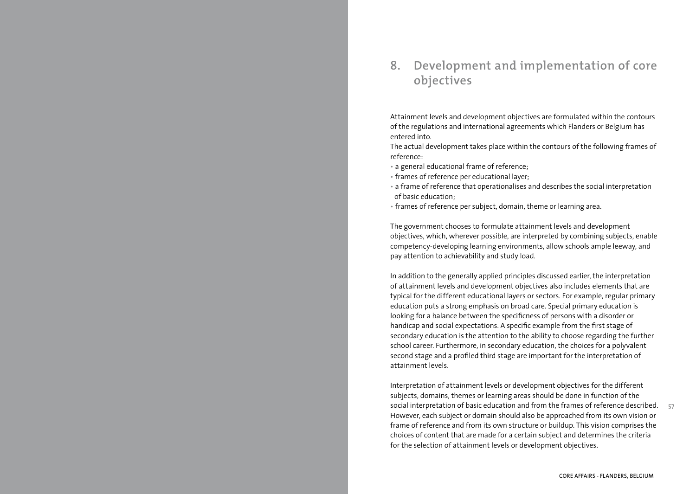# **8. Development and implementation of core objectives**

Attainment levels and development objectives are formulated within the contours of the regulations and international agreements which Flanders or Belgium has entered into.

The actual development takes place within the contours of the following frames of reference:

- a general educational frame of reference;
- frames of reference per educational layer;
- a frame of reference that operationalises and describes the social interpretation of basic education;
- frames of reference per subject, domain, theme or learning area.

The government chooses to formulate attainment levels and development objectives, which, wherever possible, are interpreted by combining subjects, enable competency-developing learning environments, allow schools ample leeway, and pay attention to achievability and study load.

In addition to the generally applied principles discussed earlier, the interpretation of attainment levels and development objectives also includes elements that are typical for the different educational layers or sectors. For example, regular primary education puts a strong emphasis on broad care. Special primary education is looking for a balance between the specificness of persons with a disorder or handicap and social expectations. A specific example from the first stage of secondary education is the attention to the ability to choose regarding the further school career. Furthermore, in secondary education, the choices for a polyvalent second stage and a profiled third stage are important for the interpretation of attainment levels.

**57** Interpretation of attainment levels or development objectives for the different subjects, domains, themes or learning areas should be done in function of the social interpretation of basic education and from the frames of reference described. However, each subject or domain should also be approached from its own vision or frame of reference and from its own structure or buildup. This vision comprises the choices of content that are made for a certain subject and determines the criteria for the selection of attainment levels or development objectives.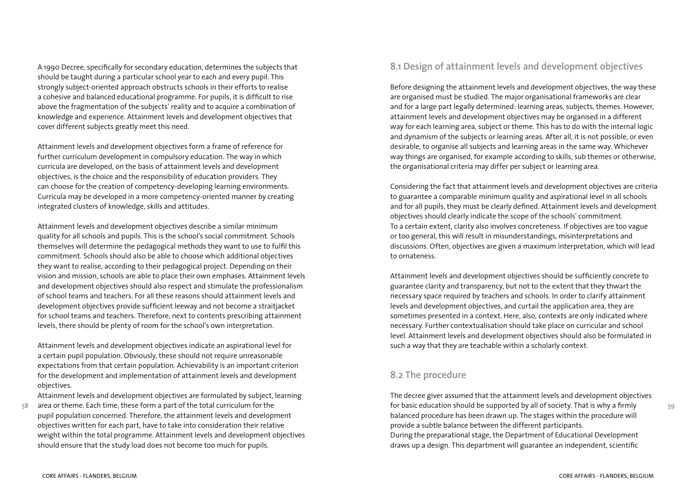A 1990 Decree, specifically for secondary education, determines the subjects that should be taught during a particular school year to each and every pupil. This strongly subject-oriented approach obstructs schools in their efforts to realise a cohesive and balanced educational programme. For pupils, it is difficult to rise above the fragmentation of the subjects' reality and to acquire a combination of knowledge and experience. Attainment levels and development objectives that cover different subjects greatly meet this need.

Attainment levels and development objectives form a frame of reference for further curriculum development in compulsory education. The way in which curricula are developed, on the basis of attainment levels and development objectives, is the choice and the responsibility of education providers. They can choose for the creation of competency-developing learning environments. Curricula may be developed in a more competency-oriented manner by creating integrated clusters of knowledge, skills and attitudes.

Attainment levels and development objectives describe a similar minimum quality for all schools and pupils. This is the school's social commitment. Schools themselves will determine the pedagogical methods they want to use to fulfil this commitment. Schools should also be able to choose which additional objectives they want to realise, according to their pedagogical project. Depending on their vision and mission, schools are able to place their own emphases. Attainment levels and development objectives should also respect and stimulate the professionalism of school teams and teachers. For all these reasons should attainment levels and development objectives provide sufficient leeway and not become a straitjacket for school teams and teachers. Therefore, next to contents prescribing attainment levels, there should be plenty of room for the school's own interpretation.

Attainment levels and development objectives indicate an aspirational level for a certain pupil population. Obviously, these should not require unreasonable expectations from that certain population. Achievability is an important criterion for the development and implementation of attainment levels and development objectives.

Attainment levels and development objectives are formulated by subject, learning

area or theme. Each time, these form a part of the total curriculum for the pupil population concerned. Therefore, the attainment levels and development objectives written for each part, have to take into consideration their relative weight within the total programme. Attainment levels and development objectives should ensure that the study load does not become too much for pupils.

# **8.1 Design of attainment levels and development objectives**

Before designing the attainment levels and development objectives, the way these are organised must be studied. The major organisational frameworks are clear and for a large part legally determined: learning areas, subjects, themes. However, attainment levels and development objectives may be organised in a different way for each learning area, subject or theme. This has to do with the internal logic and dynamism of the subjects or learning areas. After all, it is not possible, or even desirable, to organise all subjects and learning areas in the same way. Whichever way things are organised, for example according to skills, sub themes or otherwise, the organisational criteria may differ per subject or learning area.

Considering the fact that attainment levels and development objectives are criteria to guarantee a comparable minimum quality and aspirational level in all schools and for all pupils, they must be clearly defined. Attainment levels and development objectives should clearly indicate the scope of the schools' commitment. To a certain extent, clarity also involves concreteness. If objectives are too vague or too general, this will result in misunderstandings, misinterpretations and discussions. Often, objectives are given a maximum interpretation, which will lead to ornateness.

Attainment levels and development objectives should be sufficiently concrete to guarantee clarity and transparency, but not to the extent that they thwart the necessary space required by teachers and schools. In order to clarify attainment levels and development objectives, and curtail the application area, they are sometimes presented in a context. Here, also, contexts are only indicated where necessary. Further contextualisation should take place on curricular and school level. Attainment levels and development objectives should also be formulated in such a way that they are teachable within a scholarly context.

# **8.2 The procedure**

The decree giver assumed that the attainment levels and development objectives for basic education should be supported by all of society. That is why a firmly balanced procedure has been drawn up. The stages within the procedure will provide a subtle balance between the different participants. During the preparational stage, the Department of Educational Development draws up a design. This department will guarantee an independent, scientific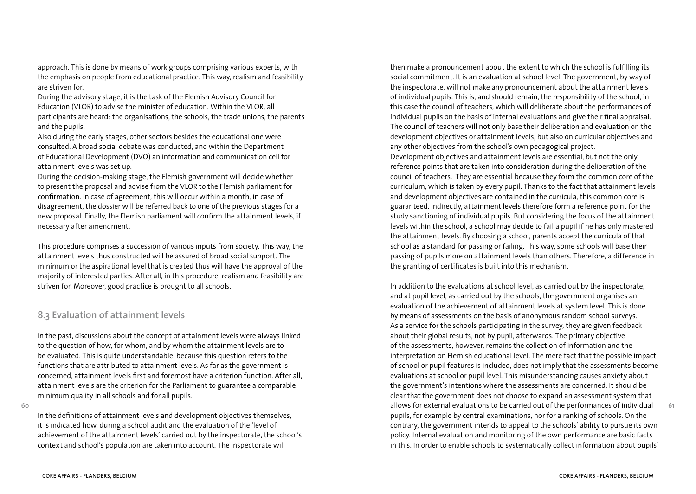approach. This is done by means of work groups comprising various experts, with the emphasis on people from educational practice. This way, realism and feasibility are striven for.

During the advisory stage, it is the task of the Flemish Advisory Council for Education (VLOR) to advise the minister of education. Within the VLOR, all participants are heard: the organisations, the schools, the trade unions, the parents and the pupils.

Also during the early stages, other sectors besides the educational one were consulted. A broad social debate was conducted, and within the Department of Educational Development (DVO) an information and communication cell for attainment levels was set up.

During the decision-making stage, the Flemish government will decide whether to present the proposal and advise from the VLOR to the Flemish parliament for confirmation. In case of agreement, this will occur within a month, in case of disagreement, the dossier will be referred back to one of the previous stages for a new proposal. Finally, the Flemish parliament will confirm the attainment levels, if necessary after amendment.

This procedure comprises a succession of various inputs from society. This way, the attainment levels thus constructed will be assured of broad social support. The minimum or the aspirational level that is created thus will have the approval of the majority of interested parties. After all, in this procedure, realism and feasibility are striven for. Moreover, good practice is brought to all schools.

### **8.3 Evaluation of attainment levels**

In the past, discussions about the concept of attainment levels were always linked to the question of how, for whom, and by whom the attainment levels are to be evaluated. This is quite understandable, because this question refers to the functions that are attributed to attainment levels. As far as the government is concerned, attainment levels first and foremost have a criterion function. After all, attainment levels are the criterion for the Parliament to guarantee a comparable minimum quality in all schools and for all pupils.

**60**

In the definitions of attainment levels and development objectives themselves, it is indicated how, during a school audit and the evaluation of the 'level of achievement of the attainment levels' carried out by the inspectorate, the school's context and school's population are taken into account. The inspectorate will

then make a pronouncement about the extent to which the school is fulfilling its social commitment. It is an evaluation at school level. The government, by way of the inspectorate, will not make any pronouncement about the attainment levels of individual pupils. This is, and should remain, the responsibility of the school, in this case the council of teachers, which will deliberate about the performances of individual pupils on the basis of internal evaluations and give their final appraisal. The council of teachers will not only base their deliberation and evaluation on the development objectives or attainment levels, but also on curricular objectives and any other objectives from the school's own pedagogical project.

Development objectives and attainment levels are essential, but not the only, reference points that are taken into consideration during the deliberation of the council of teachers. They are essential because they form the common core of the curriculum, which is taken by every pupil. Thanks to the fact that attainment levels and development objectives are contained in the curricula, this common core is guaranteed. Indirectly, attainment levels therefore form a reference point for the study sanctioning of individual pupils. But considering the focus of the attainment levels within the school, a school may decide to fail a pupil if he has only mastered the attainment levels. By choosing a school, parents accept the curricula of that school as a standard for passing or failing. This way, some schools will base their passing of pupils more on attainment levels than others. Therefore, a difference in the granting of certificates is built into this mechanism.

In addition to the evaluations at school level, as carried out by the inspectorate, and at pupil level, as carried out by the schools, the government organises an evaluation of the achievement of attainment levels at system level. This is done by means of assessments on the basis of anonymous random school surveys. As a service for the schools participating in the survey, they are given feedback about their global results, not by pupil, afterwards. The primary objective of the assessments, however, remains the collection of information and the interpretation on Flemish educational level. The mere fact that the possible impact of school or pupil features is included, does not imply that the assessments become evaluations at school or pupil level. This misunderstanding causes anxiety about the government's intentions where the assessments are concerned. It should be clear that the government does not choose to expand an assessment system that allows for external evaluations to be carried out of the performances of individual pupils, for example by central examinations, nor for a ranking of schools. On the contrary, the government intends to appeal to the schools' ability to pursue its own policy. Internal evaluation and monitoring of the own performance are basic facts in this. In order to enable schools to systematically collect information about pupils'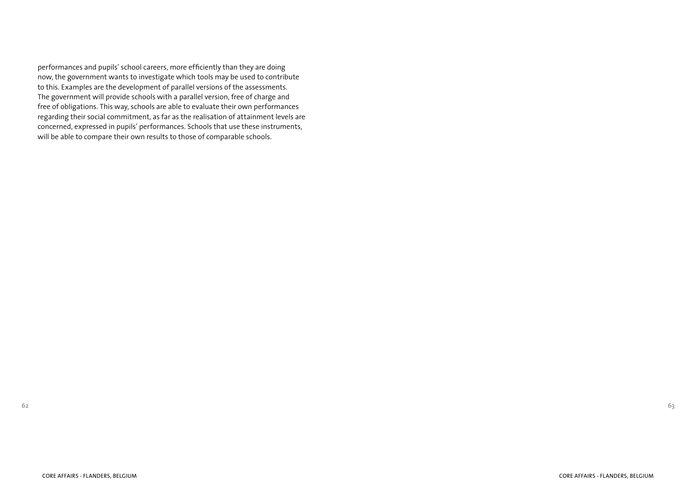performances and pupils' school careers, more efficiently than they are doing now, the government wants to investigate which tools may be used to contribute to this. Examples are the development of parallel versions of the assessments. The government will provide schools with a parallel version, free of charge and free of obligations. This way, schools are able to evaluate their own performances regarding their social commitment, as far as the realisation of attainment levels are concerned, expressed in pupils' performances. Schools that use these instruments, will be able to compare their own results to those of comparable schools.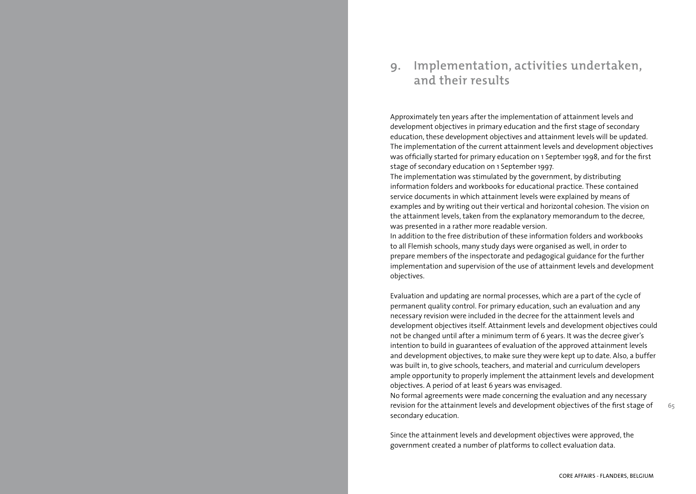# **9. Implementation, activities undertaken, and their results**

Approximately ten years after the implementation of attainment levels and development objectives in primary education and the first stage of secondary education, these development objectives and attainment levels will be updated. The implementation of the current attainment levels and development objectives was officially started for primary education on 1 September 1998, and for the first stage of secondary education on 1 September 1997.

The implementation was stimulated by the government, by distributing information folders and workbooks for educational practice. These contained service documents in which attainment levels were explained by means of examples and by writing out their vertical and horizontal cohesion. The vision on the attainment levels, taken from the explanatory memorandum to the decree, was presented in a rather more readable version.

In addition to the free distribution of these information folders and workbooks to all Flemish schools, many study days were organised as well, in order to prepare members of the inspectorate and pedagogical guidance for the further implementation and supervision of the use of attainment levels and development objectives.

Evaluation and updating are normal processes, which are a part of the cycle of permanent quality control. For primary education, such an evaluation and any necessary revision were included in the decree for the attainment levels and development objectives itself. Attainment levels and development objectives could not be changed until after a minimum term of 6 years. It was the decree giver's intention to build in guarantees of evaluation of the approved attainment levels and development objectives, to make sure they were kept up to date. Also, a buffer was built in, to give schools, teachers, and material and curriculum developers ample opportunity to properly implement the attainment levels and development objectives. A period of at least 6 years was envisaged.

No formal agreements were made concerning the evaluation and any necessary revision for the attainment levels and development objectives of the first stage of secondary education.

Since the attainment levels and development objectives were approved, the government created a number of platforms to collect evaluation data.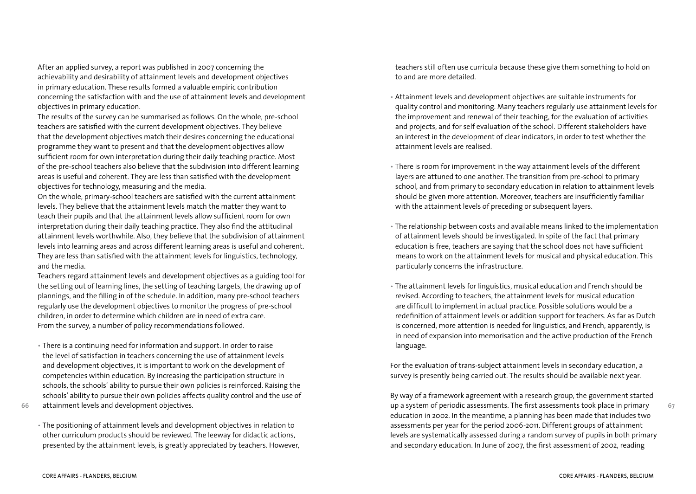After an applied survey, a report was published in 2007 concerning the achievability and desirability of attainment levels and development objectives in primary education. These results formed a valuable empiric contribution concerning the satisfaction with and the use of attainment levels and development objectives in primary education.

The results of the survey can be summarised as follows. On the whole, pre-school teachers are satisfied with the current development objectives. They believe that the development objectives match their desires concerning the educational programme they want to present and that the development objectives allow sufficient room for own interpretation during their daily teaching practice. Most of the pre-school teachers also believe that the subdivision into different learning areas is useful and coherent. They are less than satisfied with the development objectives for technology, measuring and the media.

On the whole, primary-school teachers are satisfied with the current attainment levels. They believe that the attainment levels match the matter they want to teach their pupils and that the attainment levels allow sufficient room for own interpretation during their daily teaching practice. They also find the attitudinal attainment levels worthwhile. Also, they believe that the subdivision of attainment levels into learning areas and across different learning areas is useful and coherent. They are less than satisfied with the attainment levels for linguistics, technology, and the media.

Teachers regard attainment levels and development objectives as a guiding tool for the setting out of learning lines, the setting of teaching targets, the drawing up of plannings, and the filling in of the schedule. In addition, many pre-school teachers regularly use the development objectives to monitor the progress of pre-school children, in order to determine which children are in need of extra care. From the survey, a number of policy recommendations followed.

- There is a continuing need for information and support. In order to raise the level of satisfaction in teachers concerning the use of attainment levels and development objectives, it is important to work on the development of competencies within education. By increasing the participation structure in schools, the schools' ability to pursue their own policies is reinforced. Raising the schools' ability to pursue their own policies affects quality control and the use of attainment levels and development objectives.
- **66**
	- The positioning of attainment levels and development objectives in relation to other curriculum products should be reviewed. The leeway for didactic actions, presented by the attainment levels, is greatly appreciated by teachers. However,

teachers still often use curricula because these give them something to hold on to and are more detailed.

- Attainment levels and development objectives are suitable instruments for quality control and monitoring. Many teachers regularly use attainment levels for the improvement and renewal of their teaching, for the evaluation of activities and projects, and for self evaluation of the school. Different stakeholders have an interest in the development of clear indicators, in order to test whether the attainment levels are realised.
- There is room for improvement in the way attainment levels of the different layers are attuned to one another. The transition from pre-school to primary school, and from primary to secondary education in relation to attainment levels should be given more attention. Moreover, teachers are insufficiently familiar with the attainment levels of preceding or subsequent layers.
- The relationship between costs and available means linked to the implementation of attainment levels should be investigated. In spite of the fact that primary education is free, teachers are saying that the school does not have sufficient means to work on the attainment levels for musical and physical education. This particularly concerns the infrastructure.
- The attainment levels for linguistics, musical education and French should be revised. According to teachers, the attainment levels for musical education are difficult to implement in actual practice. Possible solutions would be a redefinition of attainment levels or addition support for teachers. As far as Dutch is concerned, more attention is needed for linguistics, and French, apparently, is in need of expansion into memorisation and the active production of the French language.

For the evaluation of trans-subject attainment levels in secondary education, a survey is presently being carried out. The results should be available next year.

By way of a framework agreement with a research group, the government started up a system of periodic assessments. The first assessments took place in primary education in 2002. In the meantime, a planning has been made that includes two assessments per year for the period 2006-2011. Different groups of attainment levels are systematically assessed during a random survey of pupils in both primary and secondary education. In June of 2007, the first assessment of 2002, reading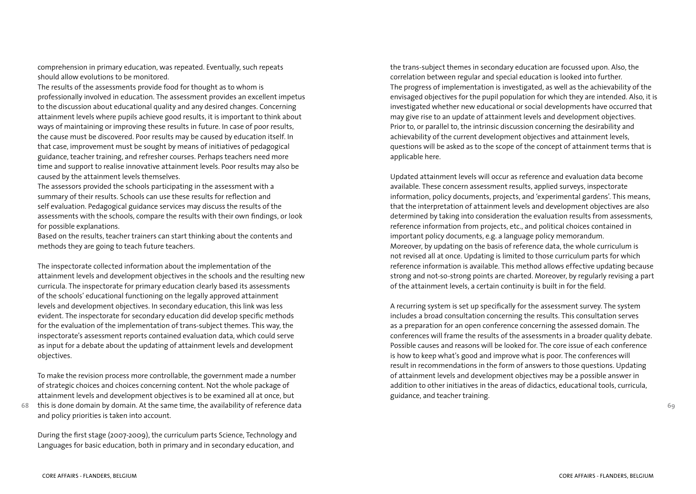comprehension in primary education, was repeated. Eventually, such repeats should allow evolutions to be monitored.

The results of the assessments provide food for thought as to whom is professionally involved in education. The assessment provides an excellent impetus to the discussion about educational quality and any desired changes. Concerning attainment levels where pupils achieve good results, it is important to think about ways of maintaining or improving these results in future. In case of poor results, the cause must be discovered. Poor results may be caused by education itself. In that case, improvement must be sought by means of initiatives of pedagogical guidance, teacher training, and refresher courses. Perhaps teachers need more time and support to realise innovative attainment levels. Poor results may also be caused by the attainment levels themselves.

The assessors provided the schools participating in the assessment with a summary of their results. Schools can use these results for reflection and self evaluation. Pedagogical guidance services may discuss the results of the assessments with the schools, compare the results with their own findings, or look for possible explanations.

Based on the results, teacher trainers can start thinking about the contents and methods they are going to teach future teachers.

The inspectorate collected information about the implementation of the attainment levels and development objectives in the schools and the resulting new curricula. The inspectorate for primary education clearly based its assessments of the schools' educational functioning on the legally approved attainment levels and development objectives. In secondary education, this link was less evident. The inspectorate for secondary education did develop specific methods for the evaluation of the implementation of trans-subject themes. This way, the inspectorate's assessment reports contained evaluation data, which could serve as input for a debate about the updating of attainment levels and development objectives.

To make the revision process more controllable, the government made a number of strategic choices and choices concerning content. Not the whole package of attainment levels and development objectives is to be examined all at once, but

**68** this is done domain by domain. At the same time, the availability of reference data and policy priorities is taken into account.

During the first stage (2007-2009), the curriculum parts Science, Technology and Languages for basic education, both in primary and in secondary education, and

the trans-subject themes in secondary education are focussed upon. Also, the correlation between regular and special education is looked into further. The progress of implementation is investigated, as well as the achievability of the envisaged objectives for the pupil population for which they are intended. Also, it is investigated whether new educational or social developments have occurred that may give rise to an update of attainment levels and development objectives. Prior to, or parallel to, the intrinsic discussion concerning the desirability and achievability of the current development objectives and attainment levels, questions will be asked as to the scope of the concept of attainment terms that is applicable here.

Updated attainment levels will occur as reference and evaluation data become available. These concern assessment results, applied surveys, inspectorate information, policy documents, projects, and 'experimental gardens'. This means, that the interpretation of attainment levels and development objectives are also determined by taking into consideration the evaluation results from assessments, reference information from projects, etc., and political choices contained in important policy documents, e.g. a language policy memorandum. Moreover, by updating on the basis of reference data, the whole curriculum is not revised all at once. Updating is limited to those curriculum parts for which reference information is available. This method allows effective updating because strong and not-so-strong points are charted. Moreover, by regularly revising a part of the attainment levels, a certain continuity is built in for the field.

A recurring system is set up specifically for the assessment survey. The system includes a broad consultation concerning the results. This consultation serves as a preparation for an open conference concerning the assessed domain. The conferences will frame the results of the assessments in a broader quality debate. Possible causes and reasons will be looked for. The core issue of each conference is how to keep what's good and improve what is poor. The conferences will result in recommendations in the form of answers to those questions. Updating of attainment levels and development objectives may be a possible answer in addition to other initiatives in the areas of didactics, educational tools, curricula, guidance, and teacher training.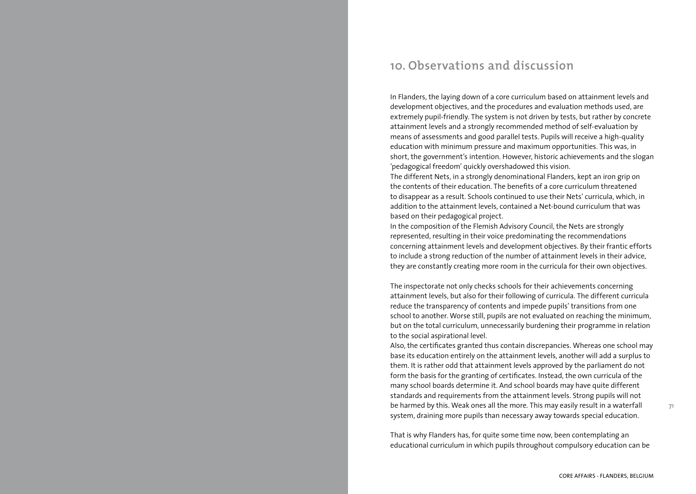# **10. Observations and discussion**

In Flanders, the laying down of a core curriculum based on attainment levels and development objectives, and the procedures and evaluation methods used, are extremely pupil-friendly. The system is not driven by tests, but rather by concrete attainment levels and a strongly recommended method of self-evaluation by means of assessments and good parallel tests. Pupils will receive a high-quality education with minimum pressure and maximum opportunities. This was, in short, the government's intention. However, historic achievements and the slogan 'pedagogical freedom' quickly overshadowed this vision.

The different Nets, in a strongly denominational Flanders, kept an iron grip on the contents of their education. The benefits of a core curriculum threatened to disappear as a result. Schools continued to use their Nets' curricula, which, in addition to the attainment levels, contained a Net-bound curriculum that was based on their pedagogical project.

In the composition of the Flemish Advisory Council, the Nets are strongly represented, resulting in their voice predominating the recommendations concerning attainment levels and development objectives. By their frantic efforts to include a strong reduction of the number of attainment levels in their advice, they are constantly creating more room in the curricula for their own objectives.

The inspectorate not only checks schools for their achievements concerning attainment levels, but also for their following of curricula. The different curricula reduce the transparency of contents and impede pupils' transitions from one school to another. Worse still, pupils are not evaluated on reaching the minimum, but on the total curriculum, unnecessarily burdening their programme in relation to the social aspirational level.

Also, the certificates granted thus contain discrepancies. Whereas one school may base its education entirely on the attainment levels, another will add a surplus to them. It is rather odd that attainment levels approved by the parliament do not form the basis for the granting of certificates. Instead, the own curricula of the many school boards determine it. And school boards may have quite different standards and requirements from the attainment levels. Strong pupils will not be harmed by this. Weak ones all the more. This may easily result in a waterfall system, draining more pupils than necessary away towards special education.

That is why Flanders has, for quite some time now, been contemplating an educational curriculum in which pupils throughout compulsory education can be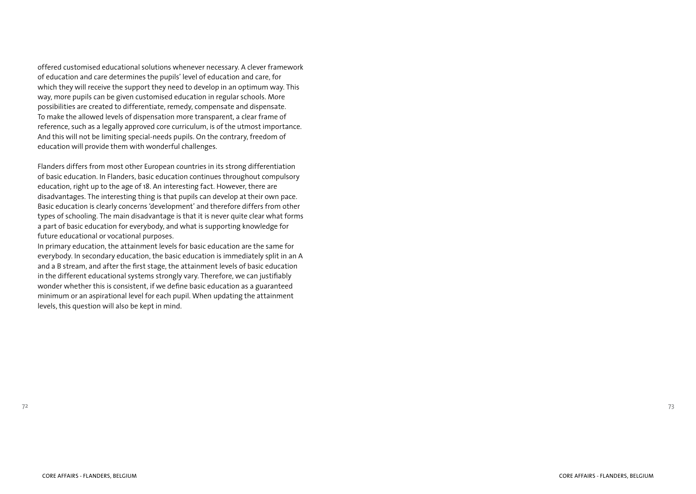offered customised educational solutions whenever necessary. A clever framework of education and care determines the pupils' level of education and care, for which they will receive the support they need to develop in an optimum way. This way, more pupils can be given customised education in regular schools. More possibilities are created to differentiate, remedy, compensate and dispensate. To make the allowed levels of dispensation more transparent, a clear frame of reference, such as a legally approved core curriculum, is of the utmost importance. And this will not be limiting special-needs pupils. On the contrary, freedom of education will provide them with wonderful challenges.

Flanders differs from most other European countries in its strong differentiation of basic education. In Flanders, basic education continues throughout compulsory education, right up to the age of 18. An interesting fact. However, there are disadvantages. The interesting thing is that pupils can develop at their own pace. Basic education is clearly concerns 'development' and therefore differs from other types of schooling. The main disadvantage is that it is never quite clear what forms a part of basic education for everybody, and what is supporting knowledge for future educational or vocational purposes.

In primary education, the attainment levels for basic education are the same for everybody. In secondary education, the basic education is immediately split in an A and a B stream, and after the first stage, the attainment levels of basic education in the different educational systems strongly vary. Therefore, we can justifiably wonder whether this is consistent, if we define basic education as a guaranteed minimum or an aspirational level for each pupil. When updating the attainment levels, this question will also be kept in mind.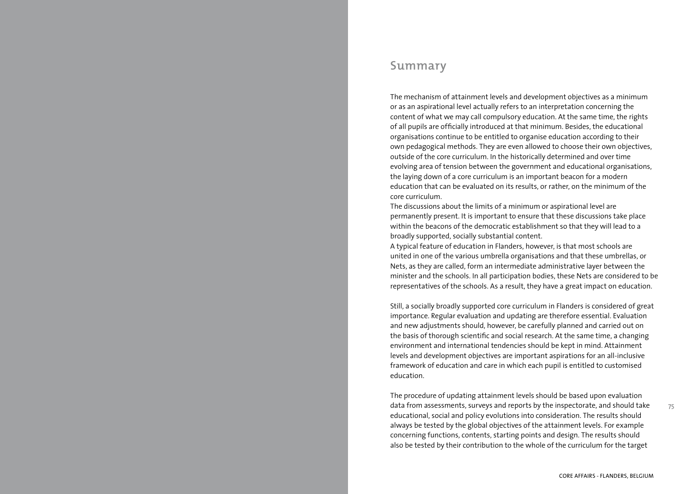# **Summary**

The mechanism of attainment levels and development objectives as a minimum or as an aspirational level actually refers to an interpretation concerning the content of what we may call compulsory education. At the same time, the rights of all pupils are officially introduced at that minimum. Besides, the educational organisations continue to be entitled to organise education according to their own pedagogical methods. They are even allowed to choose their own objectives, outside of the core curriculum. In the historically determined and over time evolving area of tension between the government and educational organisations, the laying down of a core curriculum is an important beacon for a modern education that can be evaluated on its results, or rather, on the minimum of the core curriculum.

The discussions about the limits of a minimum or aspirational level are permanently present. It is important to ensure that these discussions take place within the beacons of the democratic establishment so that they will lead to a broadly supported, socially substantial content.

A typical feature of education in Flanders, however, is that most schools are united in one of the various umbrella organisations and that these umbrellas, or Nets, as they are called, form an intermediate administrative layer between the minister and the schools. In all participation bodies, these Nets are considered to be representatives of the schools. As a result, they have a great impact on education.

Still, a socially broadly supported core curriculum in Flanders is considered of great importance. Regular evaluation and updating are therefore essential. Evaluation and new adjustments should, however, be carefully planned and carried out on the basis of thorough scientific and social research. At the same time, a changing environment and international tendencies should be kept in mind. Attainment levels and development objectives are important aspirations for an all-inclusive framework of education and care in which each pupil is entitled to customised education.

The procedure of updating attainment levels should be based upon evaluation data from assessments, surveys and reports by the inspectorate, and should take educational, social and policy evolutions into consideration. The results should always be tested by the global objectives of the attainment levels. For example concerning functions, contents, starting points and design. The results should also be tested by their contribution to the whole of the curriculum for the target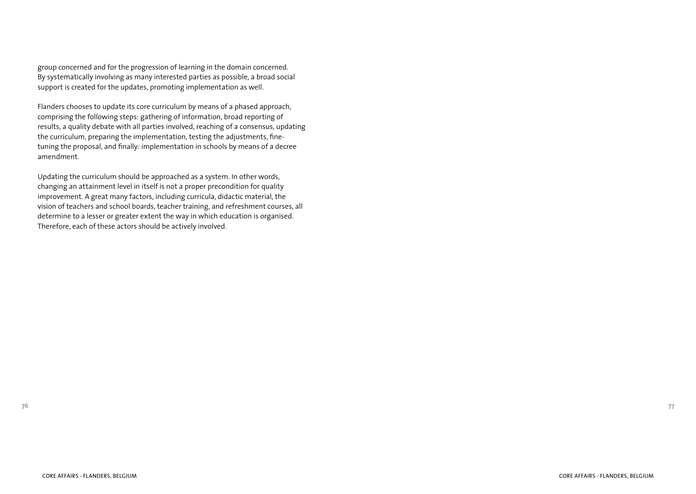group concerned and for the progression of learning in the domain concerned. By systematically involving as many interested parties as possible, a broad social support is created for the updates, promoting implementation as well.

Flanders chooses to update its core curriculum by means of a phased approach, comprising the following steps: gathering of information, broad reporting of results, a quality debate with all parties involved, reaching of a consensus, updating the curriculum, preparing the implementation, testing the adjustments, finetuning the proposal, and finally: implementation in schools by means of a decree amendment.

Updating the curriculum should be approached as a system. In other words, changing an attainment level in itself is not a proper precondition for quality improvement. A great many factors, including curricula, didactic material, the vision of teachers and school boards, teacher training, and refreshment courses, all determine to a lesser or greater extent the way in which education is organised. Therefore, each of these actors should be actively involved.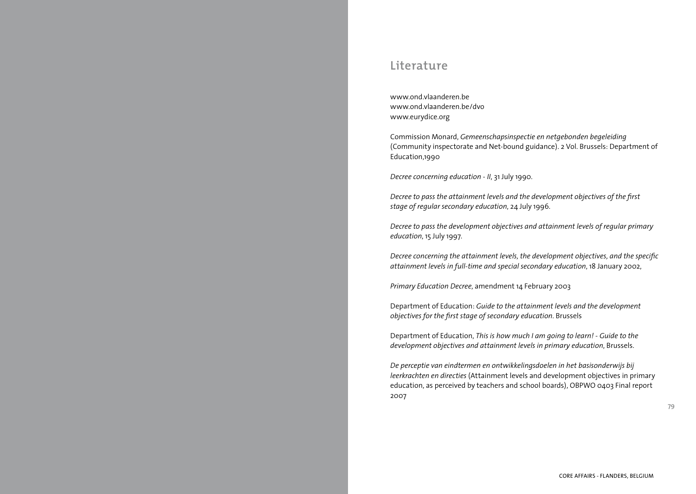# **Literature**

www.ond.vlaanderen.be www.ond.vlaanderen.be/dvo www.eurydice.org

Commission Monard, *Gemeenschapsinspectie en netgebonden begeleiding* (Community inspectorate and Net-bound guidance). 2 Vol. Brussels: Department of Education,1990

*Decree concerning education - II*, 31 July 1990.

*Decree to pass the attainment levels and the development objectives of the first stage of regular secondary education*, 24 July 1996.

*Decree to pass the development objectives and attainment levels of regular primary education*, 15 July 1997.

*Decree concerning the attainment levels, the development objectives, and the specific attainment levels in full-time and special secondary education*, 18 January 2002,

*Primary Education Decree*, amendment 14 February 2003

Department of Education: *Guide to the attainment levels and the development objectives for the first stage of secondary education*. Brussels

Department of Education, *This is how much I am going to learn! - Guide to the development objectives and attainment levels in primary education*, Brussels.

*De perceptie van eindtermen en ontwikkelingsdoelen in het basisonderwijs bij leerkrachten en directies* (Attainment levels and development objectives in primary education, as perceived by teachers and school boards), OBPWO 0403 Final report 2007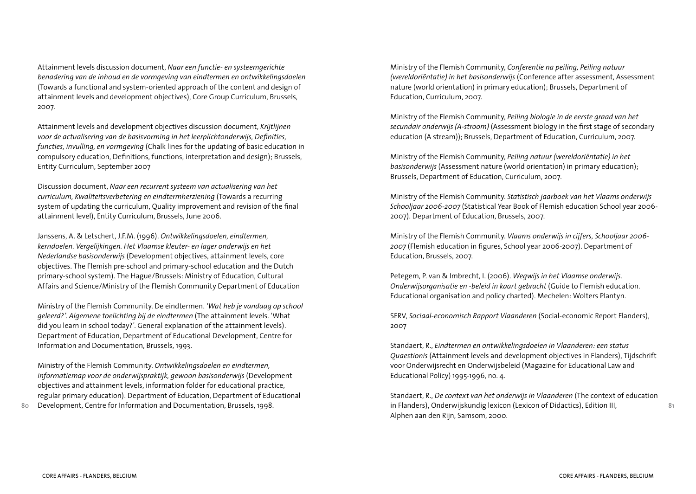Attainment levels discussion document, *Naar een functie- en systeemgerichte benadering van de inhoud en de vormgeving van eindtermen en ontwikkelingsdoelen* (Towards a functional and system-oriented approach of the content and design of attainment levels and development objectives), Core Group Curriculum, Brussels, 2007.

Attainment levels and development objectives discussion document, *Krijtlijnen voor de actualisering van de basisvorming in het leerplichtonderwijs, Definities, functies, invulling, en vormgeving* (Chalk lines for the updating of basic education in compulsory education, Definitions, functions, interpretation and design); Brussels, Entity Curriculum, September 2007

Discussion document, *Naar een recurrent systeem van actualisering van het curriculum, Kwaliteitsverbetering en eindtermherziening* (Towards a recurring system of updating the curriculum, Quality improvement and revision of the final attainment level), Entity Curriculum, Brussels, June 2006.

Janssens, A. & Letschert, J.F.M. (1996). *Ontwikkelingsdoelen, eindtermen, kerndoelen. Vergelijkingen. Het Vlaamse kleuter- en lager onderwijs en het Nederlandse basisonderwijs* (Development objectives, attainment levels, core objectives. The Flemish pre-school and primary-school education and the Dutch primary-school system). The Hague/Brussels: Ministry of Education, Cultural Affairs and Science/Ministry of the Flemish Community Department of Education

Ministry of the Flemish Community. De eindtermen. *'Wat heb je vandaag op school geleerd?'. Algemene toelichting bij de eindtermen* (The attainment levels. 'What did you learn in school today?'. General explanation of the attainment levels). Department of Education, Department of Educational Development, Centre for Information and Documentation, Brussels, 1993.

Ministry of the Flemish Community. *Ontwikkelingsdoelen en eindtermen, informatiemap voor de onderwijspraktijk, gewoon basisonderwijs* (Development objectives and attainment levels, information folder for educational practice, regular primary education). Department of Education, Department of Educational Development, Centre for Information and Documentation, Brussels, 1998.

Ministry of the Flemish Community, *Conferentie na peiling, Peiling natuur (wereldoriëntatie) in het basisonderwijs* (Conference after assessment, Assessment nature (world orientation) in primary education); Brussels, Department of Education, Curriculum, 2007.

Ministry of the Flemish Community, *Peiling biologie in de eerste graad van het secundair onderwijs (A-stroom)* (Assessment biology in the first stage of secondary education (A stream)); Brussels, Department of Education, Curriculum, 2007.

Ministry of the Flemish Community, *Peiling natuur (wereldoriëntatie) in het basisonderwijs* (Assessment nature (world orientation) in primary education); Brussels, Department of Education, Curriculum, 2007.

Ministry of the Flemish Community. *Statistisch jaarboek van het Vlaams onderwijs Schooljaar 2006-2007* (Statistical Year Book of Flemish education School year 2006- 2007). Department of Education, Brussels, 2007.

Ministry of the Flemish Community. *Vlaams onderwijs in cijfers, Schooljaar 2006- 2007* (Flemish education in figures, School year 2006-2007). Department of Education, Brussels, 2007.

Petegem, P. van & Imbrecht, I. (2006). *Wegwijs in het Vlaamse onderwijs. Onderwijsorganisatie en -beleid in kaart gebracht* (Guide to Flemish education. Educational organisation and policy charted). Mechelen: Wolters Plantyn.

SERV, *Sociaal-economisch Rapport Vlaanderen* (Social-economic Report Flanders), 2007

Standaert, R., *Eindtermen en ontwikkelingsdoelen in Vlaanderen: een status Quaestionis* (Attainment levels and development objectives in Flanders), Tijdschrift voor Onderwijsrecht en Onderwijsbeleid (Magazine for Educational Law and Educational Policy) 1995-1996, no. 4.

Standaert, R., *De context van het onderwijs in Vlaanderen* (The context of education in Flanders), Onderwijskundig lexicon (Lexicon of Didactics), Edition III, Alphen aan den Rijn, Samsom, 2000.

**80**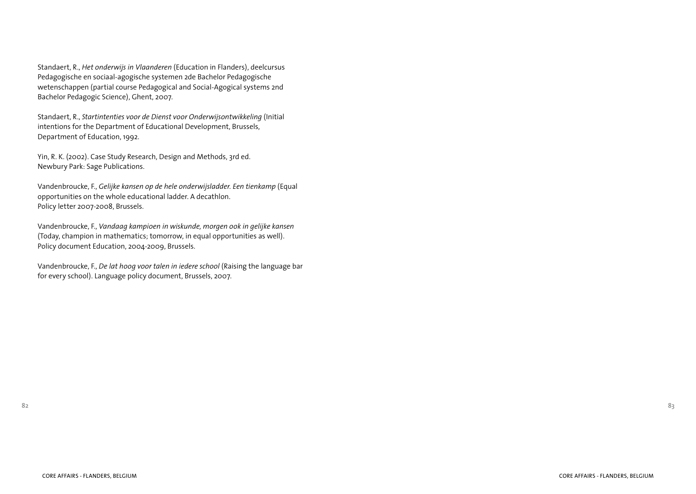Standaert, R., *Het onderwijs in Vlaanderen* (Education in Flanders), deelcursus Pedagogische en sociaal-agogische systemen 2de Bachelor Pedagogische wetenschappen (partial course Pedagogical and Social-Agogical systems 2nd Bachelor Pedagogic Science), Ghent, 2007.

Standaert, R., *Startintenties voor de Dienst voor Onderwijsontwikkeling* (Initial intentions for the Department of Educational Development, Brussels, Department of Education, 1992.

Yin, R. K. (2002). Case Study Research, Design and Methods, 3rd ed. Newbury Park: Sage Publications.

Vandenbroucke, F., *Gelijke kansen op de hele onderwijsladder. Een tienkamp* (Equal opportunities on the whole educational ladder. A decathlon. Policy letter 2007-2008, Brussels.

Vandenbroucke, F., *Vandaag kampioen in wiskunde, morgen ook in gelijke kansen* (Today, champion in mathematics; tomorrow, in equal opportunities as well). Policy document Education, 2004-2009, Brussels.

Vandenbroucke, F., *De lat hoog voor talen in iedere school* (Raising the language bar for every school). Language policy document, Brussels, 2007.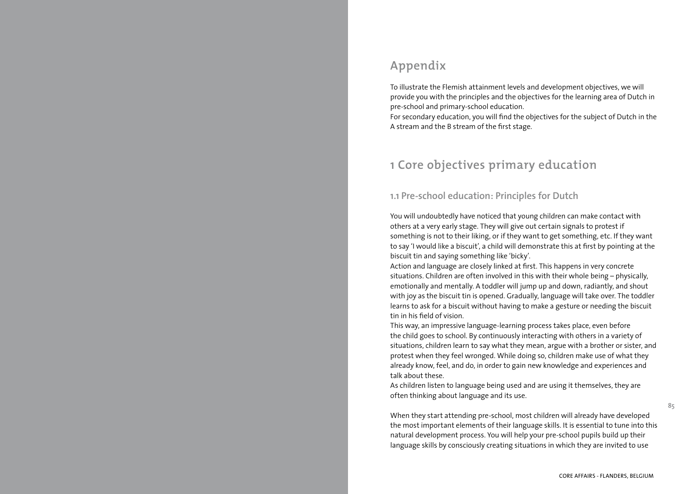# **Appendix**

To illustrate the Flemish attainment levels and development objectives, we will provide you with the principles and the objectives for the learning area of Dutch in pre-school and primary-school education.

For secondary education, you will find the objectives for the subject of Dutch in the A stream and the B stream of the first stage.

# **1 Core objectives primary education**

### **1.1 Pre-school education: Principles for Dutch**

You will undoubtedly have noticed that young children can make contact with others at a very early stage. They will give out certain signals to protest if something is not to their liking, or if they want to get something, etc. If they want to say 'I would like a biscuit', a child will demonstrate this at first by pointing at the biscuit tin and saying something like 'bicky'.

Action and language are closely linked at first. This happens in very concrete situations. Children are often involved in this with their whole being – physically, emotionally and mentally. A toddler will jump up and down, radiantly, and shout with joy as the biscuit tin is opened. Gradually, language will take over. The toddler learns to ask for a biscuit without having to make a gesture or needing the biscuit tin in his field of vision.

This way, an impressive language-learning process takes place, even before the child goes to school. By continuously interacting with others in a variety of situations, children learn to say what they mean, argue with a brother or sister, and protest when they feel wronged. While doing so, children make use of what they already know, feel, and do, in order to gain new knowledge and experiences and talk about these.

As children listen to language being used and are using it themselves, they are often thinking about language and its use.

When they start attending pre-school, most children will already have developed the most important elements of their language skills. It is essential to tune into this natural development process. You will help your pre-school pupils build up their language skills by consciously creating situations in which they are invited to use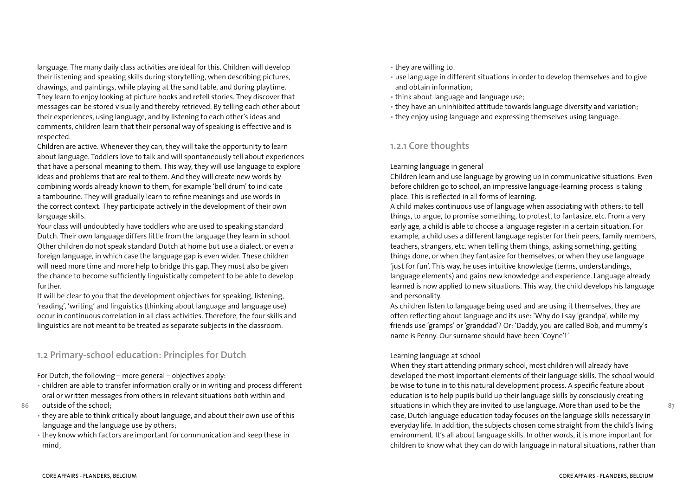language. The many daily class activities are ideal for this. Children will develop their listening and speaking skills during storytelling, when describing pictures, drawings, and paintings, while playing at the sand table, and during playtime. They learn to enjoy looking at picture books and retell stories. They discover that messages can be stored visually and thereby retrieved. By telling each other about their experiences, using language, and by listening to each other's ideas and comments, children learn that their personal way of speaking is effective and is respected.

Children are active. Whenever they can, they will take the opportunity to learn about language. Toddlers love to talk and will spontaneously tell about experiences that have a personal meaning to them. This way, they will use language to explore ideas and problems that are real to them. And they will create new words by combining words already known to them, for example 'bell drum' to indicate a tambourine. They will gradually learn to refine meanings and use words in the correct context. They participate actively in the development of their own language skills.

Your class will undoubtedly have toddlers who are used to speaking standard Dutch. Their own language differs little from the language they learn in school. Other children do not speak standard Dutch at home but use a dialect, or even a foreign language, in which case the language gap is even wider. These children will need more time and more help to bridge this gap. They must also be given the chance to become sufficiently linguistically competent to be able to develop further.

It will be clear to you that the development objectives for speaking, listening, 'reading', 'writing' and linguistics (thinking about language and language use) occur in continuous correlation in all class activities. Therefore, the four skills and linguistics are not meant to be treated as separate subjects in the classroom.

### **1.2 Primary-school education: Principles for Dutch**

For Dutch, the following – more general – objectives apply:

- children are able to transfer information orally or in writing and process different oral or written messages from others in relevant situations both within and
- **86** outside of the school;
	- they are able to think critically about language, and about their own use of this language and the language use by others;
	- they know which factors are important for communication and keep these in mind;
- they are willing to:
- use language in different situations in order to develop themselves and to give and obtain information;
- think about language and language use;
- they have an uninhibited attitude towards language diversity and variation;
- they enjoy using language and expressing themselves using language.

# **1.2.1 Core thoughts**

### Learning language in general

Children learn and use language by growing up in communicative situations. Even before children go to school, an impressive language-learning process is taking place. This is reflected in all forms of learning.

A child makes continuous use of language when associating with others: to tell things, to argue, to promise something, to protest, to fantasize, etc. From a very early age, a child is able to choose a language register in a certain situation. For example, a child uses a different language register for their peers, family members, teachers, strangers, etc. when telling them things, asking something, getting things done, or when they fantasize for themselves, or when they use language 'just for fun'. This way, he uses intuitive knowledge (terms, understandings, language elements) and gains new knowledge and experience. Language already learned is now applied to new situations. This way, the child develops his language and personality.

As children listen to language being used and are using it themselves, they are often reflecting about language and its use: 'Why do I say 'grandpa', while my friends use 'gramps' or 'granddad'? Or: 'Daddy, you are called Bob, and mummy's name is Penny. Our surname should have been 'Coyne'!'

### Learning language at school

When they start attending primary school, most children will already have developed the most important elements of their language skills. The school would be wise to tune in to this natural development process. A specific feature about education is to help pupils build up their language skills by consciously creating situations in which they are invited to use language. More than used to be the case, Dutch language education today focuses on the language skills necessary in everyday life. In addition, the subjects chosen come straight from the child's living environment. It's all about language skills. In other words, it is more important for children to know what they can do with language in natural situations, rather than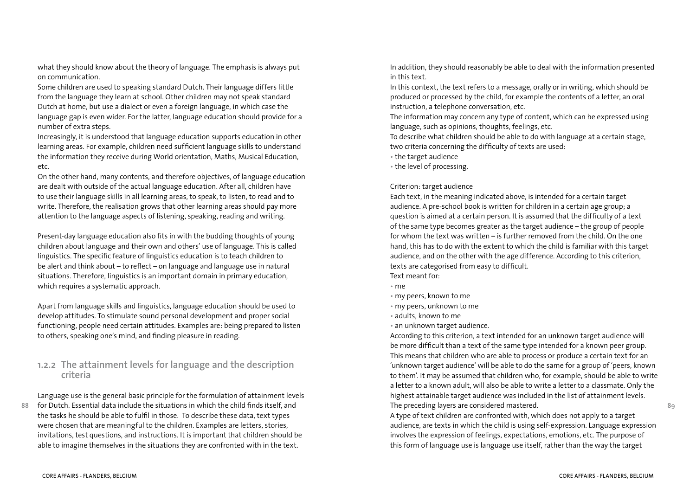what they should know about the theory of language. The emphasis is always put on communication.

Some children are used to speaking standard Dutch. Their language differs little from the language they learn at school. Other children may not speak standard Dutch at home, but use a dialect or even a foreign language, in which case the language gap is even wider. For the latter, language education should provide for a number of extra steps.

Increasingly, it is understood that language education supports education in other learning areas. For example, children need sufficient language skills to understand the information they receive during World orientation, Maths, Musical Education, etc.

On the other hand, many contents, and therefore objectives, of language education are dealt with outside of the actual language education. After all, children have to use their language skills in all learning areas, to speak, to listen, to read and to write. Therefore, the realisation grows that other learning areas should pay more attention to the language aspects of listening, speaking, reading and writing.

Present-day language education also fits in with the budding thoughts of young children about language and their own and others' use of language. This is called linguistics. The specific feature of linguistics education is to teach children to be alert and think about – to reflect – on language and language use in natural situations. Therefore, linguistics is an important domain in primary education, which requires a systematic approach.

Apart from language skills and linguistics, language education should be used to develop attitudes. To stimulate sound personal development and proper social functioning, people need certain attitudes. Examples are: being prepared to listen to others, speaking one's mind, and finding pleasure in reading.

### **1.2.2 The attainment levels for language and the description criteria**

**88** for Dutch. Essential data include the situations in which the child finds itself, and Language use is the general basic principle for the formulation of attainment levels the tasks he should be able to fulfil in those. To describe these data, text types were chosen that are meaningful to the children. Examples are letters, stories, invitations, test questions, and instructions. It is important that children should be able to imagine themselves in the situations they are confronted with in the text.

In addition, they should reasonably be able to deal with the information presented in this text.

In this context, the text refers to a message, orally or in writing, which should be produced or processed by the child, for example the contents of a letter, an oral instruction, a telephone conversation, etc.

The information may concern any type of content, which can be expressed using language, such as opinions, thoughts, feelings, etc.

To describe what children should be able to do with language at a certain stage, two criteria concerning the difficulty of texts are used:

- the target audience
- the level of processing.

### Criterion: target audience

Each text, in the meaning indicated above, is intended for a certain target audience. A pre-school book is written for children in a certain age group; a question is aimed at a certain person. It is assumed that the difficulty of a text of the same type becomes greater as the target audience – the group of people for whom the text was written – is further removed from the child. On the one hand, this has to do with the extent to which the child is familiar with this target audience, and on the other with the age difference. According to this criterion, texts are categorised from easy to difficult. Text meant for:

- me
- my peers, known to me
- my peers, unknown to me
- adults, known to me
- an unknown target audience.

According to this criterion, a text intended for an unknown target audience will be more difficult than a text of the same type intended for a known peer group. This means that children who are able to process or produce a certain text for an 'unknown target audience' will be able to do the same for a group of 'peers, known to them'. It may be assumed that children who, for example, should be able to write a letter to a known adult, will also be able to write a letter to a classmate. Only the highest attainable target audience was included in the list of attainment levels. The preceding layers are considered mastered.

A type of text children are confronted with, which does not apply to a target audience, are texts in which the child is using self-expression. Language expression involves the expression of feelings, expectations, emotions, etc. The purpose of this form of language use is language use itself, rather than the way the target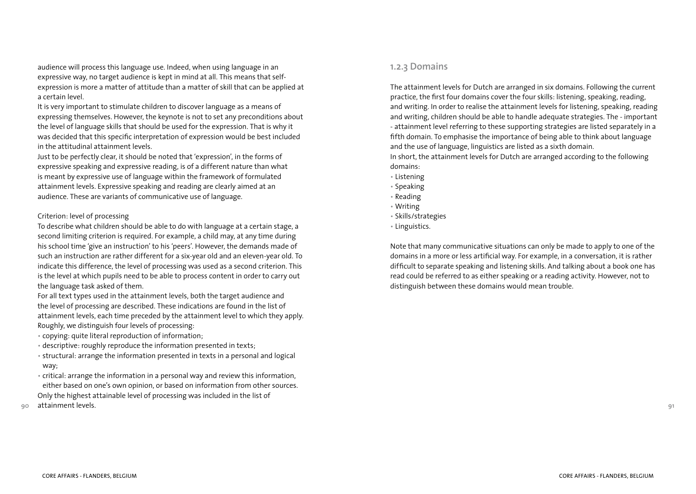audience will process this language use. Indeed, when using language in an expressive way, no target audience is kept in mind at all. This means that selfexpression is more a matter of attitude than a matter of skill that can be applied at a certain level.

It is very important to stimulate children to discover language as a means of expressing themselves. However, the keynote is not to set any preconditions about the level of language skills that should be used for the expression. That is why it was decided that this specific interpretation of expression would be best included in the attitudinal attainment levels.

Just to be perfectly clear, it should be noted that 'expression', in the forms of expressive speaking and expressive reading, is of a different nature than what is meant by expressive use of language within the framework of formulated attainment levels. Expressive speaking and reading are clearly aimed at an audience. These are variants of communicative use of language.

### Criterion: level of processing

To describe what children should be able to do with language at a certain stage, a second limiting criterion is required. For example, a child may, at any time during his school time 'give an instruction' to his 'peers'. However, the demands made of such an instruction are rather different for a six-year old and an eleven-year old. To indicate this difference, the level of processing was used as a second criterion. This is the level at which pupils need to be able to process content in order to carry out the language task asked of them.

For all text types used in the attainment levels, both the target audience and the level of processing are described. These indications are found in the list of attainment levels, each time preceded by the attainment level to which they apply. Roughly, we distinguish four levels of processing:

- copying: quite literal reproduction of information;
- descriptive: roughly reproduce the information presented in texts;
- structural: arrange the information presented in texts in a personal and logical way;
- critical: arrange the information in a personal way and review this information, either based on one's own opinion, or based on information from other sources. Only the highest attainable level of processing was included in the list of
- **90** attainment levels.

### **1.2.3 Domains**

The attainment levels for Dutch are arranged in six domains. Following the current practice, the first four domains cover the four skills: listening, speaking, reading, and writing. In order to realise the attainment levels for listening, speaking, reading and writing, children should be able to handle adequate strategies. The - important - attainment level referring to these supporting strategies are listed separately in a fifth domain. To emphasise the importance of being able to think about language and the use of language, linguistics are listed as a sixth domain.

In short, the attainment levels for Dutch are arranged according to the following domains:

- Listening
- Speaking
- Reading
- Writing
- Skills/strategies
- Linguistics.

Note that many communicative situations can only be made to apply to one of the domains in a more or less artificial way. For example, in a conversation, it is rather difficult to separate speaking and listening skills. And talking about a book one has read could be referred to as either speaking or a reading activity. However, not to distinguish between these domains would mean trouble.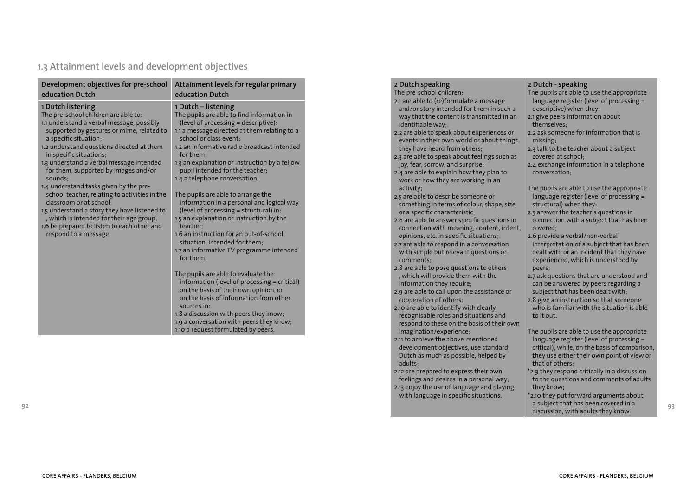# **1.3 Attainment levels and development objectives**

| Development objectives for pre-school<br>education Dutch                                                                                                                                                                                     | Attainment levels for regular primary<br>education Dutch                                                                                                                                                                                                                                                               |
|----------------------------------------------------------------------------------------------------------------------------------------------------------------------------------------------------------------------------------------------|------------------------------------------------------------------------------------------------------------------------------------------------------------------------------------------------------------------------------------------------------------------------------------------------------------------------|
| 1 Dutch listening<br>The pre-school children are able to:<br>1.1 understand a verbal message, possibly<br>supported by gestures or mime, related to<br>a specific situation;<br>1.2 understand questions directed at them                    | 1 Dutch – listening<br>The pupils are able to find information in<br>(level of processing = descriptive):<br>1.1 a message directed at them relating to a<br>school or class event:<br>1.2 an informative radio broadcast intended                                                                                     |
| in specific situations;<br>1.3 understand a verbal message intended<br>for them, supported by images and/or<br>sounds:<br>1.4 understand tasks given by the pre-                                                                             | for them:<br>1.3 an explanation or instruction by a fellow<br>pupil intended for the teacher;<br>1.4 a telephone conversation.                                                                                                                                                                                         |
| school teacher, relating to activities in the<br>classroom or at school:<br>1.5 understand a story they have listened to<br>, which is intended for their age group;<br>1.6 be prepared to listen to each other and<br>respond to a message. | The pupils are able to arrange the<br>information in a personal and logical way<br>(level of processing = structural) in:<br>1.5 an explanation or instruction by the<br>teacher:<br>1.6 an instruction for an out-of-school<br>situation, intended for them;<br>1.7 an informative TV programme intended<br>for them. |
|                                                                                                                                                                                                                                              | The pupils are able to evaluate the<br>information (level of processing = critical)<br>on the basis of their own opinion, or<br>on the basis of information from other<br>sources in:<br>1.8 a discussion with peers they know;<br>1.9 a conversation with peers they know;<br>1.10 a request formulated by peers.     |

| The pre-school children:<br>The pupils are able to use the appropriate                                                                                                      |  |
|-----------------------------------------------------------------------------------------------------------------------------------------------------------------------------|--|
| 2.1 are able to (re)formulate a message<br>language register (level of processing =                                                                                         |  |
| and/or story intended for them in such a<br>descriptive) when they:                                                                                                         |  |
| 2.1 give peers information about<br>way that the content is transmitted in an                                                                                               |  |
| themselves;<br>identifiable way;                                                                                                                                            |  |
| 2.2 ask someone for information that is<br>2.2 are able to speak about experiences or                                                                                       |  |
| events in their own world or about things<br>missing;                                                                                                                       |  |
| they have heard from others;<br>2.3 talk to the teacher about a subject<br>2.3 are able to speak about feelings such as<br>covered at school;                               |  |
| joy, fear, sorrow, and surprise;<br>2.4 exchange information in a telephone                                                                                                 |  |
| 2.4 are able to explain how they plan to<br>conversation;                                                                                                                   |  |
| work or how they are working in an                                                                                                                                          |  |
| The pupils are able to use the appropriate<br>activity;                                                                                                                     |  |
| language register (level of processing =<br>2.5 are able to describe someone or<br>something in terms of colour, shape, size<br>structural) when they:                      |  |
| 2.5 answer the teacher's questions in<br>or a specific characteristic;                                                                                                      |  |
| 2.6 are able to answer specific questions in<br>connection with a subject that has been                                                                                     |  |
| connection with meaning, content, intent,<br>covered:                                                                                                                       |  |
| opinions, etc. in specific situations;<br>2.6 provide a verbal/non-verbal                                                                                                   |  |
| 2.7 are able to respond in a conversation<br>interpretation of a subject that has been<br>with simple but relevant questions or<br>dealt with or an incident that they have |  |
| experienced, which is understood by<br>comments;                                                                                                                            |  |
| 2.8 are able to pose questions to others<br>peers;                                                                                                                          |  |
| , which will provide them with the<br>2.7 ask questions that are understood and                                                                                             |  |
| information they require;<br>can be answered by peers regarding a                                                                                                           |  |
| 2.9 are able to call upon the assistance or<br>subject that has been dealt with;<br>cooperation of others;<br>2.8 give an instruction so that someone                       |  |
| who is familiar with the situation is able<br>2.10 are able to identify with clearly                                                                                        |  |
| recognisable roles and situations and<br>to it out.                                                                                                                         |  |
| respond to these on the basis of their own                                                                                                                                  |  |
| imagination/experience;<br>The pupils are able to use the appropriate                                                                                                       |  |
| 2.11 to achieve the above-mentioned<br>language register (level of processing =<br>development objectives, use standard<br>critical), while, on the basis of comparison,    |  |
| Dutch as much as possible, helped by<br>they use either their own point of view or                                                                                          |  |
| that of others:<br>adults:                                                                                                                                                  |  |
| 2.12 are prepared to express their own<br>*2.9 they respond critically in a discussion                                                                                      |  |
| feelings and desires in a personal way;<br>to the questions and comments of adults                                                                                          |  |
| 2.13 enjoy the use of language and playing<br>they know;                                                                                                                    |  |
| *2.10 they put forward arguments about<br>with language in specific situations.<br>a subject that has been covered in a                                                     |  |

**92**

discussion, with adults they know.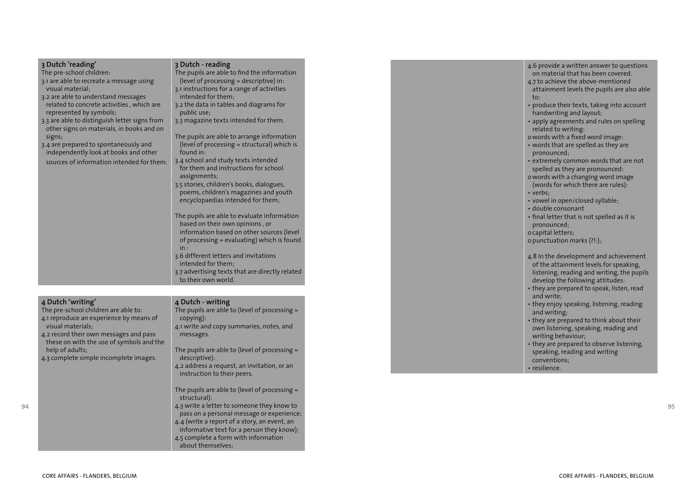| 3 Dutch 'reading'<br>The pre-school children:<br>3.1 are able to recreate a message using<br>visual material;<br>3.2 are able to understand messages<br>related to concrete activities, which are<br>represented by symbols;<br>3.3 are able to distinguish letter signs from<br>other signs on materials, in books and on<br>signs;<br>3.4 are prepared to spontaneously and<br>independently look at books and other<br>sources of information intended for them. | 3 Dutch - reading<br>The pupils are able to find the information<br>(level of processing = descriptive) in:<br>3.1 instructions for a range of activities<br>intended for them;<br>3.2 the data in tables and diagrams for<br>public use;<br>3.3 magazine texts intended for them.<br>The pupils are able to arrange information<br>(level of processing = structural) which is<br>found in:<br>3.4 school and study texts intended<br>for them and instructions for school<br>assignments;<br>3.5 stories, children's books, dialogues,<br>poems, children's magazines and youth<br>encyclopaedias intended for them;<br>The pupils are able to evaluate information<br>based on their own opinions, or<br>information based on other sources (level<br>of processing = evaluating) which is found<br>in:<br>3.6 different letters and invitations<br>intended for them;<br>3.7 advertising texts that are directly related<br>to their own world. | 4.6 provide a written answer to questions<br>on material that has been covered.<br>4.7 to achieve the above-mentioned<br>attainment levels the pupils are also able<br>to:<br>• produce their texts, taking into account<br>handwriting and layout;<br>• apply agreements and rules on spelling<br>related to writing:<br>o words with a fixed word image:<br>• words that are spelled as they are<br>pronounced:<br>• extremely common words that are not<br>spelled as they are pronounced:<br>o words with a changing word image<br>(words for which there are rules):<br>• verbs:<br>• vowel in open/closed syllable;<br>· double consonant<br>• final letter that is not spelled as it is<br>pronounced;<br>o capital letters;<br>o punctuation marks (?!:);<br>4.8 In the development and achievement<br>of the attainment levels for speaking,<br>listening, reading and writing, the pupils<br>develop the following attitudes: |
|---------------------------------------------------------------------------------------------------------------------------------------------------------------------------------------------------------------------------------------------------------------------------------------------------------------------------------------------------------------------------------------------------------------------------------------------------------------------|-----------------------------------------------------------------------------------------------------------------------------------------------------------------------------------------------------------------------------------------------------------------------------------------------------------------------------------------------------------------------------------------------------------------------------------------------------------------------------------------------------------------------------------------------------------------------------------------------------------------------------------------------------------------------------------------------------------------------------------------------------------------------------------------------------------------------------------------------------------------------------------------------------------------------------------------------------|-----------------------------------------------------------------------------------------------------------------------------------------------------------------------------------------------------------------------------------------------------------------------------------------------------------------------------------------------------------------------------------------------------------------------------------------------------------------------------------------------------------------------------------------------------------------------------------------------------------------------------------------------------------------------------------------------------------------------------------------------------------------------------------------------------------------------------------------------------------------------------------------------------------------------------------------|
| 4 Dutch 'writing'<br>The pre-school children are able to:<br>4.1 reproduce an experience by means of<br>visual materials;<br>4.2 record their own messages and pass<br>these on with the use of symbols and the<br>help of adults;<br>4.3 complete simple incomplete images.                                                                                                                                                                                        | 4 Dutch - writing<br>The pupils are able to (level of processing $=$<br>copying):<br>4.1 write and copy summaries, notes, and<br>messages.<br>The pupils are able to (level of processing $=$<br>descriptive):<br>4.2 address a request, an invitation, or an<br>instruction to their peers.<br>The pupils are able to (level of processing $=$<br>structural):<br>4.3 write a letter to someone they know to<br>pass on a personal message or experience;<br>4.4 (write a report of a story, an event, an                                                                                                                                                                                                                                                                                                                                                                                                                                          | • they are prepared to speak, listen, read<br>and write:<br>• they enjoy speaking, listening, reading<br>and writing:<br>• they are prepared to think about their<br>own listening, speaking, reading and<br>writing behaviour;<br>• they are prepared to observe listening,<br>speaking, reading and writing<br>conventions;<br>· resilience.                                                                                                                                                                                                                                                                                                                                                                                                                                                                                                                                                                                          |

informative text for a person they know); 4.5 complete a form with information

about themselves;

**9 4**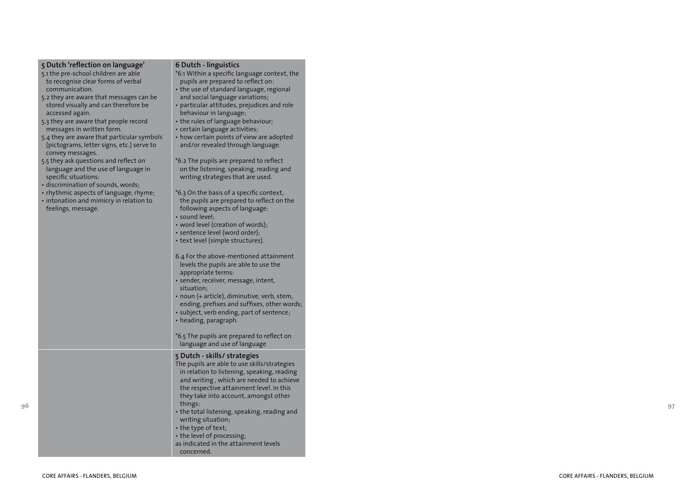| 5 Dutch 'reflection on language'           | 6 Dutch - linguistics                                   |
|--------------------------------------------|---------------------------------------------------------|
| 5.1 the pre-school children are able       | *6.1 Within a specific language context, the            |
| to recognise clear forms of verbal         | pupils are prepared to reflect on:                      |
| communication.                             | • the use of standard language, regional                |
| 5.2 they are aware that messages can be    | and social language variations;                         |
| stored visually and can therefore be       | • particular attitudes, prejudices and role             |
| accessed again.                            | behaviour in language;                                  |
| 5.3 they are aware that people record      | • the rules of language behaviour;                      |
| messages in written form.                  | • certain language activities;                          |
| 5.4 they are aware that particular symbols | • how certain points of view are adopted                |
| (pictograms, letter signs, etc.) serve to  | and/or revealed through language.                       |
| convey messages.                           |                                                         |
| 5.5 they ask questions and reflect on      | *6.2 The pupils are prepared to reflect                 |
| language and the use of language in        | on the listening, speaking, reading and                 |
| specific situations:                       | writing strategies that are used.                       |
| · discrimination of sounds, words;         |                                                         |
| • rhythmic aspects of language, rhyme;     | *6.3 On the basis of a specific context,                |
| • intonation and mimicry in relation to    | the pupils are prepared to reflect on the               |
| feelings, message.                         | following aspects of language:                          |
|                                            | · sound level:                                          |
|                                            | • word level (creation of words);                       |
|                                            | · sentence level (word order);                          |
|                                            | • text level (simple structures).                       |
|                                            |                                                         |
|                                            | 6.4 For the above-mentioned attainment                  |
|                                            | levels the pupils are able to use the                   |
|                                            | appropriate terms:                                      |
|                                            | • sender, receiver, message, intent,                    |
|                                            | situation:                                              |
|                                            | • noun (+ article), diminutive, verb, stem,             |
|                                            | ending, prefixes and suffixes, other words;             |
|                                            | • subject, verb ending, part of sentence;               |
|                                            | • heading, paragraph.                                   |
|                                            |                                                         |
|                                            | *6.5 The pupils are prepared to reflect on              |
|                                            | language and use of language                            |
|                                            |                                                         |
|                                            | 5 Dutch - skills/ strategies                            |
|                                            | The pupils are able to use skills/strategies            |
|                                            | in relation to listening, speaking, reading             |
|                                            | and writing, which are needed to achieve                |
|                                            | the respective attainment level. In this                |
|                                            | they take into account, amongst other                   |
|                                            | things:                                                 |
|                                            | $\bm{\cdot}$ the total listening, speaking, reading and |
|                                            | writing situation;                                      |
|                                            | • the type of text;                                     |
|                                            | • the level of processing;                              |
|                                            | as indicated in the attainment levels                   |
|                                            | concerned.                                              |

٠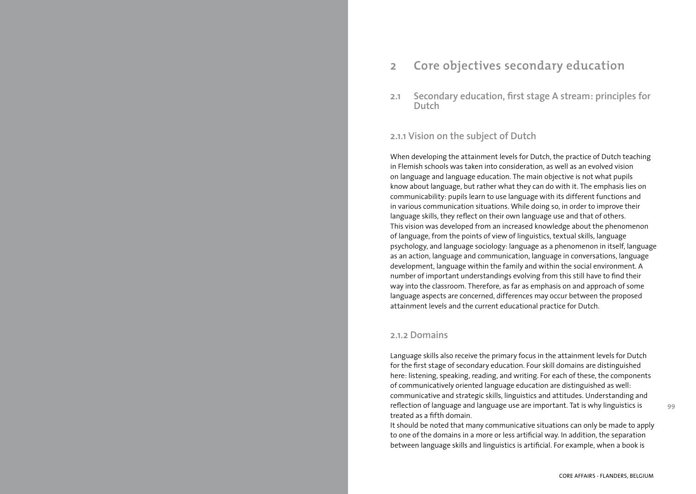# **2 Core objectives secondary education**

**2.1 Secondary education, first stage A stream: principles for Dutch**

### **2.1.1 Vision on the subject of Dutch**

When developing the attainment levels for Dutch, the practice of Dutch teaching in Flemish schools was taken into consideration, as well as an evolved vision on language and language education. The main objective is not what pupils know about language, but rather what they can do with it. The emphasis lies on communicability: pupils learn to use language with its different functions and in various communication situations. While doing so, in order to improve their language skills, they reflect on their own language use and that of others. This vision was developed from an increased knowledge about the phenomenon of language, from the points of view of linguistics, textual skills, language psychology, and language sociology: language as a phenomenon in itself, language as an action, language and communication, language in conversations, language development, language within the family and within the social environment. A number of important understandings evolving from this still have to find their way into the classroom. Therefore, as far as emphasis on and approach of some language aspects are concerned, differences may occur between the proposed attainment levels and the current educational practice for Dutch.

### **2.1.2 Domains**

Language skills also receive the primary focus in the attainment levels for Dutch for the first stage of secondary education. Four skill domains are distinguished here: listening, speaking, reading, and writing. For each of these, the components of communicatively oriented language education are distinguished as well: communicative and strategic skills, linguistics and attitudes. Understanding and reflection of language and language use are important. Tat is why linguistics is treated as a fifth domain.

It should be noted that many communicative situations can only be made to apply to one of the domains in a more or less artificial way. In addition, the separation between language skills and linguistics is artificial. For example, when a book is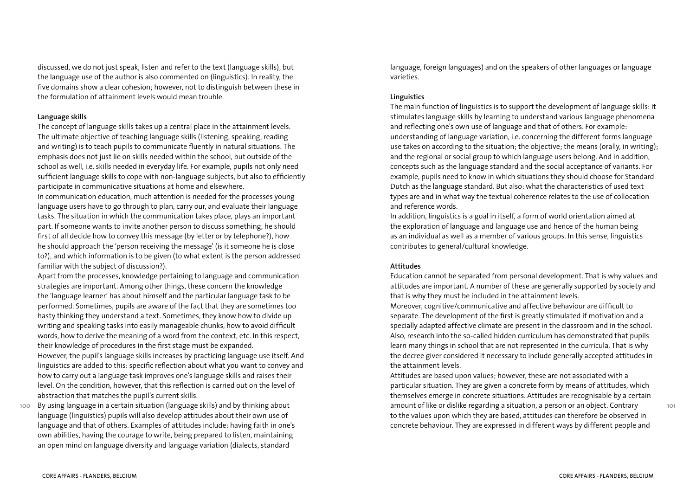discussed, we do not just speak, listen and refer to the text (language skills), but the language use of the author is also commented on (linguistics). In reality, the five domains show a clear cohesion; however, not to distinguish between these in the formulation of attainment levels would mean trouble.

#### **Language skills**

The concept of language skills takes up a central place in the attainment levels. The ultimate objective of teaching language skills (listening, speaking, reading and writing) is to teach pupils to communicate fluently in natural situations. The emphasis does not just lie on skills needed within the school, but outside of the school as well, i.e. skills needed in everyday life. For example, pupils not only need sufficient language skills to cope with non-language subjects, but also to efficiently participate in communicative situations at home and elsewhere.

In communication education, much attention is needed for the processes young language users have to go through to plan, carry our, and evaluate their language tasks. The situation in which the communication takes place, plays an important part. If someone wants to invite another person to discuss something, he should first of all decide how to convey this message (by letter or by telephone?), how he should approach the 'person receiving the message' (is it someone he is close to?), and which information is to be given (to what extent is the person addressed familiar with the subject of discussion?).

Apart from the processes, knowledge pertaining to language and communication strategies are important. Among other things, these concern the knowledge the 'language learner' has about himself and the particular language task to be performed. Sometimes, pupils are aware of the fact that they are sometimes too hasty thinking they understand a text. Sometimes, they know how to divide up writing and speaking tasks into easily manageable chunks, how to avoid difficult words, how to derive the meaning of a word from the context, etc. In this respect, their knowledge of procedures in the first stage must be expanded. However, the pupil's language skills increases by practicing language use itself. And linguistics are added to this: specific reflection about what you want to convey and how to carry out a language task improves one's language skills and raises their level. On the condition, however, that this reflection is carried out on the level of abstraction that matches the pupil's current skills.

**100** By using language in a certain situation (language skills) and by thinking about language (linguistics) pupils will also develop attitudes about their own use of language and that of others. Examples of attitudes include: having faith in one's own abilities, having the courage to write, being prepared to listen, maintaining an open mind on language diversity and language variation (dialects, standard

language, foreign languages) and on the speakers of other languages or language varieties.

#### **Linguistics**

The main function of linguistics is to support the development of language skills: it stimulates language skills by learning to understand various language phenomena and reflecting one's own use of language and that of others. For example: understanding of language variation, i.e. concerning the different forms language use takes on according to the situation; the objective; the means (orally, in writing); and the regional or social group to which language users belong. And in addition, concepts such as the language standard and the social acceptance of variants. For example, pupils need to know in which situations they should choose for Standard Dutch as the language standard. But also: what the characteristics of used text types are and in what way the textual coherence relates to the use of collocation and reference words.

In addition, linguistics is a goal in itself, a form of world orientation aimed at the exploration of language and language use and hence of the human being as an individual as well as a member of various groups. In this sense, linguistics contributes to general/cultural knowledge.

#### **Attitudes**

Education cannot be separated from personal development. That is why values and attitudes are important. A number of these are generally supported by society and that is why they must be included in the attainment levels.

Moreover, cognitive/communicative and affective behaviour are difficult to separate. The development of the first is greatly stimulated if motivation and a specially adapted affective climate are present in the classroom and in the school. Also, research into the so-called hidden curriculum has demonstrated that pupils learn many things in school that are not represented in the curricula. That is why the decree giver considered it necessary to include generally accepted attitudes in the attainment levels.

Attitudes are based upon values; however, these are not associated with a particular situation. They are given a concrete form by means of attitudes, which themselves emerge in concrete situations. Attitudes are recognisable by a certain amount of like or dislike regarding a situation, a person or an object. Contrary to the values upon which they are based, attitudes can therefore be observed in concrete behaviour. They are expressed in different ways by different people and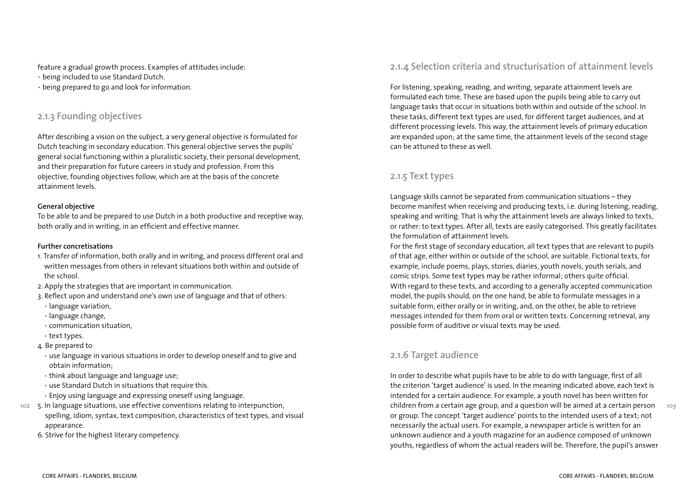feature a gradual growth process. Examples of attitudes include:

- being included to use Standard Dutch.
- being prepared to go and look for information.

# **2.1.3 Founding objectives**

After describing a vision on the subject, a very general objective is formulated for Dutch teaching in secondary education. This general objective serves the pupils' general social functioning within a pluralistic society, their personal development, and their preparation for future careers in study and profession. From this objective, founding objectives follow, which are at the basis of the concrete attainment levels.

### **General objective**

To be able to and be prepared to use Dutch in a both productive and receptive way, both orally and in writing, in an efficient and effective manner.

### **Further concretisations**

- 1. Transfer of information, both orally and in writing, and process different oral and written messages from others in relevant situations both within and outside of the school.
- 2. Apply the strategies that are important in communication.
- 3. Reflect upon and understand one's own use of language and that of others:
- language variation,
- language change,
- communication situation,
- text types.
- 4. Be prepared to
	- use language in various situations in order to develop oneself and to give and obtain information;
- think about language and language use;
- use Standard Dutch in situations that require this.
- Enjoy using language and expressing oneself using language.
- **102** 5. In language situations, use effective conventions relating to interpunction, spelling, idiom, syntax, text composition, characteristics of text types, and visual appearance.
	- 6. Strive for the highest literary competency.

### **2.1.4 Selection criteria and structurisation of attainment levels**

For listening, speaking, reading, and writing, separate attainment levels are formulated each time. These are based upon the pupils being able to carry out language tasks that occur in situations both within and outside of the school. In these tasks, different text types are used, for different target audiences, and at different processing levels. This way, the attainment levels of primary education are expanded upon; at the same time, the attainment levels of the second stage can be attuned to these as well.

### **2.1.5 Text types**

Language skills cannot be separated from communication situations – they become manifest when receiving and producing texts, i.e. during listening, reading, speaking and writing. That is why the attainment levels are always linked to texts, or rather: to text types. After all, texts are easily categorised. This greatly facilitates the formulation of attainment levels.

For the first stage of secondary education, all text types that are relevant to pupils of that age, either within or outside of the school, are suitable. Fictional texts, for example, include poems, plays, stories, diaries, youth novels, youth serials, and comic strips. Some text types may be rather informal; others quite official. With regard to these texts, and according to a generally accepted communication model, the pupils should, on the one hand, be able to formulate messages in a suitable form, either orally or in writing, and, on the other, be able to retrieve messages intended for them from oral or written texts. Concerning retrieval, any possible form of auditive or visual texts may be used.

# **2.1.6 Target audience**

**103** In order to describe what pupils have to be able to do with language, first of all the criterion 'target audience' is used. In the meaning indicated above, each text is intended for a certain audience. For example, a youth novel has been written for children from a certain age group, and a question will be aimed at a certain person or group. The concept 'target audience' points to the intended users of a text; not necessarily the actual users. For example, a newspaper article is written for an unknown audience and a youth magazine for an audience composed of unknown youths, regardless of whom the actual readers will be. Therefore, the pupil's answer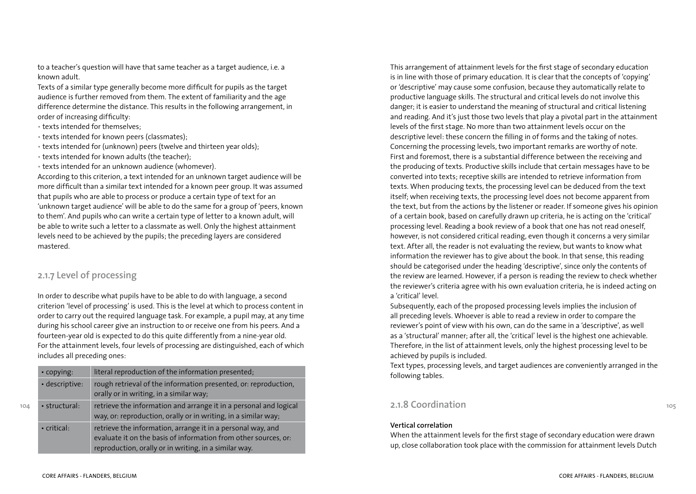to a teacher's question will have that same teacher as a target audience, i.e. a known adult.

Texts of a similar type generally become more difficult for pupils as the target audience is further removed from them. The extent of familiarity and the age difference determine the distance. This results in the following arrangement, in order of increasing difficulty:

- texts intended for themselves;
- texts intended for known peers (classmates);
- texts intended for (unknown) peers (twelve and thirteen year olds);
- texts intended for known adults (the teacher);
- texts intended for an unknown audience (whomever).

According to this criterion, a text intended for an unknown target audience will be more difficult than a similar text intended for a known peer group. It was assumed that pupils who are able to process or produce a certain type of text for an 'unknown target audience' will be able to do the same for a group of 'peers, known to them'. And pupils who can write a certain type of letter to a known adult, will be able to write such a letter to a classmate as well. Only the highest attainment levels need to be achieved by the pupils; the preceding layers are considered mastered.

# **2.1.7 Level of processing**

In order to describe what pupils have to be able to do with language, a second criterion 'level of processing' is used. This is the level at which to process content in order to carry out the required language task. For example, a pupil may, at any time during his school career give an instruction to or receive one from his peers. And a fourteen-year old is expected to do this quite differently from a nine-year old. For the attainment levels, four levels of processing are distinguished, each of which includes all preceding ones:

| $\cdot$ copying:  | literal reproduction of the information presented;                                                                                                                                      |
|-------------------|-----------------------------------------------------------------------------------------------------------------------------------------------------------------------------------------|
| · descriptive:    | rough retrieval of the information presented, or: reproduction,<br>orally or in writing, in a similar way;                                                                              |
| • structural:     | retrieve the information and arrange it in a personal and logical<br>way, or: reproduction, orally or in writing, in a similar way;                                                     |
| $\cdot$ critical: | retrieve the information, arrange it in a personal way, and<br>evaluate it on the basis of information from other sources, or:<br>reproduction, orally or in writing, in a similar way. |

This arrangement of attainment levels for the first stage of secondary education is in line with those of primary education. It is clear that the concepts of 'copying' or 'descriptive' may cause some confusion, because they automatically relate to productive language skills. The structural and critical levels do not involve this danger; it is easier to understand the meaning of structural and critical listening and reading. And it's just those two levels that play a pivotal part in the attainment levels of the first stage. No more than two attainment levels occur on the descriptive level: these concern the filling in of forms and the taking of notes. Concerning the processing levels, two important remarks are worthy of note. First and foremost, there is a substantial difference between the receiving and the producing of texts. Productive skills include that certain messages have to be converted into texts; receptive skills are intended to retrieve information from texts. When producing texts, the processing level can be deduced from the text itself; when receiving texts, the processing level does not become apparent from the text, but from the actions by the listener or reader. If someone gives his opinion of a certain book, based on carefully drawn up criteria, he is acting on the 'critical' processing level. Reading a book review of a book that one has not read oneself, however, is not considered critical reading, even though it concerns a very similar text. After all, the reader is not evaluating the review, but wants to know what information the reviewer has to give about the book. In that sense, this reading should be categorised under the heading 'descriptive', since only the contents of the review are learned. However, if a person is reading the review to check whether the reviewer's criteria agree with his own evaluation criteria, he is indeed acting on a 'critical' level.

Subsequently, each of the proposed processing levels implies the inclusion of all preceding levels. Whoever is able to read a review in order to compare the reviewer's point of view with his own, can do the same in a 'descriptive', as well as a 'structural' manner; after all, the 'critical' level is the highest one achievable. Therefore, in the list of attainment levels, only the highest processing level to be achieved by pupils is included.

Text types, processing levels, and target audiences are conveniently arranged in the following tables.

# **2.1.8 Coordination**

### **Vertical correlation**

When the attainment levels for the first stage of secondary education were drawn up, close collaboration took place with the commission for attainment levels Dutch

**104**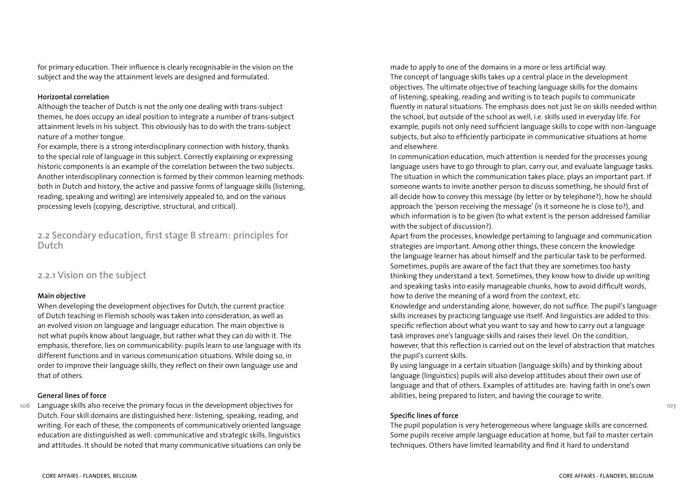for primary education. Their influence is clearly recognisable in the vision on the subject and the way the attainment levels are designed and formulated.

#### **Horizontal correlation**

Although the teacher of Dutch is not the only one dealing with trans-subject themes, he does occupy an ideal position to integrate a number of trans-subject attainment levels in his subject. This obviously has to do with the trans-subject nature of a mother tongue.

For example, there is a strong interdisciplinary connection with history, thanks to the special role of language in this subject. Correctly explaining or expressing historic components is an example of the correlation between the two subjects. Another interdisciplinary connection is formed by their common learning methods: both in Dutch and history, the active and passive forms of language skills (listening, reading, speaking and writing) are intensively appealed to, and on the various processing levels (copying, descriptive, structural, and critical).

**2.2 Secondary education, first stage B stream: principles for Dutch**

### **2.2.1 Vision on the subject**

### **Main objective**

When developing the development objectives for Dutch, the current practice of Dutch teaching in Flemish schools was taken into consideration, as well as an evolved vision on language and language education. The main objective is not what pupils know about language, but rather what they can do with it. The emphasis, therefore, lies on communicability: pupils learn to use language with its different functions and in various communication situations. While doing so, in order to improve their language skills, they reflect on their own language use and that of others.

#### **General lines of force**

**106** Language skills also receive the primary focus in the development objectives for Dutch. Four skill domains are distinguished here: listening, speaking, reading, and writing. For each of these, the components of communicatively oriented language education are distinguished as well: communicative and strategic skills, linguistics and attitudes. It should be noted that many communicative situations can only be made to apply to one of the domains in a more or less artificial way. The concept of language skills takes up a central place in the development objectives. The ultimate objective of teaching language skills for the domains of listening, speaking, reading and writing is to teach pupils to communicate fluently in natural situations. The emphasis does not just lie on skills needed within the school, but outside of the school as well, i.e. skills used in everyday life. For example, pupils not only need sufficient language skills to cope with non-language subjects, but also to efficiently participate in communicative situations at home and elsewhere.

In communication education, much attention is needed for the processes young language users have to go through to plan, carry our, and evaluate language tasks. The situation in which the communication takes place, plays an important part. If someone wants to invite another person to discuss something, he should first of all decide how to convey this message (by letter or by telephone?), how he should approach the 'person receiving the message' (is it someone he is close to?), and which information is to be given (to what extent is the person addressed familiar with the subject of discussion?).

Apart from the processes, knowledge pertaining to language and communication strategies are important. Among other things, these concern the knowledge the language learner has about himself and the particular task to be performed. Sometimes, pupils are aware of the fact that they are sometimes too hasty thinking they understand a text. Sometimes, they know how to divide up writing and speaking tasks into easily manageable chunks, how to avoid difficult words, how to derive the meaning of a word from the context, etc.

Knowledge and understanding alone, however, do not suffice. The pupil's language skills increases by practicing language use itself. And linguistics are added to this: specific reflection about what you want to say and how to carry out a language task improves one's language skills and raises their level. On the condition, however, that this reflection is carried out on the level of abstraction that matches the pupil's current skills.

By using language in a certain situation (language skills) and by thinking about language (linguistics) pupils will also develop attitudes about their own use of language and that of others. Examples of attitudes are: having faith in one's own abilities, being prepared to listen, and having the courage to write.

### **Specific lines of force**

The pupil population is very heterogeneous where language skills are concerned. Some pupils receive ample language education at home, but fail to master certain techniques. Others have limited learnability and find it hard to understand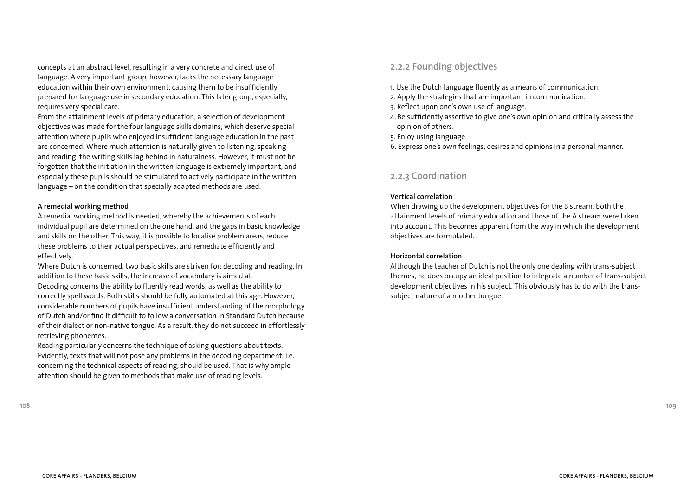concepts at an abstract level, resulting in a very concrete and direct use of language. A very important group, however, lacks the necessary language education within their own environment, causing them to be insufficiently prepared for language use in secondary education. This later group, especially, requires very special care.

From the attainment levels of primary education, a selection of development objectives was made for the four language skills domains, which deserve special attention where pupils who enjoyed insufficient language education in the past are concerned. Where much attention is naturally given to listening, speaking and reading, the writing skills lag behind in naturalness. However, it must not be forgotten that the initiation in the written language is extremely important, and especially these pupils should be stimulated to actively participate in the written language – on the condition that specially adapted methods are used.

#### **A remedial working method**

A remedial working method is needed, whereby the achievements of each individual pupil are determined on the one hand, and the gaps in basic knowledge and skills on the other. This way, it is possible to localise problem areas, reduce these problems to their actual perspectives, and remediate efficiently and effectively.

Where Dutch is concerned, two basic skills are striven for: decoding and reading. In addition to these basic skills, the increase of vocabulary is aimed at. Decoding concerns the ability to fluently read words, as well as the ability to correctly spell words. Both skills should be fully automated at this age. However, considerable numbers of pupils have insufficient understanding of the morphology of Dutch and/or find it difficult to follow a conversation in Standard Dutch because of their dialect or non-native tongue. As a result, they do not succeed in effortlessly retrieving phonemes.

Reading particularly concerns the technique of asking questions about texts. Evidently, texts that will not pose any problems in the decoding department, i.e. concerning the technical aspects of reading, should be used. That is why ample attention should be given to methods that make use of reading levels.

#### **108**

# **2.2.2 Founding objectives**

- 1. Use the Dutch language fluently as a means of communication.
- 2. Apply the strategies that are important in communication.
- 3. Reflect upon one's own use of language.
- 4. Be sufficiently assertive to give one's own opinion and critically assess the opinion of others.
- 5. Enjoy using language.
- 6. Express one's own feelings, desires and opinions in a personal manner.

### **2.2.3 Coordination**

#### **Vertical correlation**

When drawing up the development objectives for the B stream, both the attainment levels of primary education and those of the A stream were taken into account. This becomes apparent from the way in which the development objectives are formulated.

#### **Horizontal correlation**

Although the teacher of Dutch is not the only one dealing with trans-subject themes, he does occupy an ideal position to integrate a number of trans-subject development objectives in his subject. This obviously has to do with the transsubject nature of a mother tongue.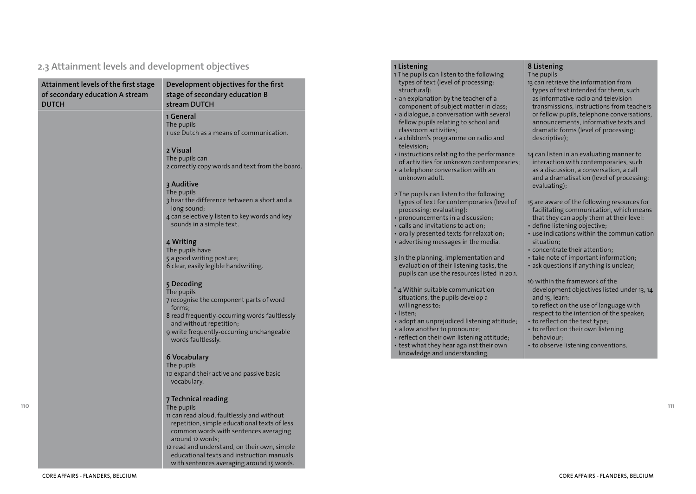### **2.3 Attainment levels and development objectives**

| Attainment levels of the first stage<br>of secondary education A stream<br><b>DUTCH</b> | Development objectives for the first<br>stage of secondary education B<br>stream DUTCH                                                                                                                                                                                                                                                 |
|-----------------------------------------------------------------------------------------|----------------------------------------------------------------------------------------------------------------------------------------------------------------------------------------------------------------------------------------------------------------------------------------------------------------------------------------|
|                                                                                         | 1 General<br>The pupils<br>1 use Dutch as a means of communication.                                                                                                                                                                                                                                                                    |
|                                                                                         | 2 Visual<br>The pupils can<br>2 correctly copy words and text from the board.                                                                                                                                                                                                                                                          |
|                                                                                         | 3 Auditive<br>The pupils<br>3 hear the difference between a short and a<br>long sound;<br>4 can selectively listen to key words and key<br>sounds in a simple text.                                                                                                                                                                    |
|                                                                                         | 4 Writing<br>The pupils have<br>5 a good writing posture;<br>6 clear, easily legible handwriting.                                                                                                                                                                                                                                      |
|                                                                                         | 5 Decoding<br>The pupils<br>7 recognise the component parts of word<br>forms:<br>8 read frequently-occurring words faultlessly<br>and without repetition;<br>9 write frequently-occurring unchangeable<br>words faultlessly.                                                                                                           |
|                                                                                         | 6 Vocabulary<br>The pupils<br>10 expand their active and passive basic<br>vocabulary.                                                                                                                                                                                                                                                  |
|                                                                                         | 7 Technical reading<br>The pupils<br>11 can read aloud, faultlessly and without<br>repetition, simple educational texts of less<br>common words with sentences averaging<br>around 12 words;<br>12 read and understand, on their own, simple<br>educational texts and instruction manuals<br>with sentences averaging around 15 words. |

#### **1 Listening**

| 1 The pupils can listen to the following |  |
|------------------------------------------|--|
| types of text (level of processing:      |  |
| structural):                             |  |

- an explanation by the teacher of a component of subject matter in class;
- a dialogue, a conversation with several fellow pupils relating to school and classroom activities;
- a children's programme on radio and television;
- instructions relating to the performance of activities for unknown contemporaries;
- a telephone conversation with an unknown adult.
- 2 The pupils can listen to the following types of text for contemporaries (level of processing: evaluating):
- pronouncements in a discussion;
- calls and invitations to action;
- orally presented texts for relaxation; • advertising messages in the media.

3 In the planning, implementation and evaluation of their listening tasks, the pupils can use the resources listed in 20.1.

- \* 4 Within suitable communication situations, the pupils develop a willingness to:
- listen;
- adopt an unprejudiced listening attitude;
- allow another to pronounce;
- reflect on their own listening attitude; • test what they hear against their own knowledge and understanding.

### **8 Listening**

The pupils

- 13 can retrieve the information from types of text intended for them, such as informative radio and television transmissions, instructions from teachers or fellow pupils, telephone conversations, announcements, informative texts and dramatic forms (level of processing: descriptive);
- 14 can listen in an evaluating manner to interaction with contemporaries, such as a discussion, a conversation, a call and a dramatisation (level of processing: evaluating);
- 15 are aware of the following resources for facilitating communication, which means that they can apply them at their level: • define listening objective;
- use indications within the communication situation;
- concentrate their attention;
- take note of important information;
- ask questions if anything is unclear;
- 16 within the framework of the development objectives listed under 13, 14 and 15, learn: to reflect on the use of language with respect to the intention of the speaker; • to reflect on the text type;
- to reflect on their own listening behaviour;
- to observe listening conventions.

**110**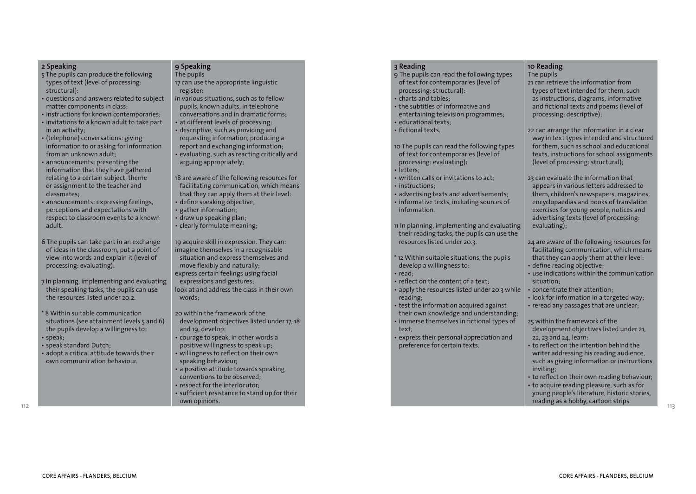#### **2 Speaking**

- 5 The pupils can produce the following types of text (level of processing: structural):
- questions and answers related to subject matter components in class;
- instructions for known contemporaries; • invitations to a known adult to take part in an activity;
- (telephone) conversations: giving information to or asking for information from an unknown adult;
- announcements: presenting the information that they have gathered relating to a certain subject, theme or assignment to the teacher and classmates;
- announcements: expressing feelings, perceptions and expectations with respect to classroom events to a known adult.
- 6 The pupils can take part in an exchange of ideas in the classroom, put a point of view into words and explain it (level of processing: evaluating).
- 7 In planning, implementing and evaluating their speaking tasks, the pupils can use the resources listed under 20.2.
- \* 8 Within suitable communication situations (see attainment levels 5 and 6) the pupils develop a willingness to: • speak;
- speak standard Dutch;
- adopt a critical attitude towards their own communication behaviour.

### **9 Speaking**

- The pupils 17 can use the appropriate linguistic register:
- in various situations, such as to fellow pupils, known adults, in telephone conversations and in dramatic forms; • at different levels of processing:
- descriptive, such as providing and requesting information, producing a report and exchanging information; • evaluating, such as reacting critically and arguing appropriately;

18 are aware of the following resources for facilitating communication, which means that they can apply them at their level: • define speaking objective;

- gather information;
- draw up speaking plan;
- clearly formulate meaning;

19 acquire skill in expression. They can: imagine themselves in a recognisable situation and express themselves and move flexibly and naturally; express certain feelings using facial expressions and gestures; look at and address the class in their own words;

20 within the framework of the development objectives listed under 17, 18 and 19, develop:

- courage to speak, in other words a positive willingness to speak up;
- willingness to reflect on their own speaking behaviour;
- a positive attitude towards speaking conventions to be observed;
- respect for the interlocutor;
- sufficient resistance to stand up for their own opinions.

#### **3 Reading**

- 9 The pupils can read the following types of text for contemporaries (level of processing: structural):
- charts and tables;
- the subtitles of informative and entertaining television programmes; • educational texts;
- fictional texts.

10 The pupils can read the following types of text for contemporaries (level of processing: evaluating):

- letters;
- written calls or invitations to act;
- instructions;
- advertising texts and advertisements; • informative texts, including sources of information.

11 In planning, implementing and evaluating their reading tasks, the pupils can use the resources listed under 20.3.

- \* 12 Within suitable situations, the pupils develop a willingness to:
- read;
- reflect on the content of a text;
- apply the resources listed under 20.3 while reading;
- test the information acquired against their own knowledge and understanding;
- immerse themselves in fictional types of text;
- express their personal appreciation and preference for certain texts.

### **10 Reading**

The pupils

21 can retrieve the information from types of text intended for them, such as instructions, diagrams, informative and fictional texts and poems (level of processing: descriptive);

22 can arrange the information in a clear way in text types intended and structured for them, such as school and educational texts, instructions for school assignments (level of processing: structural);

- 23 can evaluate the information that appears in various letters addressed to them, children's newspapers, magazines, encyclopaedias and books of translation exercises for young people, notices and advertising texts (level of processing: evaluating);
- 24 are aware of the following resources for facilitating communication, which means that they can apply them at their level:
- define reading objective;
- use indications within the communication situation;
- concentrate their attention;
- look for information in a targeted way;
- reread any passages that are unclear;

25 within the framework of the development objectives listed under 21, 22, 23 and 24, learn:

- to reflect on the intention behind the writer addressing his reading audience, such as giving information or instructions, inviting;
- to reflect on their own reading behaviour;
- to acquire reading pleasure, such as for young people's literature, historic stories, reading as a hobby, cartoon strips.

**112**